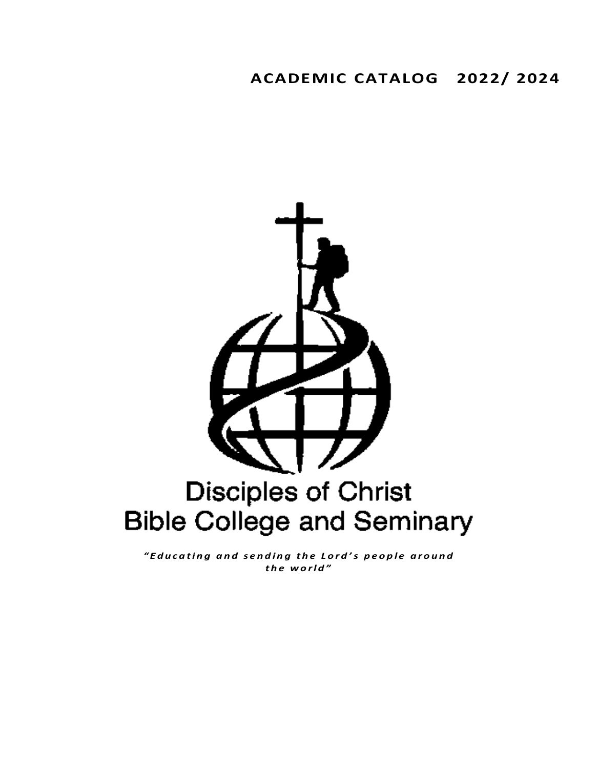# **ACADEMIC CATALOG 2022/ 2024**



*" E d u c a t i n g a n d s e n d i n g t h e L o r d 's p e o p l e a r o u n d t h e w o r l d "*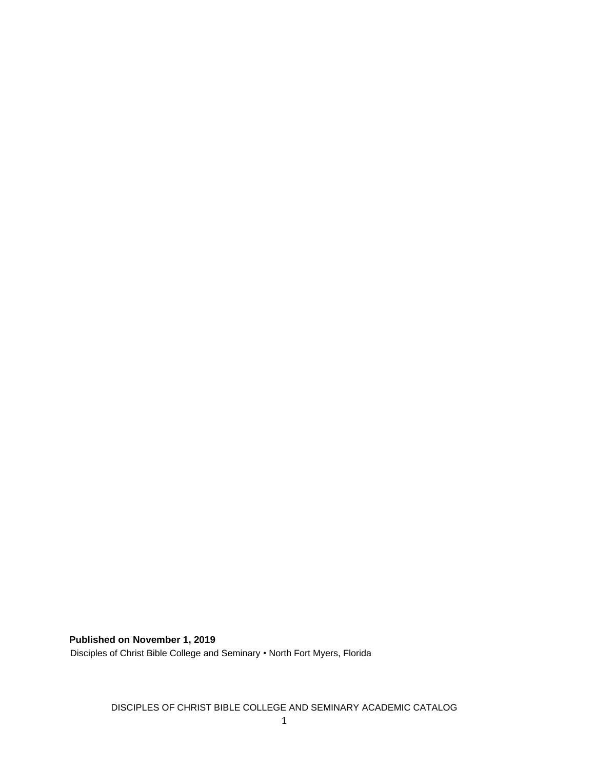**Published on November 1, 2019**

Disciples of Christ Bible College and Seminary • North Fort Myers, Florida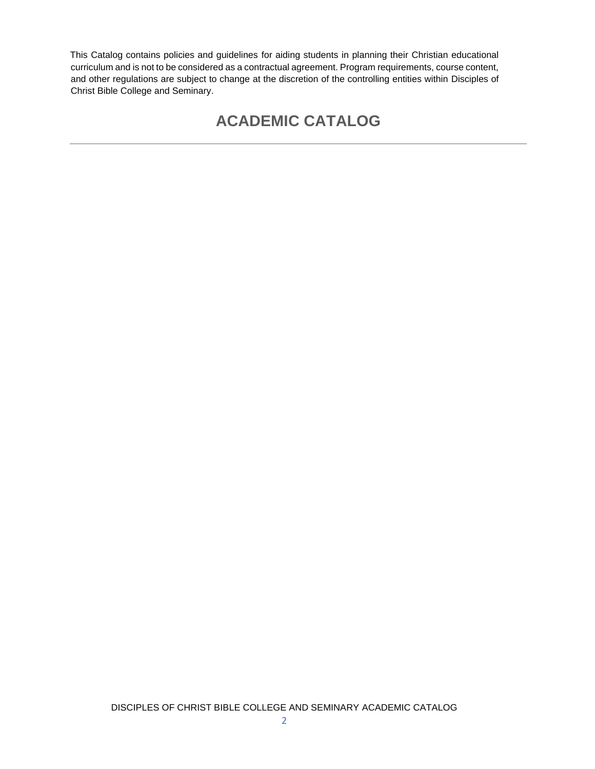This Catalog contains policies and guidelines for aiding students in planning their Christian educational curriculum and is not to be considered as a contractual agreement. Program requirements, course content, and other regulations are subject to change at the discretion of the controlling entities within Disciples of Christ Bible College and Seminary.

# **ACADEMIC CATALOG**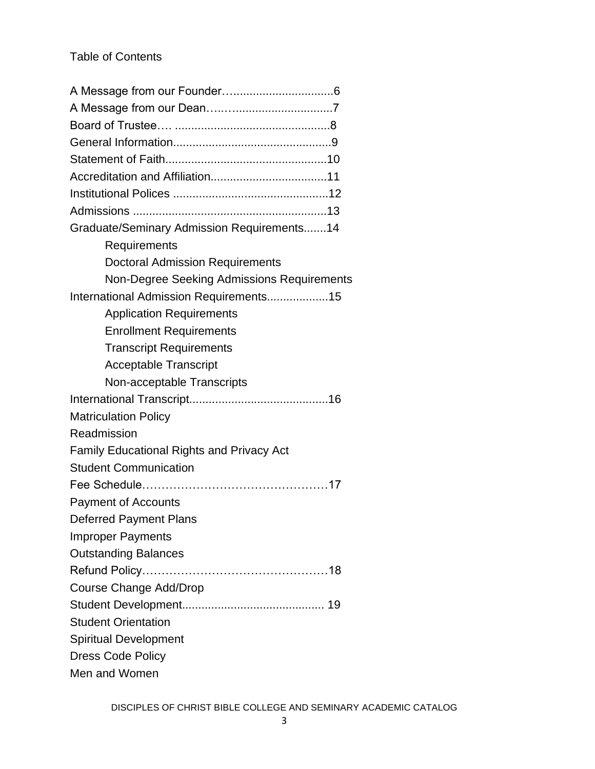# Table of Contents

| Graduate/Seminary Admission Requirements14       |
|--------------------------------------------------|
| Requirements                                     |
| <b>Doctoral Admission Requirements</b>           |
| Non-Degree Seeking Admissions Requirements       |
| International Admission Requirements15           |
| <b>Application Requirements</b>                  |
| <b>Enrollment Requirements</b>                   |
| <b>Transcript Requirements</b>                   |
| <b>Acceptable Transcript</b>                     |
| Non-acceptable Transcripts                       |
|                                                  |
| <b>Matriculation Policy</b>                      |
| Readmission                                      |
| <b>Family Educational Rights and Privacy Act</b> |
| <b>Student Communication</b>                     |
|                                                  |
| <b>Payment of Accounts</b>                       |
| <b>Deferred Payment Plans</b>                    |
| <b>Improper Payments</b>                         |
| <b>Outstanding Balances</b>                      |
|                                                  |
| Course Change Add/Drop                           |
|                                                  |
| <b>Student Orientation</b>                       |
| <b>Spiritual Development</b>                     |
| <b>Dress Code Policy</b>                         |
| Men and Women                                    |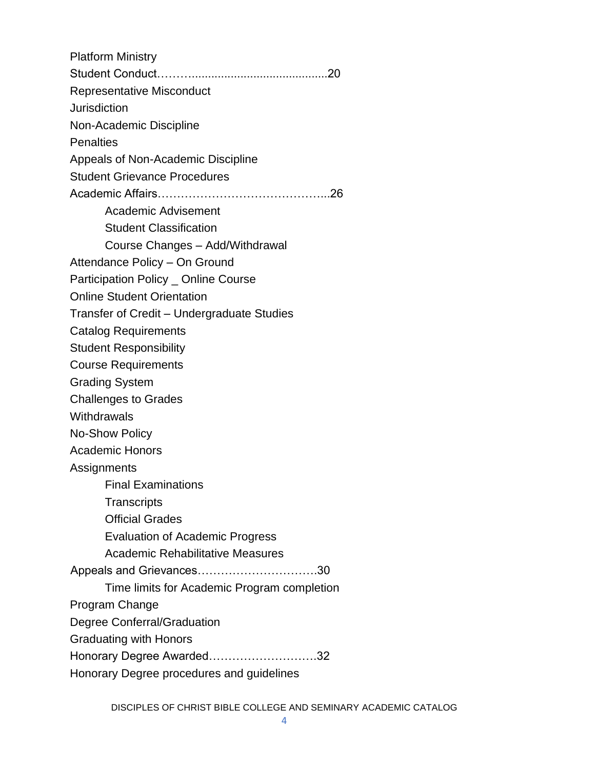| <b>Platform Ministry</b>                    |
|---------------------------------------------|
|                                             |
| <b>Representative Misconduct</b>            |
| <b>Jurisdiction</b>                         |
| Non-Academic Discipline                     |
| <b>Penalties</b>                            |
| Appeals of Non-Academic Discipline          |
| <b>Student Grievance Procedures</b>         |
|                                             |
| Academic Advisement                         |
| <b>Student Classification</b>               |
| Course Changes - Add/Withdrawal             |
| Attendance Policy - On Ground               |
| Participation Policy _ Online Course        |
| <b>Online Student Orientation</b>           |
| Transfer of Credit - Undergraduate Studies  |
| <b>Catalog Requirements</b>                 |
| <b>Student Responsibility</b>               |
| <b>Course Requirements</b>                  |
| <b>Grading System</b>                       |
| <b>Challenges to Grades</b>                 |
| Withdrawals                                 |
| <b>No-Show Policy</b>                       |
| <b>Academic Honors</b>                      |
| Assignments                                 |
| <b>Final Examinations</b>                   |
| Transcripts                                 |
| <b>Official Grades</b>                      |
| <b>Evaluation of Academic Progress</b>      |
| <b>Academic Rehabilitative Measures</b>     |
| Appeals and Grievances30                    |
| Time limits for Academic Program completion |
| Program Change                              |
| Degree Conferral/Graduation                 |
| <b>Graduating with Honors</b>               |
| Honorary Degree Awarded32                   |
| Honorary Degree procedures and guidelines   |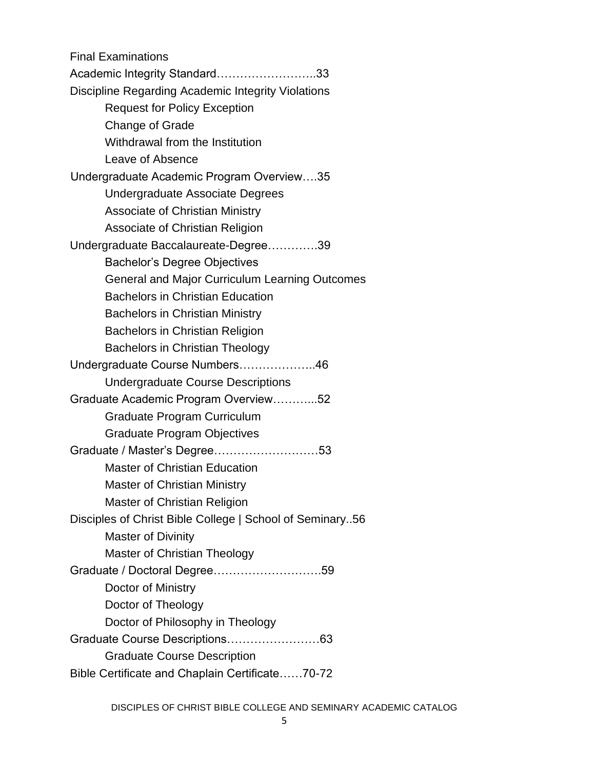Final Examinations Academic Integrity Standard……………………..33 Discipline Regarding Academic Integrity Violations Request for Policy Exception Change of Grade Withdrawal from the Institution Leave of Absence Undergraduate Academic Program Overview….35 Undergraduate Associate Degrees Associate of Christian Ministry Associate of Christian Religion Undergraduate Baccalaureate-Degree………….39 Bachelor's Degree Objectives General and Major Curriculum Learning Outcomes Bachelors in Christian Education Bachelors in Christian Ministry Bachelors in Christian Religion Bachelors in Christian Theology Undergraduate Course Numbers………………..46 Undergraduate Course Descriptions Graduate Academic Program Overview………...52 Graduate Program Curriculum Graduate Program Objectives Graduate / Master's Degree………………………53 Master of Christian Education Master of Christian Ministry Master of Christian Religion Disciples of Christ Bible College | School of Seminary..56 Master of Divinity Master of Christian Theology Graduate / Doctoral Degree……………………….59 Doctor of Ministry Doctor of Theology Doctor of Philosophy in Theology Graduate Course Descriptions……………………63 Graduate Course Description Bible Certificate and Chaplain Certificate……70-72

DISCIPLES OF CHRIST BIBLE COLLEGE AND SEMINARY ACADEMIC CATALOG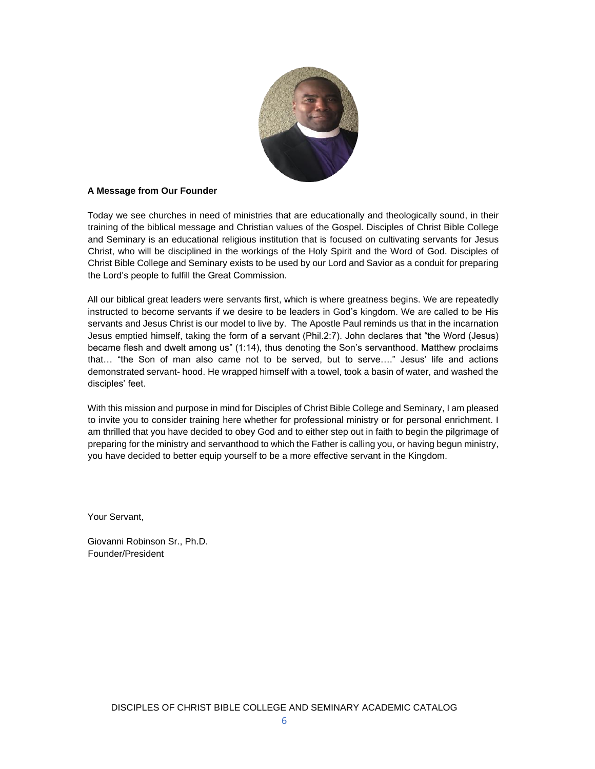

# **A Message from Our Founder**

Today we see churches in need of ministries that are educationally and theologically sound, in their training of the biblical message and Christian values of the Gospel. Disciples of Christ Bible College and Seminary is an educational religious institution that is focused on cultivating servants for Jesus Christ, who will be disciplined in the workings of the Holy Spirit and the Word of God. Disciples of Christ Bible College and Seminary exists to be used by our Lord and Savior as a conduit for preparing the Lord's people to fulfill the Great Commission.

All our biblical great leaders were servants first, which is where greatness begins. We are repeatedly instructed to become servants if we desire to be leaders in God's kingdom. We are called to be His servants and Jesus Christ is our model to live by. The Apostle Paul reminds us that in the incarnation Jesus emptied himself, taking the form of a servant (Phil.2:7). John declares that "the Word (Jesus) became flesh and dwelt among us" (1:14), thus denoting the Son's servanthood. Matthew proclaims that… "the Son of man also came not to be served, but to serve…." Jesus' life and actions demonstrated servant- hood. He wrapped himself with a towel, took a basin of water, and washed the disciples' feet.

With this mission and purpose in mind for Disciples of Christ Bible College and Seminary, I am pleased to invite you to consider training here whether for professional ministry or for personal enrichment. I am thrilled that you have decided to obey God and to either step out in faith to begin the pilgrimage of preparing for the ministry and servanthood to which the Father is calling you, or having begun ministry, you have decided to better equip yourself to be a more effective servant in the Kingdom.

Your Servant,

Giovanni Robinson Sr., Ph.D. Founder/President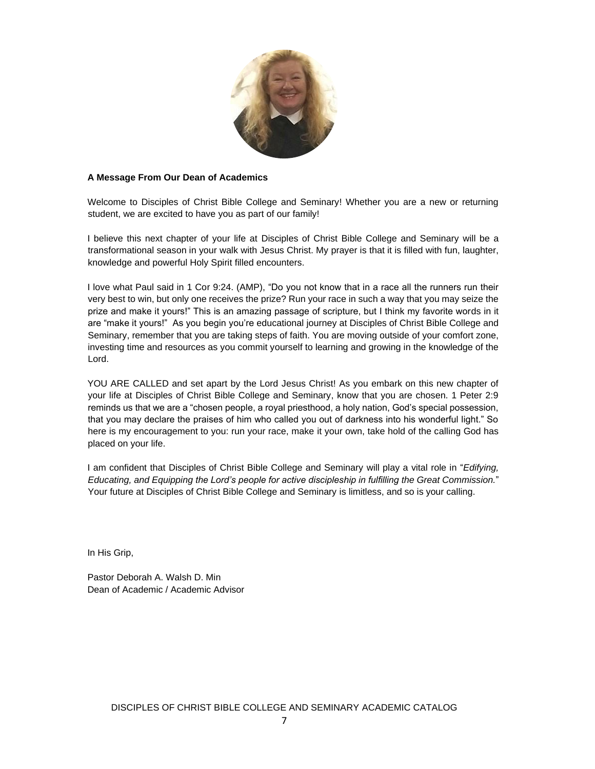

#### **A Message From Our Dean of Academics**

Welcome to Disciples of Christ Bible College and Seminary! Whether you are a new or returning student, we are excited to have you as part of our family!

I believe this next chapter of your life at Disciples of Christ Bible College and Seminary will be a transformational season in your walk with Jesus Christ. My prayer is that it is filled with fun, laughter, knowledge and powerful Holy Spirit filled encounters.

I love what Paul said in 1 Cor 9:24. (AMP), "Do you not know that in a race all the runners run their very best to win, but only one receives the prize? Run your race in such a way that you may seize the prize and make it yours!" This is an amazing passage of scripture, but I think my favorite words in it are "make it yours!" As you begin you're educational journey at Disciples of Christ Bible College and Seminary, remember that you are taking steps of faith. You are moving outside of your comfort zone, investing time and resources as you commit yourself to learning and growing in the knowledge of the Lord.

YOU ARE CALLED and set apart by the Lord Jesus Christ! As you embark on this new chapter of your life at Disciples of Christ Bible College and Seminary, know that you are chosen. 1 Peter 2:9 reminds us that we are a "chosen people, a royal priesthood, a holy nation, God's special possession, that you may declare the praises of him who called you out of darkness into his wonderful light." So here is my encouragement to you: run your race, make it your own, take hold of the calling God has placed on your life.

I am confident that Disciples of Christ Bible College and Seminary will play a vital role in "*Edifying, Educating, and Equipping the Lord's people for active discipleship in fulfilling the Great Commission.*" Your future at Disciples of Christ Bible College and Seminary is limitless, and so is your calling.

In His Grip,

Pastor Deborah A. Walsh D. Min Dean of Academic / Academic Advisor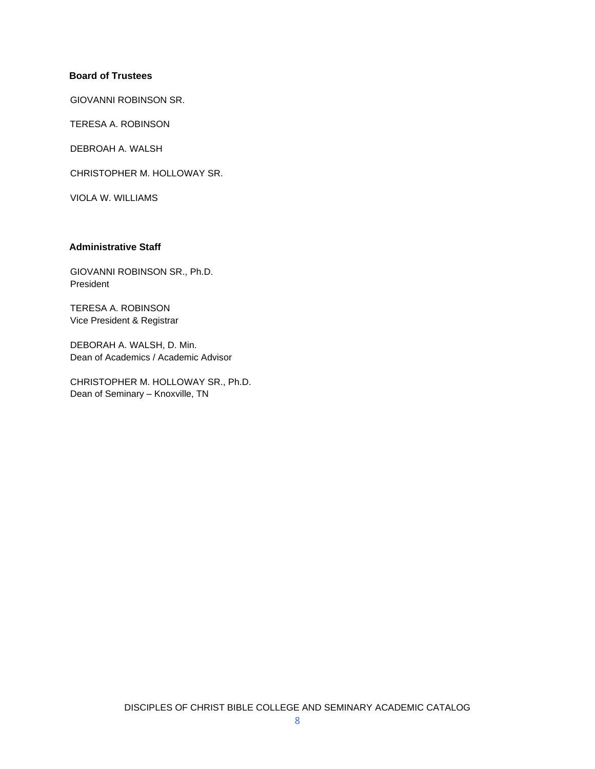# **Board of Trustees**

GIOVANNI ROBINSON SR.

TERESA A. ROBINSON

DEBROAH A. WALSH

CHRISTOPHER M. HOLLOWAY SR.

VIOLA W. WILLIAMS

# **Administrative Staff**

GIOVANNI ROBINSON SR., Ph.D. President

TERESA A. ROBINSON Vice President & Registrar

DEBORAH A. WALSH, D. Min. Dean of Academics / Academic Advisor

CHRISTOPHER M. HOLLOWAY SR., Ph.D. Dean of Seminary – Knoxville, TN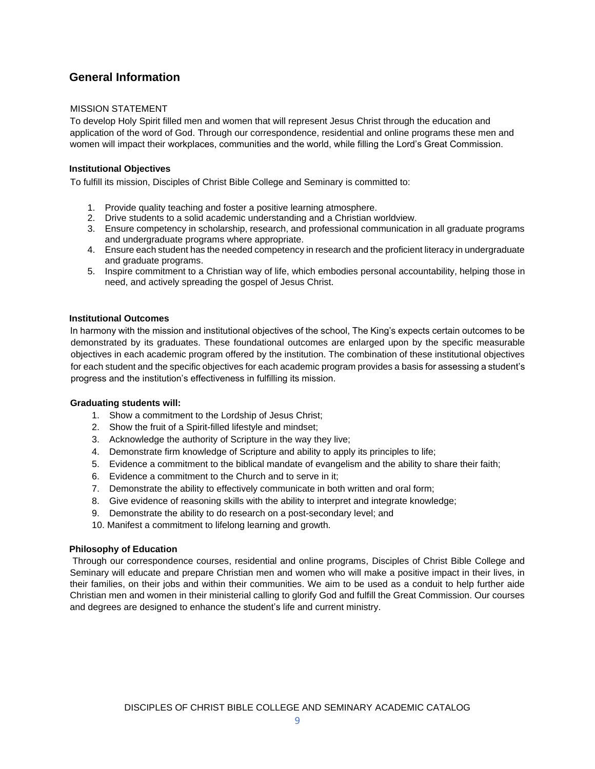# **General Information**

# MISSION STATEMENT

To develop Holy Spirit filled men and women that will represent Jesus Christ through the education and application of the word of God. Through our correspondence, residential and online programs these men and women will impact their workplaces, communities and the world, while filling the Lord's Great Commission.

# **Institutional Objectives**

To fulfill its mission, Disciples of Christ Bible College and Seminary is committed to:

- 1. Provide quality teaching and foster a positive learning atmosphere.
- 2. Drive students to a solid academic understanding and a Christian worldview.
- 3. Ensure competency in scholarship, research, and professional communication in all graduate programs and undergraduate programs where appropriate.
- 4. Ensure each student has the needed competency in research and the proficient literacy in undergraduate and graduate programs.
- 5. Inspire commitment to a Christian way of life, which embodies personal accountability, helping those in need, and actively spreading the gospel of Jesus Christ.

#### **Institutional Outcomes**

In harmony with the mission and institutional objectives of the school, The King's expects certain outcomes to be demonstrated by its graduates. These foundational outcomes are enlarged upon by the specific measurable objectives in each academic program offered by the institution. The combination of these institutional objectives for each student and the specific objectives for each academic program provides a basis for assessing a student's progress and the institution's effectiveness in fulfilling its mission.

#### **Graduating students will:**

- 1. Show a commitment to the Lordship of Jesus Christ;
- 2. Show the fruit of a Spirit-filled lifestyle and mindset;
- 3. Acknowledge the authority of Scripture in the way they live;
- 4. Demonstrate firm knowledge of Scripture and ability to apply its principles to life;
- 5. Evidence a commitment to the biblical mandate of evangelism and the ability to share their faith;
- 6. Evidence a commitment to the Church and to serve in it;
- 7. Demonstrate the ability to effectively communicate in both written and oral form;
- 8. Give evidence of reasoning skills with the ability to interpret and integrate knowledge;
- 9. Demonstrate the ability to do research on a post-secondary level; and
- 10. Manifest a commitment to lifelong learning and growth.

#### **Philosophy of Education**

Through our correspondence courses, residential and online programs, Disciples of Christ Bible College and Seminary will educate and prepare Christian men and women who will make a positive impact in their lives, in their families, on their jobs and within their communities. We aim to be used as a conduit to help further aide Christian men and women in their ministerial calling to glorify God and fulfill the Great Commission. Our courses and degrees are designed to enhance the student's life and current ministry.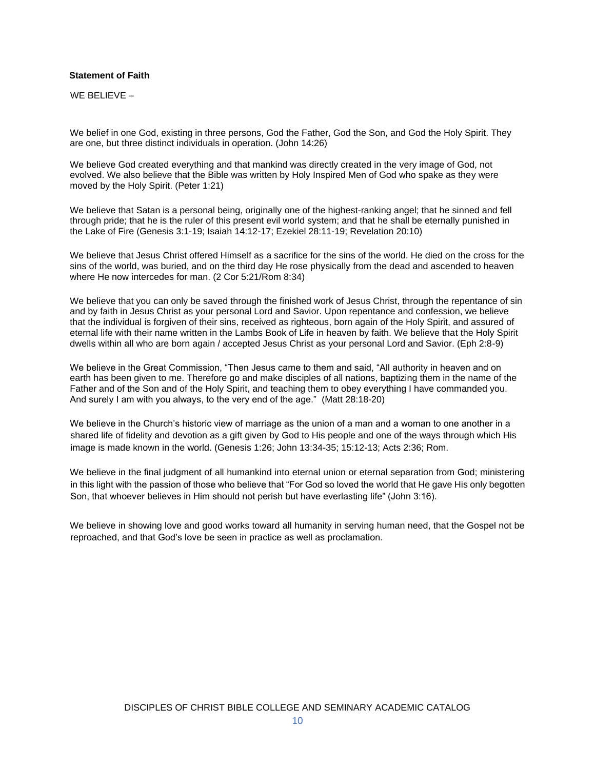#### **Statement of Faith**

WE BELIEVE –

We belief in one God, existing in three persons, God the Father, God the Son, and God the Holy Spirit. They are one, but three distinct individuals in operation. (John 14:26)

We believe God created everything and that mankind was directly created in the very image of God, not evolved. We also believe that the Bible was written by Holy Inspired Men of God who spake as they were moved by the Holy Spirit. (Peter 1:21)

We believe that Satan is a personal being, originally one of the highest-ranking angel; that he sinned and fell through pride; that he is the ruler of this present evil world system; and that he shall be eternally punished in the Lake of Fire (Genesis 3:1-19; Isaiah 14:12-17; Ezekiel 28:11-19; Revelation 20:10)

We believe that Jesus Christ offered Himself as a sacrifice for the sins of the world. He died on the cross for the sins of the world, was buried, and on the third day He rose physically from the dead and ascended to heaven where He now intercedes for man. (2 Cor 5:21/Rom 8:34)

We believe that you can only be saved through the finished work of Jesus Christ, through the repentance of sin and by faith in Jesus Christ as your personal Lord and Savior. Upon repentance and confession, we believe that the individual is forgiven of their sins, received as righteous, born again of the Holy Spirit, and assured of eternal life with their name written in the Lambs Book of Life in heaven by faith. We believe that the Holy Spirit dwells within all who are born again / accepted Jesus Christ as your personal Lord and Savior. (Eph 2:8-9)

We believe in the Great Commission, "Then Jesus came to them and said, "All authority in heaven and on earth has been given to me. Therefore go and make disciples of all nations, baptizing them in the name of the Father and of the Son and of the Holy Spirit, and teaching them to obey everything I have commanded you. And surely I am with you always, to the very end of the age." (Matt 28:18-20)

We believe in the Church's historic view of marriage as the union of a man and a woman to one another in a shared life of fidelity and devotion as a gift given by God to His people and one of the ways through which His image is made known in the world. (Genesis 1:26; John 13:34-35; 15:12-13; Acts 2:36; Rom.

We believe in the final judgment of all humankind into eternal union or eternal separation from God; ministering in this light with the passion of those who believe that "For God so loved the world that He gave His only begotten Son, that whoever believes in Him should not perish but have everlasting life" (John 3:16).

We believe in showing love and good works toward all humanity in serving human need, that the Gospel not be reproached, and that God's love be seen in practice as well as proclamation.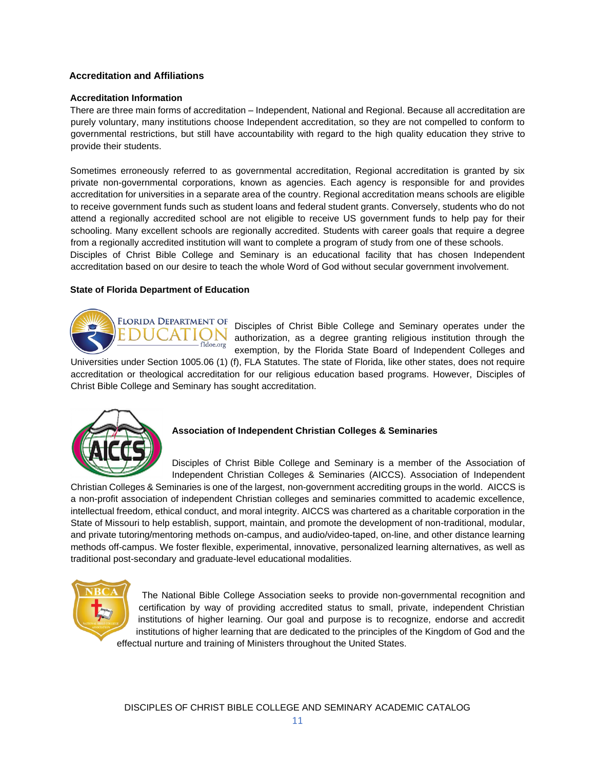# **Accreditation and Affiliations**

#### **Accreditation Information**

There are three main forms of accreditation – Independent, National and Regional. Because all accreditation are purely voluntary, many institutions choose Independent accreditation, so they are not compelled to conform to governmental restrictions, but still have accountability with regard to the high quality education they strive to provide their students.

Sometimes erroneously referred to as governmental accreditation, Regional accreditation is granted by six private non-governmental corporations, known as agencies. Each agency is responsible for and provides accreditation for universities in a separate area of the country. Regional accreditation means schools are eligible to receive government funds such as student loans and federal student grants. Conversely, students who do not attend a regionally accredited school are not eligible to receive US government funds to help pay for their schooling. Many excellent schools are regionally accredited. Students with career goals that require a degree from a regionally accredited institution will want to complete a program of study from one of these schools. Disciples of Christ Bible College and Seminary is an educational facility that has chosen Independent accreditation based on our desire to teach the whole Word of God without secular government involvement.

# **State of Florida Department of Education**



Disciples of Christ Bible College and Seminary operates under the authorization, as a degree granting religious institution through the exemption, by the Florida State Board of Independent Colleges and

Universities under Section 1005.06 (1) (f), FLA Statutes. The state of Florida, like other states, does not require accreditation or theological accreditation for our religious education based programs. However, Disciples of Christ Bible College and Seminary has sought accreditation.



# **Association of Independent Christian Colleges & Seminaries**

Disciples of Christ Bible College and Seminary is a member of the Association of Independent Christian Colleges & Seminaries (AICCS). Association of Independent

Christian Colleges & Seminaries is one of the largest, [non-government accrediting groups in the world.](https://www.aiccs.org/schools) AICCS is a non-profit association of independent Christian colleges and seminaries committed to academic excellence, intellectual freedom, ethical conduct, and moral integrity. AICCS was chartered as a charitable corporation in the State of Missouri to help establish, support, maintain, and promote the development of non-traditional, modular, and private tutoring/mentoring methods on-campus, and audio/video-taped, on-line, and other distance learning methods off-campus. We foster flexible, experimental, innovative, personalized learning alternatives, as well as traditional post-secondary and graduate-level educational modalities.



The National Bible College Association seeks to provide non-governmental recognition and certification by way of providing accredited status to small, private, independent Christian institutions of higher learning. Our goal and purpose is to recognize, endorse and accredit institutions of higher learning that are dedicated to the principles of the Kingdom of God and the effectual nurture and training of Ministers throughout the United States.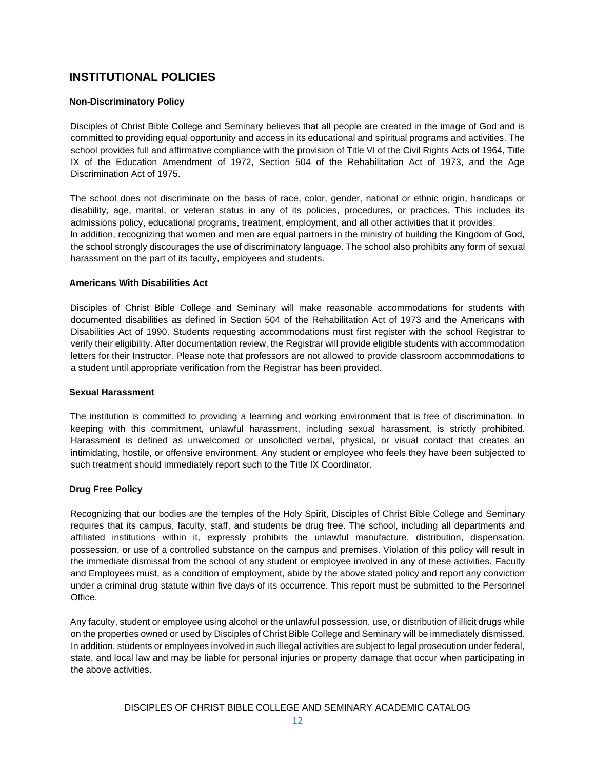# **INSTITUTIONAL POLICIES**

# **Non-Discriminatory Policy**

Disciples of Christ Bible College and Seminary believes that all people are created in the image of God and is committed to providing equal opportunity and access in its educational and spiritual programs and activities. The school provides full and affirmative compliance with the provision of Title VI of the Civil Rights Acts of 1964, Title IX of the Education Amendment of 1972, Section 504 of the Rehabilitation Act of 1973, and the Age Discrimination Act of 1975.

The school does not discriminate on the basis of race, color, gender, national or ethnic origin, handicaps or disability, age, marital, or veteran status in any of its policies, procedures, or practices. This includes its admissions policy, educational programs, treatment, employment, and all other activities that it provides. In addition, recognizing that women and men are equal partners in the ministry of building the Kingdom of God, the school strongly discourages the use of discriminatory language. The school also prohibits any form of sexual harassment on the part of its faculty, employees and students.

# **Americans With Disabilities Act**

Disciples of Christ Bible College and Seminary will make reasonable accommodations for students with documented disabilities as defined in Section 504 of the Rehabilitation Act of 1973 and the Americans with Disabilities Act of 1990. Students requesting accommodations must first register with the school Registrar to verify their eligibility. After documentation review, the Registrar will provide eligible students with accommodation letters for their Instructor. Please note that professors are not allowed to provide classroom accommodations to a student until appropriate verification from the Registrar has been provided.

# **Sexual Harassment**

The institution is committed to providing a learning and working environment that is free of discrimination. In keeping with this commitment, unlawful harassment, including sexual harassment, is strictly prohibited. Harassment is defined as unwelcomed or unsolicited verbal, physical, or visual contact that creates an intimidating, hostile, or offensive environment. Any student or employee who feels they have been subjected to such treatment should immediately report such to the Title IX Coordinator.

# **Drug Free Policy**

Recognizing that our bodies are the temples of the Holy Spirit, Disciples of Christ Bible College and Seminary requires that its campus, faculty, staff, and students be drug free. The school, including all departments and affiliated institutions within it, expressly prohibits the unlawful manufacture, distribution, dispensation, possession, or use of a controlled substance on the campus and premises. Violation of this policy will result in the immediate dismissal from the school of any student or employee involved in any of these activities. Faculty and Employees must, as a condition of employment, abide by the above stated policy and report any conviction under a criminal drug statute within five days of its occurrence. This report must be submitted to the Personnel Office.

Any faculty, student or employee using alcohol or the unlawful possession, use, or distribution of illicit drugs while on the properties owned or used by Disciples of Christ Bible College and Seminary will be immediately dismissed. In addition, students or employees involved in such illegal activities are subject to legal prosecution under federal, state, and local law and may be liable for personal injuries or property damage that occur when participating in the above activities.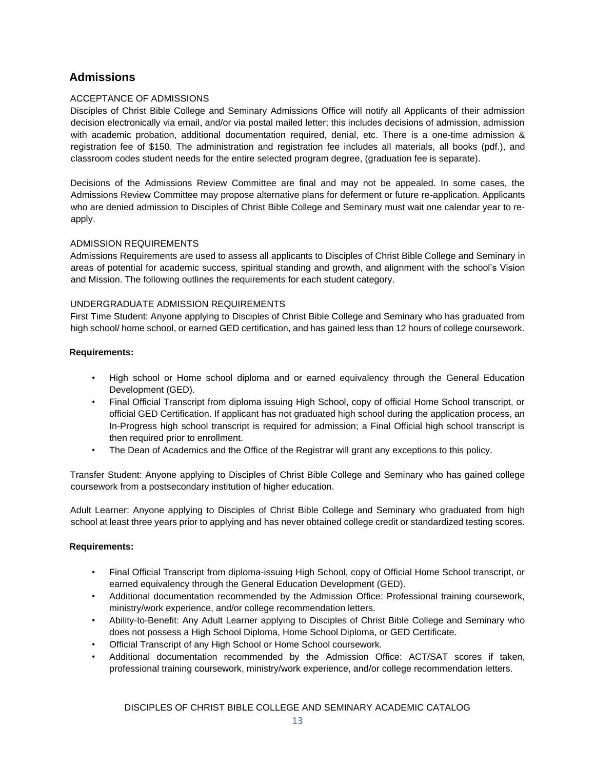# **Admissions**

# ACCEPTANCE OF ADMISSIONS

Disciples of Christ Bible College and Seminary Admissions Office will notify all Applicants of their admission decision electronically via email, and/or via postal mailed letter; this includes decisions of admission, admission with academic probation, additional documentation required, denial, etc. There is a one-time admission & registration fee of \$150. The administration and registration fee includes all materials, all books (pdf.), and classroom codes student needs for the entire selected program degree, (graduation fee is separate).

Decisions of the Admissions Review Committee are final and may not be appealed. In some cases, the Admissions Review Committee may propose alternative plans for deferment or future re-application. Applicants who are denied admission to Disciples of Christ Bible College and Seminary must wait one calendar year to reapply.

# ADMISSION REQUIREMENTS

Admissions Requirements are used to assess all applicants to Disciples of Christ Bible College and Seminary in areas of potential for academic success, spiritual standing and growth, and alignment with the school's Vision and Mission. The following outlines the requirements for each student category.

# UNDERGRADUATE ADMISSION REQUIREMENTS

First Time Student: Anyone applying to Disciples of Christ Bible College and Seminary who has graduated from high school/ home school, or earned GED certification, and has gained less than 12 hours of college coursework.

#### **Requirements:**

- High school or Home school diploma and or earned equivalency through the General Education Development (GED).
- Final Official Transcript from diploma issuing High School, copy of official Home School transcript, or official GED Certification. If applicant has not graduated high school during the application process, an In-Progress high school transcript is required for admission; a Final Official high school transcript is then required prior to enrollment.
- The Dean of Academics and the Office of the Registrar will grant any exceptions to this policy.

Transfer Student: Anyone applying to Disciples of Christ Bible College and Seminary who has gained college coursework from a postsecondary institution of higher education.

Adult Learner: Anyone applying to Disciples of Christ Bible College and Seminary who graduated from high school at least three years prior to applying and has never obtained college credit or standardized testing scores.

#### **Requirements:**

- Final Official Transcript from diploma-issuing High School, copy of Official Home School transcript, or earned equivalency through the General Education Development (GED).
- Additional documentation recommended by the Admission Office: Professional training coursework, ministry/work experience, and/or college recommendation letters.
- Ability-to-Benefit: Any Adult Learner applying to Disciples of Christ Bible College and Seminary who does not possess a High School Diploma, Home School Diploma, or GED Certificate.
- Official Transcript of any High School or Home School coursework.
- Additional documentation recommended by the Admission Office: ACT/SAT scores if taken, professional training coursework, ministry/work experience, and/or college recommendation letters.

DISCIPLES OF CHRIST BIBLE COLLEGE AND SEMINARY ACADEMIC CATALOG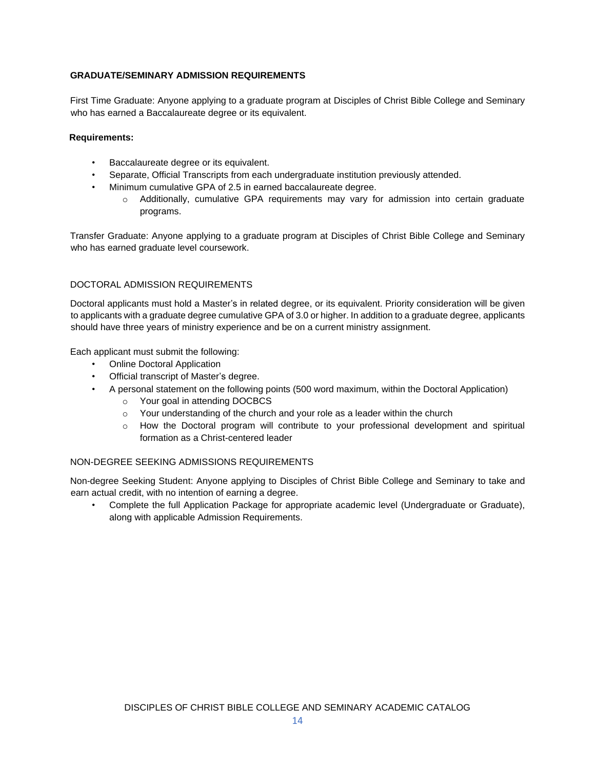# **GRADUATE/SEMINARY ADMISSION REQUIREMENTS**

First Time Graduate: Anyone applying to a graduate program at Disciples of Christ Bible College and Seminary who has earned a Baccalaureate degree or its equivalent.

#### **Requirements:**

- Baccalaureate degree or its equivalent.
- Separate, Official Transcripts from each undergraduate institution previously attended.
- Minimum cumulative GPA of 2.5 in earned baccalaureate degree.
	- $\circ$  Additionally, cumulative GPA requirements may vary for admission into certain graduate programs.

Transfer Graduate: Anyone applying to a graduate program at Disciples of Christ Bible College and Seminary who has earned graduate level coursework.

# DOCTORAL ADMISSION REQUIREMENTS

Doctoral applicants must hold a Master's in related degree, or its equivalent. Priority consideration will be given to applicants with a graduate degree cumulative GPA of 3.0 or higher. In addition to a graduate degree, applicants should have three years of ministry experience and be on a current ministry assignment.

Each applicant must submit the following:

- Online Doctoral Application
- Official transcript of Master's degree.
- A personal statement on the following points (500 word maximum, within the Doctoral Application)
	- o Your goal in attending DOCBCS
	- o Your understanding of the church and your role as a leader within the church
	- $\circ$  How the Doctoral program will contribute to your professional development and spiritual formation as a Christ-centered leader

# NON-DEGREE SEEKING ADMISSIONS REQUIREMENTS

Non-degree Seeking Student: Anyone applying to Disciples of Christ Bible College and Seminary to take and earn actual credit, with no intention of earning a degree.

Complete the full Application Package for appropriate academic level (Undergraduate or Graduate), along with applicable Admission Requirements.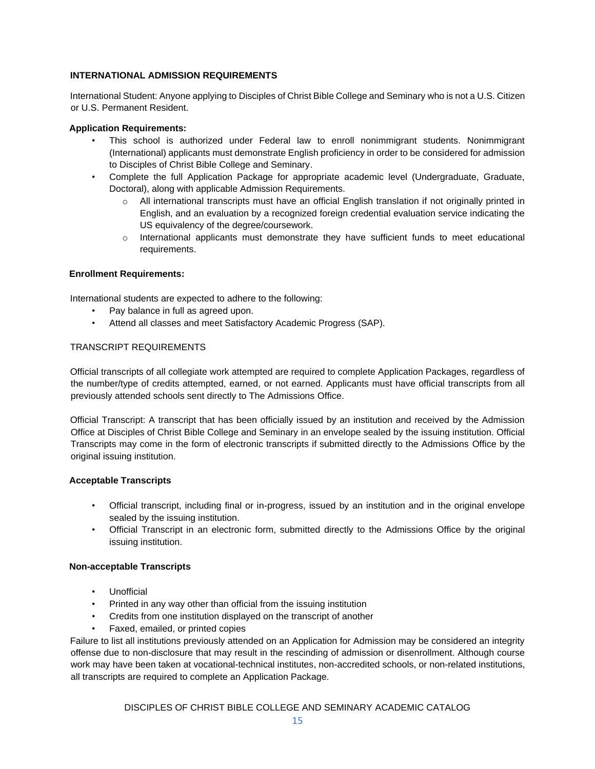# **INTERNATIONAL ADMISSION REQUIREMENTS**

International Student: Anyone applying to Disciples of Christ Bible College and Seminary who is not a U.S. Citizen or U.S. Permanent Resident.

# **Application Requirements:**

- This school is authorized under Federal law to enroll nonimmigrant students. Nonimmigrant (International) applicants must demonstrate English proficiency in order to be considered for admission to Disciples of Christ Bible College and Seminary.
- Complete the full Application Package for appropriate academic level (Undergraduate, Graduate, Doctoral), along with applicable Admission Requirements.
	- o All international transcripts must have an official English translation if not originally printed in English, and an evaluation by a recognized foreign credential evaluation service indicating the US equivalency of the degree/coursework.
	- $\circ$  International applicants must demonstrate they have sufficient funds to meet educational requirements.

# **Enrollment Requirements:**

International students are expected to adhere to the following:

- Pay balance in full as agreed upon.
- Attend all classes and meet Satisfactory Academic Progress (SAP).

# TRANSCRIPT REQUIREMENTS

Official transcripts of all collegiate work attempted are required to complete Application Packages, regardless of the number/type of credits attempted, earned, or not earned. Applicants must have official transcripts from all previously attended schools sent directly to The Admissions Office.

Official Transcript: A transcript that has been officially issued by an institution and received by the Admission Office at Disciples of Christ Bible College and Seminary in an envelope sealed by the issuing institution. Official Transcripts may come in the form of electronic transcripts if submitted directly to the Admissions Office by the original issuing institution.

# **Acceptable Transcripts**

- Official transcript, including final or in-progress, issued by an institution and in the original envelope sealed by the issuing institution.
- Official Transcript in an electronic form, submitted directly to the Admissions Office by the original issuing institution.

# **Non-acceptable Transcripts**

- Unofficial
- Printed in any way other than official from the issuing institution
- Credits from one institution displayed on the transcript of another
- Faxed, emailed, or printed copies

Failure to list all institutions previously attended on an Application for Admission may be considered an integrity offense due to non-disclosure that may result in the rescinding of admission or disenrollment. Although course work may have been taken at vocational-technical institutes, non-accredited schools, or non-related institutions, all transcripts are required to complete an Application Package.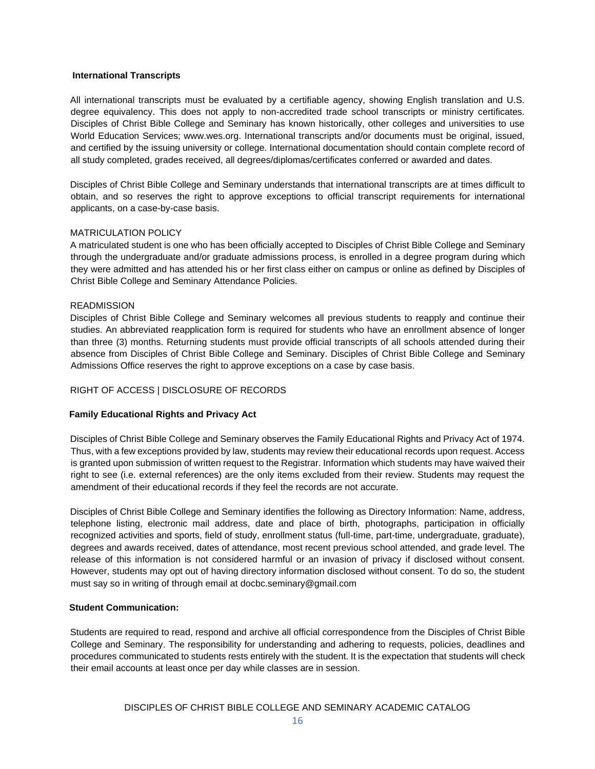#### **International Transcripts**

All international transcripts must be evaluated by a certifiable agency, showing English translation and U.S. degree equivalency. This does not apply to non-accredited trade school transcripts or ministry certificates. Disciples of Christ Bible College and Seminary has known historically, other colleges and universities to use World Education Services; www.wes.org. International transcripts and/or documents must be original, issued, and certified by the issuing university or college. International documentation should contain complete record of all study completed, grades received, all degrees/diplomas/certificates conferred or awarded and dates.

Disciples of Christ Bible College and Seminary understands that international transcripts are at times difficult to obtain, and so reserves the right to approve exceptions to official transcript requirements for international applicants, on a case-by-case basis.

# MATRICULATION POLICY

A matriculated student is one who has been officially accepted to Disciples of Christ Bible College and Seminary through the undergraduate and/or graduate admissions process, is enrolled in a degree program during which they were admitted and has attended his or her first class either on campus or online as defined by Disciples of Christ Bible College and Seminary Attendance Policies.

#### **READMISSION**

Disciples of Christ Bible College and Seminary welcomes all previous students to reapply and continue their studies. An abbreviated reapplication form is required for students who have an enrollment absence of longer than three (3) months. Returning students must provide official transcripts of all schools attended during their absence from Disciples of Christ Bible College and Seminary. Disciples of Christ Bible College and Seminary Admissions Office reserves the right to approve exceptions on a case by case basis.

# RIGHT OF ACCESS | DISCLOSURE OF RECORDS

#### **Family Educational Rights and Privacy Act**

Disciples of Christ Bible College and Seminary observes the Family Educational Rights and Privacy Act of 1974. Thus, with a few exceptions provided by law, students may review their educational records upon request. Access is granted upon submission of written request to the Registrar. Information which students may have waived their right to see (i.e. external references) are the only items excluded from their review. Students may request the amendment of their educational records if they feel the records are not accurate.

Disciples of Christ Bible College and Seminary identifies the following as Directory Information: Name, address, telephone listing, electronic mail address, date and place of birth, photographs, participation in officially recognized activities and sports, field of study, enrollment status (full-time, part-time, undergraduate, graduate), degrees and awards received, dates of attendance, most recent previous school attended, and grade level. The release of this information is not considered harmful or an invasion of privacy if disclosed without consent. However, students may opt out of having directory information disclosed without consent. To do so, the student must say so in writing of through email at docbc.seminary@gmail.com

#### **Student Communication:**

Students are required to read, respond and archive all official correspondence from the Disciples of Christ Bible College and Seminary. The responsibility for understanding and adhering to requests, policies, deadlines and procedures communicated to students rests entirely with the student. It is the expectation that students will check their email accounts at least once per day while classes are in session.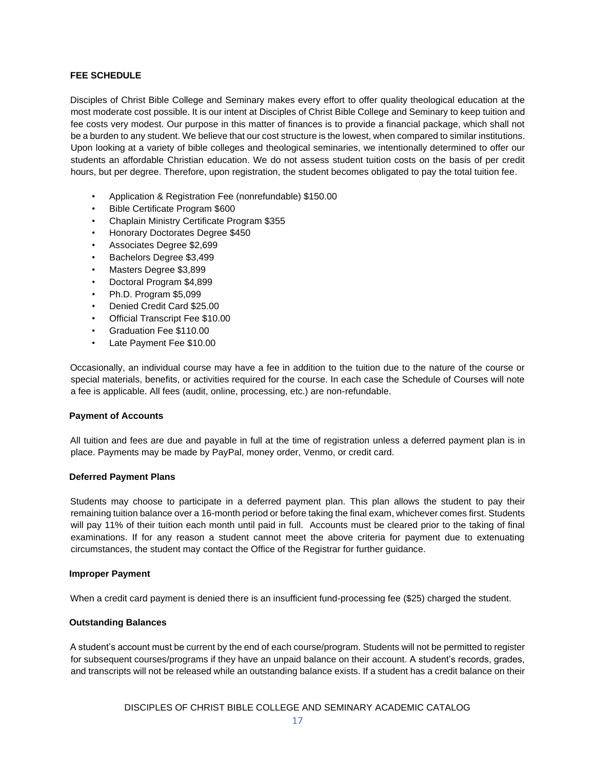# **FEE SCHEDULE**

Disciples of Christ Bible College and Seminary makes every effort to offer quality theological education at the most moderate cost possible. It is our intent at Disciples of Christ Bible College and Seminary to keep tuition and fee costs very modest. Our purpose in this matter of finances is to provide a financial package, which shall not be a burden to any student. We believe that our cost structure is the lowest, when compared to similar institutions. Upon looking at a variety of bible colleges and theological seminaries, we intentionally determined to offer our students an affordable Christian education. We do not assess student tuition costs on the basis of per credit hours, but per degree. Therefore, upon registration, the student becomes obligated to pay the total tuition fee.

- Application & Registration Fee (nonrefundable) \$150.00
- Bible Certificate Program \$600
- Chaplain Ministry Certificate Program \$355
- Honorary Doctorates Degree \$450
- Associates Degree \$2,699
- Bachelors Degree \$3,499
- Masters Degree \$3,899
- Doctoral Program \$4,899
- Ph.D. Program \$5,099
- Denied Credit Card \$25.00
- Official Transcript Fee \$10.00
- Graduation Fee \$110.00
- Late Payment Fee \$10.00

Occasionally, an individual course may have a fee in addition to the tuition due to the nature of the course or special materials, benefits, or activities required for the course. In each case the Schedule of Courses will note a fee is applicable. All fees (audit, online, processing, etc.) are non-refundable.

# **Payment of Accounts**

All tuition and fees are due and payable in full at the time of registration unless a deferred payment plan is in place. Payments may be made by PayPal, money order, Venmo, or credit card.

#### **Deferred Payment Plans**

Students may choose to participate in a deferred payment plan. This plan allows the student to pay their remaining tuition balance over a 16-month period or before taking the final exam, whichever comes first. Students will pay 11% of their tuition each month until paid in full. Accounts must be cleared prior to the taking of final examinations. If for any reason a student cannot meet the above criteria for payment due to extenuating circumstances, the student may contact the Office of the Registrar for further guidance.

#### **Improper Payment**

When a credit card payment is denied there is an insufficient fund-processing fee (\$25) charged the student.

# **Outstanding Balances**

A student's account must be current by the end of each course/program. Students will not be permitted to register for subsequent courses/programs if they have an unpaid balance on their account. A student's records, grades, and transcripts will not be released while an outstanding balance exists. If a student has a credit balance on their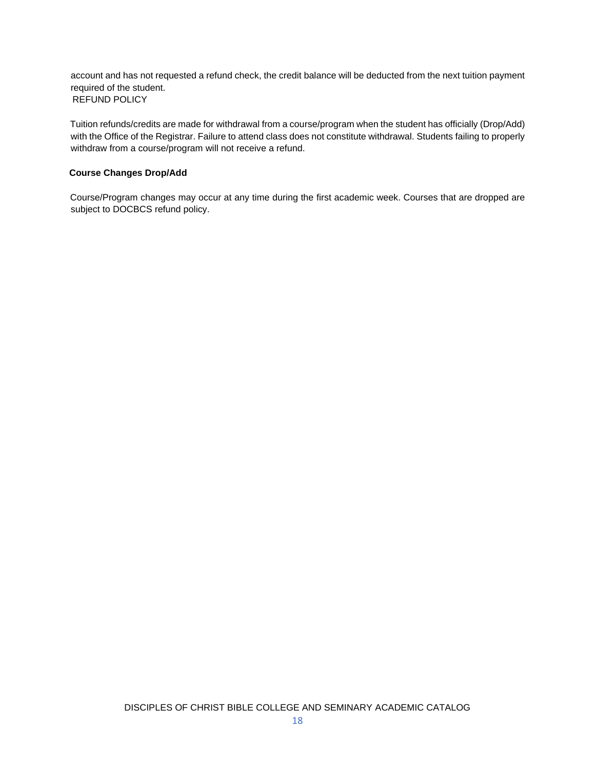account and has not requested a refund check, the credit balance will be deducted from the next tuition payment required of the student. REFUND POLICY

Tuition refunds/credits are made for withdrawal from a course/program when the student has officially (Drop/Add) with the Office of the Registrar. Failure to attend class does not constitute withdrawal. Students failing to properly withdraw from a course/program will not receive a refund.

# **Course Changes Drop/Add**

Course/Program changes may occur at any time during the first academic week. Courses that are dropped are subject to DOCBCS refund policy.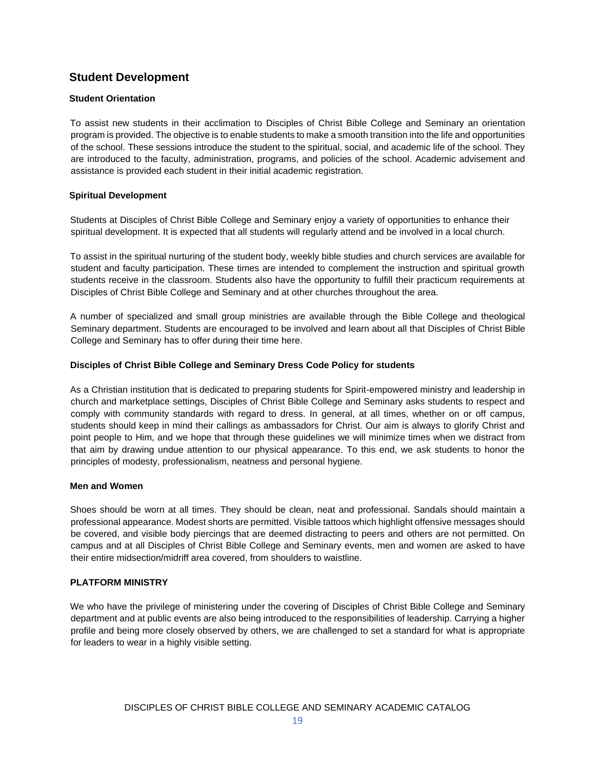# **Student Development**

# **Student Orientation**

To assist new students in their acclimation to Disciples of Christ Bible College and Seminary an orientation program is provided. The objective is to enable students to make a smooth transition into the life and opportunities of the school. These sessions introduce the student to the spiritual, social, and academic life of the school. They are introduced to the faculty, administration, programs, and policies of the school. Academic advisement and assistance is provided each student in their initial academic registration.

# **Spiritual Development**

Students at Disciples of Christ Bible College and Seminary enjoy a variety of opportunities to enhance their spiritual development. It is expected that all students will regularly attend and be involved in a local church.

To assist in the spiritual nurturing of the student body, weekly bible studies and church services are available for student and faculty participation. These times are intended to complement the instruction and spiritual growth students receive in the classroom. Students also have the opportunity to fulfill their practicum requirements at Disciples of Christ Bible College and Seminary and at other churches throughout the area.

A number of specialized and small group ministries are available through the Bible College and theological Seminary department. Students are encouraged to be involved and learn about all that Disciples of Christ Bible College and Seminary has to offer during their time here.

# **Disciples of Christ Bible College and Seminary Dress Code Policy for students**

As a Christian institution that is dedicated to preparing students for Spirit-empowered ministry and leadership in church and marketplace settings, Disciples of Christ Bible College and Seminary asks students to respect and comply with community standards with regard to dress. In general, at all times, whether on or off campus, students should keep in mind their callings as ambassadors for Christ. Our aim is always to glorify Christ and point people to Him, and we hope that through these guidelines we will minimize times when we distract from that aim by drawing undue attention to our physical appearance. To this end, we ask students to honor the principles of modesty, professionalism, neatness and personal hygiene.

# **Men and Women**

Shoes should be worn at all times. They should be clean, neat and professional. Sandals should maintain a professional appearance. Modest shorts are permitted. Visible tattoos which highlight offensive messages should be covered, and visible body piercings that are deemed distracting to peers and others are not permitted. On campus and at all Disciples of Christ Bible College and Seminary events, men and women are asked to have their entire midsection/midriff area covered, from shoulders to waistline.

# **PLATFORM MINISTRY**

We who have the privilege of ministering under the covering of Disciples of Christ Bible College and Seminary department and at public events are also being introduced to the responsibilities of leadership. Carrying a higher profile and being more closely observed by others, we are challenged to set a standard for what is appropriate for leaders to wear in a highly visible setting.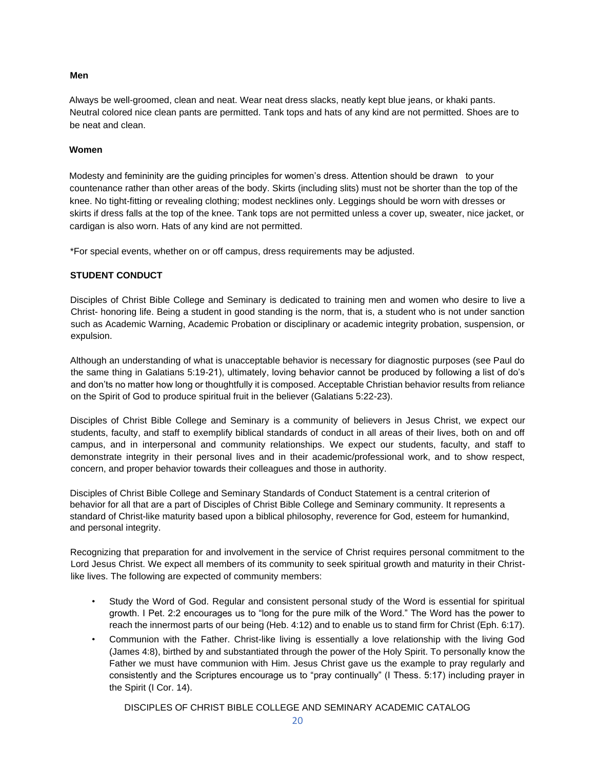# **Men**

Always be well-groomed, clean and neat. Wear neat dress slacks, neatly kept blue jeans, or khaki pants. Neutral colored nice clean pants are permitted. Tank tops and hats of any kind are not permitted. Shoes are to be neat and clean.

#### **Women**

Modesty and femininity are the guiding principles for women's dress. Attention should be drawn to your countenance rather than other areas of the body. Skirts (including slits) must not be shorter than the top of the knee. No tight-fitting or revealing clothing; modest necklines only. Leggings should be worn with dresses or skirts if dress falls at the top of the knee. Tank tops are not permitted unless a cover up, sweater, nice jacket, or cardigan is also worn. Hats of any kind are not permitted.

\*For special events, whether on or off campus, dress requirements may be adjusted.

# **STUDENT CONDUCT**

Disciples of Christ Bible College and Seminary is dedicated to training men and women who desire to live a Christ- honoring life. Being a student in good standing is the norm, that is, a student who is not under sanction such as Academic Warning, Academic Probation or disciplinary or academic integrity probation, suspension, or expulsion.

Although an understanding of what is unacceptable behavior is necessary for diagnostic purposes (see Paul do the same thing in Galatians 5:19-21), ultimately, loving behavior cannot be produced by following a list of do's and don'ts no matter how long or thoughtfully it is composed. Acceptable Christian behavior results from reliance on the Spirit of God to produce spiritual fruit in the believer (Galatians 5:22-23).

Disciples of Christ Bible College and Seminary is a community of believers in Jesus Christ, we expect our students, faculty, and staff to exemplify biblical standards of conduct in all areas of their lives, both on and off campus, and in interpersonal and community relationships. We expect our students, faculty, and staff to demonstrate integrity in their personal lives and in their academic/professional work, and to show respect, concern, and proper behavior towards their colleagues and those in authority.

Disciples of Christ Bible College and Seminary Standards of Conduct Statement is a central criterion of behavior for all that are a part of Disciples of Christ Bible College and Seminary community. It represents a standard of Christ-like maturity based upon a biblical philosophy, reverence for God, esteem for humankind, and personal integrity.

Recognizing that preparation for and involvement in the service of Christ requires personal commitment to the Lord Jesus Christ. We expect all members of its community to seek spiritual growth and maturity in their Christlike lives. The following are expected of community members:

- Study the Word of God. Regular and consistent personal study of the Word is essential for spiritual growth. I Pet. 2:2 encourages us to "long for the pure milk of the Word." The Word has the power to reach the innermost parts of our being (Heb. 4:12) and to enable us to stand firm for Christ (Eph. 6:17).
- Communion with the Father. Christ-like living is essentially a love relationship with the living God (James 4:8), birthed by and substantiated through the power of the Holy Spirit. To personally know the Father we must have communion with Him. Jesus Christ gave us the example to pray regularly and consistently and the Scriptures encourage us to "pray continually" (I Thess. 5:17) including prayer in the Spirit (I Cor. 14).

DISCIPLES OF CHRIST BIBLE COLLEGE AND SEMINARY ACADEMIC CATALOG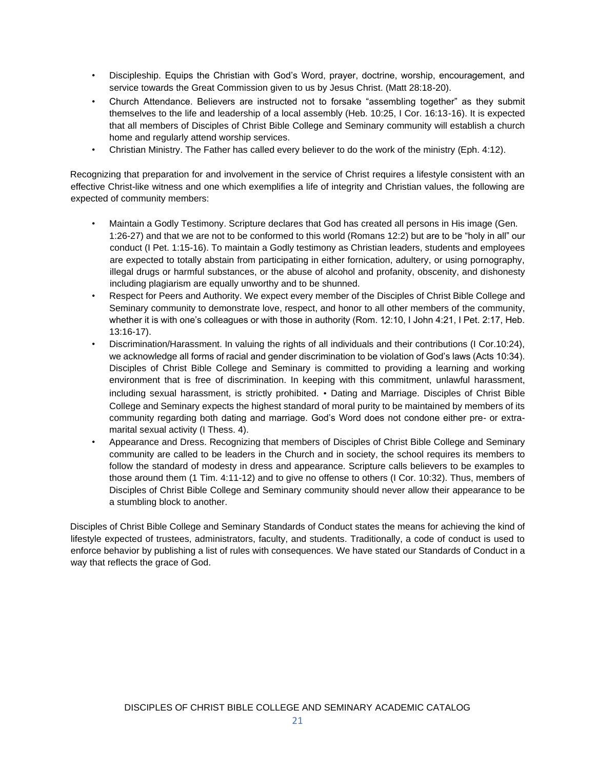- Discipleship. Equips the Christian with God's Word, prayer, doctrine, worship, encouragement, and service towards the Great Commission given to us by Jesus Christ. (Matt 28:18-20).
- Church Attendance. Believers are instructed not to forsake "assembling together" as they submit themselves to the life and leadership of a local assembly (Heb. 10:25, I Cor. 16:13-16). It is expected that all members of Disciples of Christ Bible College and Seminary community will establish a church home and regularly attend worship services.
- Christian Ministry. The Father has called every believer to do the work of the ministry (Eph. 4:12).

Recognizing that preparation for and involvement in the service of Christ requires a lifestyle consistent with an effective Christ-like witness and one which exemplifies a life of integrity and Christian values, the following are expected of community members:

- Maintain a Godly Testimony. Scripture declares that God has created all persons in His image (Gen. 1:26-27) and that we are not to be conformed to this world (Romans 12:2) but are to be "holy in all" our conduct (I Pet. 1:15-16). To maintain a Godly testimony as Christian leaders, students and employees are expected to totally abstain from participating in either fornication, adultery, or using pornography, illegal drugs or harmful substances, or the abuse of alcohol and profanity, obscenity, and dishonesty including plagiarism are equally unworthy and to be shunned.
- Respect for Peers and Authority. We expect every member of the Disciples of Christ Bible College and Seminary community to demonstrate love, respect, and honor to all other members of the community, whether it is with one's colleagues or with those in authority (Rom. 12:10, I John 4:21, I Pet. 2:17, Heb. 13:16-17).
- Discrimination/Harassment. In valuing the rights of all individuals and their contributions (I Cor.10:24), we acknowledge all forms of racial and gender discrimination to be violation of God's laws (Acts 10:34). Disciples of Christ Bible College and Seminary is committed to providing a learning and working environment that is free of discrimination. In keeping with this commitment, unlawful harassment, including sexual harassment, is strictly prohibited. • Dating and Marriage. Disciples of Christ Bible College and Seminary expects the highest standard of moral purity to be maintained by members of its community regarding both dating and marriage. God's Word does not condone either pre- or extramarital sexual activity (I Thess. 4).
- Appearance and Dress. Recognizing that members of Disciples of Christ Bible College and Seminary community are called to be leaders in the Church and in society, the school requires its members to follow the standard of modesty in dress and appearance. Scripture calls believers to be examples to those around them (1 Tim. 4:11-12) and to give no offense to others (I Cor. 10:32). Thus, members of Disciples of Christ Bible College and Seminary community should never allow their appearance to be a stumbling block to another.

Disciples of Christ Bible College and Seminary Standards of Conduct states the means for achieving the kind of lifestyle expected of trustees, administrators, faculty, and students. Traditionally, a code of conduct is used to enforce behavior by publishing a list of rules with consequences. We have stated our Standards of Conduct in a way that reflects the grace of God.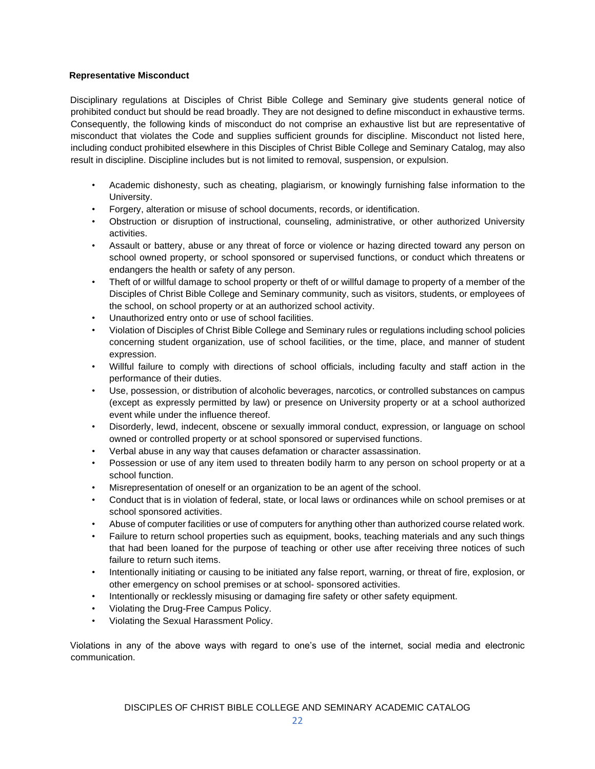# **Representative Misconduct**

Disciplinary regulations at Disciples of Christ Bible College and Seminary give students general notice of prohibited conduct but should be read broadly. They are not designed to define misconduct in exhaustive terms. Consequently, the following kinds of misconduct do not comprise an exhaustive list but are representative of misconduct that violates the Code and supplies sufficient grounds for discipline. Misconduct not listed here, including conduct prohibited elsewhere in this Disciples of Christ Bible College and Seminary Catalog, may also result in discipline. Discipline includes but is not limited to removal, suspension, or expulsion.

- Academic dishonesty, such as cheating, plagiarism, or knowingly furnishing false information to the University.
- Forgery, alteration or misuse of school documents, records, or identification.
- Obstruction or disruption of instructional, counseling, administrative, or other authorized University activities.
- Assault or battery, abuse or any threat of force or violence or hazing directed toward any person on school owned property, or school sponsored or supervised functions, or conduct which threatens or endangers the health or safety of any person.
- Theft of or willful damage to school property or theft of or willful damage to property of a member of the Disciples of Christ Bible College and Seminary community, such as visitors, students, or employees of the school, on school property or at an authorized school activity.
- Unauthorized entry onto or use of school facilities.
- Violation of Disciples of Christ Bible College and Seminary rules or regulations including school policies concerning student organization, use of school facilities, or the time, place, and manner of student expression.
- Willful failure to comply with directions of school officials, including faculty and staff action in the performance of their duties.
- Use, possession, or distribution of alcoholic beverages, narcotics, or controlled substances on campus (except as expressly permitted by law) or presence on University property or at a school authorized event while under the influence thereof.
- Disorderly, lewd, indecent, obscene or sexually immoral conduct, expression, or language on school owned or controlled property or at school sponsored or supervised functions.
- Verbal abuse in any way that causes defamation or character assassination.
- Possession or use of any item used to threaten bodily harm to any person on school property or at a school function.
- Misrepresentation of oneself or an organization to be an agent of the school.
- Conduct that is in violation of federal, state, or local laws or ordinances while on school premises or at school sponsored activities.
- Abuse of computer facilities or use of computers for anything other than authorized course related work.
- Failure to return school properties such as equipment, books, teaching materials and any such things that had been loaned for the purpose of teaching or other use after receiving three notices of such failure to return such items.
- Intentionally initiating or causing to be initiated any false report, warning, or threat of fire, explosion, or other emergency on school premises or at school- sponsored activities.
- Intentionally or recklessly misusing or damaging fire safety or other safety equipment.
- Violating the Drug-Free Campus Policy.
- Violating the Sexual Harassment Policy.

Violations in any of the above ways with regard to one's use of the internet, social media and electronic communication.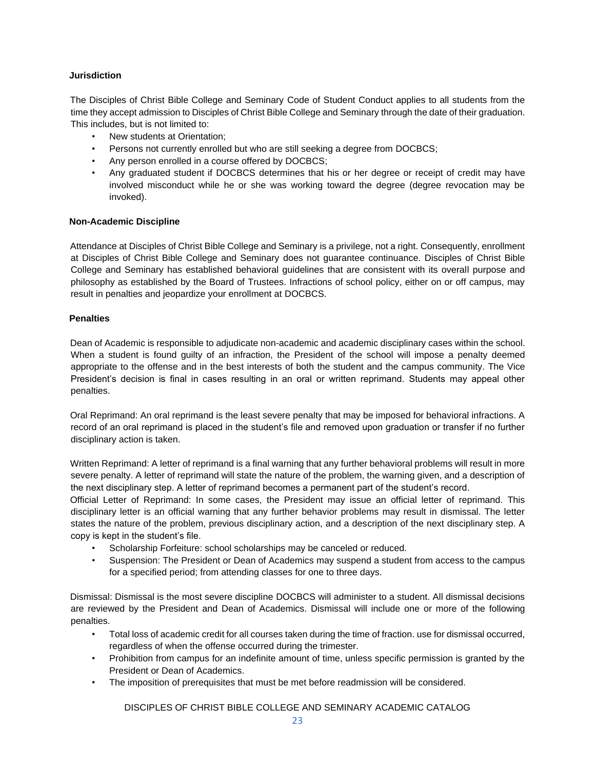# **Jurisdiction**

The Disciples of Christ Bible College and Seminary Code of Student Conduct applies to all students from the time they accept admission to Disciples of Christ Bible College and Seminary through the date of their graduation. This includes, but is not limited to:

- New students at Orientation;
- Persons not currently enrolled but who are still seeking a degree from DOCBCS;
- Any person enrolled in a course offered by DOCBCS;
- Any graduated student if DOCBCS determines that his or her degree or receipt of credit may have involved misconduct while he or she was working toward the degree (degree revocation may be invoked).

# **Non-Academic Discipline**

Attendance at Disciples of Christ Bible College and Seminary is a privilege, not a right. Consequently, enrollment at Disciples of Christ Bible College and Seminary does not guarantee continuance. Disciples of Christ Bible College and Seminary has established behavioral guidelines that are consistent with its overall purpose and philosophy as established by the Board of Trustees. Infractions of school policy, either on or off campus, may result in penalties and jeopardize your enrollment at DOCBCS.

#### **Penalties**

Dean of Academic is responsible to adjudicate non-academic and academic disciplinary cases within the school. When a student is found guilty of an infraction, the President of the school will impose a penalty deemed appropriate to the offense and in the best interests of both the student and the campus community. The Vice President's decision is final in cases resulting in an oral or written reprimand. Students may appeal other penalties.

Oral Reprimand: An oral reprimand is the least severe penalty that may be imposed for behavioral infractions. A record of an oral reprimand is placed in the student's file and removed upon graduation or transfer if no further disciplinary action is taken.

Written Reprimand: A letter of reprimand is a final warning that any further behavioral problems will result in more severe penalty. A letter of reprimand will state the nature of the problem, the warning given, and a description of the next disciplinary step. A letter of reprimand becomes a permanent part of the student's record.

Official Letter of Reprimand: In some cases, the President may issue an official letter of reprimand. This disciplinary letter is an official warning that any further behavior problems may result in dismissal. The letter states the nature of the problem, previous disciplinary action, and a description of the next disciplinary step. A copy is kept in the student's file.

- Scholarship Forfeiture: school scholarships may be canceled or reduced.
- Suspension: The President or Dean of Academics may suspend a student from access to the campus for a specified period; from attending classes for one to three days.

Dismissal: Dismissal is the most severe discipline DOCBCS will administer to a student. All dismissal decisions are reviewed by the President and Dean of Academics. Dismissal will include one or more of the following penalties.

- Total loss of academic credit for all courses taken during the time of fraction. use for dismissal occurred, regardless of when the offense occurred during the trimester.
- Prohibition from campus for an indefinite amount of time, unless specific permission is granted by the President or Dean of Academics.
- The imposition of prerequisites that must be met before readmission will be considered.

DISCIPLES OF CHRIST BIBLE COLLEGE AND SEMINARY ACADEMIC CATALOG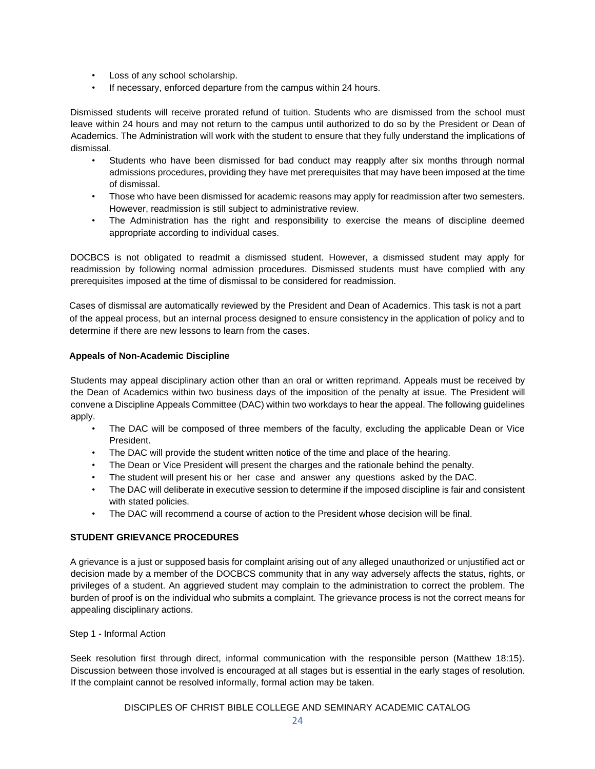- Loss of any school scholarship.
- If necessary, enforced departure from the campus within 24 hours.

Dismissed students will receive prorated refund of tuition. Students who are dismissed from the school must leave within 24 hours and may not return to the campus until authorized to do so by the President or Dean of Academics. The Administration will work with the student to ensure that they fully understand the implications of dismissal.

- Students who have been dismissed for bad conduct may reapply after six months through normal admissions procedures, providing they have met prerequisites that may have been imposed at the time of dismissal.
- Those who have been dismissed for academic reasons may apply for readmission after two semesters. However, readmission is still subject to administrative review.
- The Administration has the right and responsibility to exercise the means of discipline deemed appropriate according to individual cases.

DOCBCS is not obligated to readmit a dismissed student. However, a dismissed student may apply for readmission by following normal admission procedures. Dismissed students must have complied with any prerequisites imposed at the time of dismissal to be considered for readmission.

Cases of dismissal are automatically reviewed by the President and Dean of Academics. This task is not a part of the appeal process, but an internal process designed to ensure consistency in the application of policy and to determine if there are new lessons to learn from the cases.

# **Appeals of Non-Academic Discipline**

Students may appeal disciplinary action other than an oral or written reprimand. Appeals must be received by the Dean of Academics within two business days of the imposition of the penalty at issue. The President will convene a Discipline Appeals Committee (DAC) within two workdays to hear the appeal. The following guidelines apply.

- The DAC will be composed of three members of the faculty, excluding the applicable Dean or Vice President.
- The DAC will provide the student written notice of the time and place of the hearing.
- The Dean or Vice President will present the charges and the rationale behind the penalty.
- The student will present his or her case and answer any questions asked by the DAC.
- The DAC will deliberate in executive session to determine if the imposed discipline is fair and consistent with stated policies.
- The DAC will recommend a course of action to the President whose decision will be final.

# **STUDENT GRIEVANCE PROCEDURES**

A grievance is a just or supposed basis for complaint arising out of any alleged unauthorized or unjustified act or decision made by a member of the DOCBCS community that in any way adversely affects the status, rights, or privileges of a student. An aggrieved student may complain to the administration to correct the problem. The burden of proof is on the individual who submits a complaint. The grievance process is not the correct means for appealing disciplinary actions.

Step 1 - Informal Action

Seek resolution first through direct, informal communication with the responsible person (Matthew 18:15). Discussion between those involved is encouraged at all stages but is essential in the early stages of resolution. If the complaint cannot be resolved informally, formal action may be taken.

DISCIPLES OF CHRIST BIBLE COLLEGE AND SEMINARY ACADEMIC CATALOG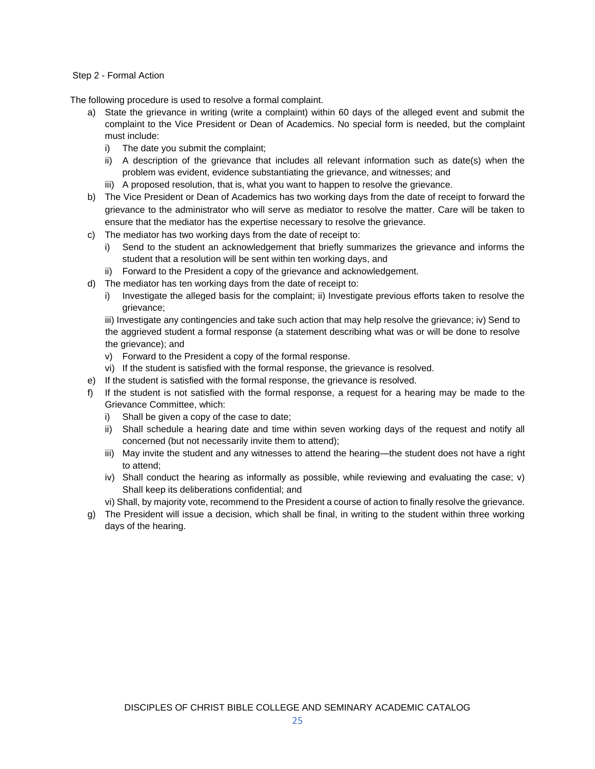# Step 2 - Formal Action

The following procedure is used to resolve a formal complaint.

- a) State the grievance in writing (write a complaint) within 60 days of the alleged event and submit the complaint to the Vice President or Dean of Academics. No special form is needed, but the complaint must include:
	- i) The date you submit the complaint;
	- ii) A description of the grievance that includes all relevant information such as date(s) when the problem was evident, evidence substantiating the grievance, and witnesses; and
	- iii) A proposed resolution, that is, what you want to happen to resolve the grievance.
- b) The Vice President or Dean of Academics has two working days from the date of receipt to forward the grievance to the administrator who will serve as mediator to resolve the matter. Care will be taken to ensure that the mediator has the expertise necessary to resolve the grievance.
- c) The mediator has two working days from the date of receipt to:
	- i) Send to the student an acknowledgement that briefly summarizes the grievance and informs the student that a resolution will be sent within ten working days, and
	- ii) Forward to the President a copy of the grievance and acknowledgement.
- d) The mediator has ten working days from the date of receipt to:
	- i) Investigate the alleged basis for the complaint; ii) Investigate previous efforts taken to resolve the grievance;

iii) Investigate any contingencies and take such action that may help resolve the grievance; iv) Send to the aggrieved student a formal response (a statement describing what was or will be done to resolve the grievance); and

- v) Forward to the President a copy of the formal response.
- vi) If the student is satisfied with the formal response, the grievance is resolved.
- e) If the student is satisfied with the formal response, the grievance is resolved.
- f) If the student is not satisfied with the formal response, a request for a hearing may be made to the Grievance Committee, which:
	- i) Shall be given a copy of the case to date;
	- ii) Shall schedule a hearing date and time within seven working days of the request and notify all concerned (but not necessarily invite them to attend);
	- iii) May invite the student and any witnesses to attend the hearing—the student does not have a right to attend;
	- iv) Shall conduct the hearing as informally as possible, while reviewing and evaluating the case; v) Shall keep its deliberations confidential; and
	- vi) Shall, by majority vote, recommend to the President a course of action to finally resolve the grievance.
- g) The President will issue a decision, which shall be final, in writing to the student within three working days of the hearing.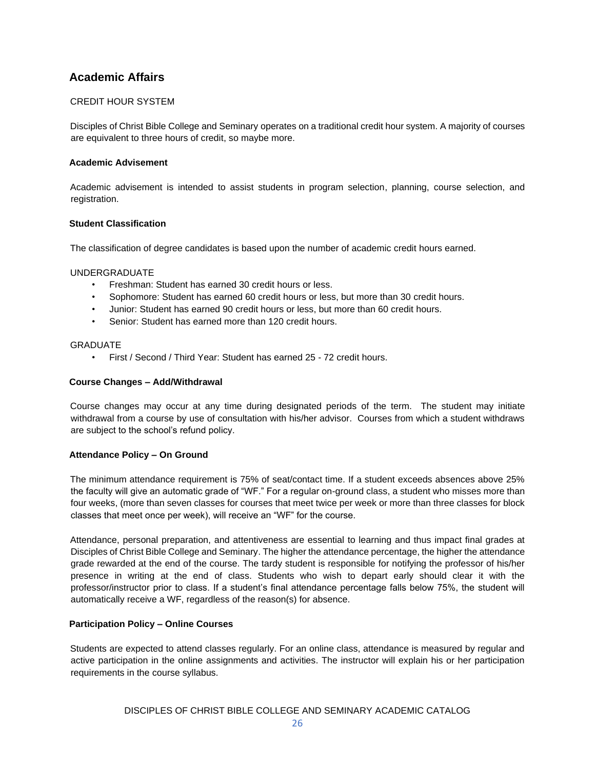# **Academic Affairs**

# CREDIT HOUR SYSTEM

Disciples of Christ Bible College and Seminary operates on a traditional credit hour system. A majority of courses are equivalent to three hours of credit, so maybe more.

# **Academic Advisement**

Academic advisement is intended to assist students in program selection, planning, course selection, and registration.

# **Student Classification**

The classification of degree candidates is based upon the number of academic credit hours earned.

#### UNDERGRADUATE

- Freshman: Student has earned 30 credit hours or less.
- Sophomore: Student has earned 60 credit hours or less, but more than 30 credit hours.
- Junior: Student has earned 90 credit hours or less, but more than 60 credit hours.
- Senior: Student has earned more than 120 credit hours.

#### **GRADUATE**

• First / Second / Third Year: Student has earned 25 - 72 credit hours.

#### **Course Changes – Add/Withdrawal**

Course changes may occur at any time during designated periods of the term. The student may initiate withdrawal from a course by use of consultation with his/her advisor. Courses from which a student withdraws are subject to the school's refund policy.

# **Attendance Policy – On Ground**

The minimum attendance requirement is 75% of seat/contact time. If a student exceeds absences above 25% the faculty will give an automatic grade of "WF." For a regular on-ground class, a student who misses more than four weeks, (more than seven classes for courses that meet twice per week or more than three classes for block classes that meet once per week), will receive an "WF" for the course.

Attendance, personal preparation, and attentiveness are essential to learning and thus impact final grades at Disciples of Christ Bible College and Seminary. The higher the attendance percentage, the higher the attendance grade rewarded at the end of the course. The tardy student is responsible for notifying the professor of his/her presence in writing at the end of class. Students who wish to depart early should clear it with the professor/instructor prior to class. If a student's final attendance percentage falls below 75%, the student will automatically receive a WF, regardless of the reason(s) for absence.

# **Participation Policy – Online Courses**

Students are expected to attend classes regularly. For an online class, attendance is measured by regular and active participation in the online assignments and activities. The instructor will explain his or her participation requirements in the course syllabus.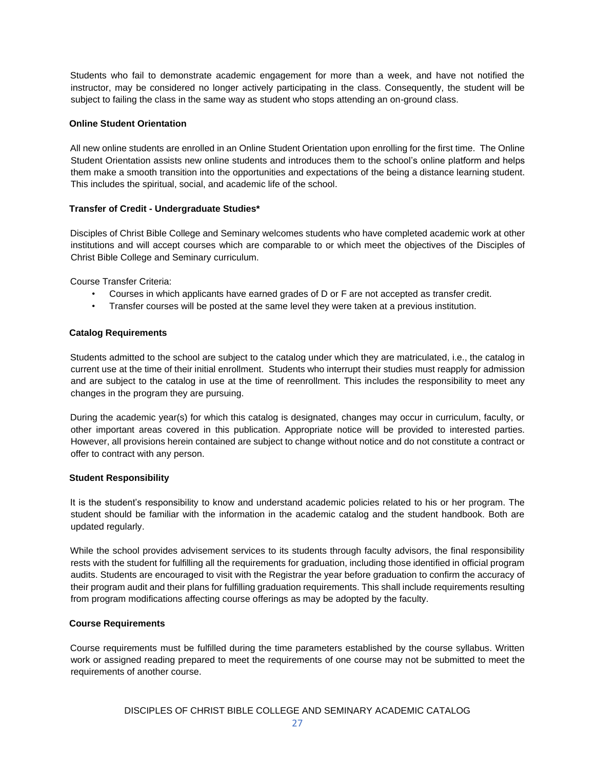Students who fail to demonstrate academic engagement for more than a week, and have not notified the instructor, may be considered no longer actively participating in the class. Consequently, the student will be subject to failing the class in the same way as student who stops attending an on-ground class.

# **Online Student Orientation**

All new online students are enrolled in an Online Student Orientation upon enrolling for the first time. The Online Student Orientation assists new online students and introduces them to the school's online platform and helps them make a smooth transition into the opportunities and expectations of the being a distance learning student. This includes the spiritual, social, and academic life of the school.

#### **Transfer of Credit - Undergraduate Studies\***

Disciples of Christ Bible College and Seminary welcomes students who have completed academic work at other institutions and will accept courses which are comparable to or which meet the objectives of the Disciples of Christ Bible College and Seminary curriculum.

Course Transfer Criteria:

- Courses in which applicants have earned grades of D or F are not accepted as transfer credit.
- Transfer courses will be posted at the same level they were taken at a previous institution.

#### **Catalog Requirements**

Students admitted to the school are subject to the catalog under which they are matriculated, i.e., the catalog in current use at the time of their initial enrollment. Students who interrupt their studies must reapply for admission and are subject to the catalog in use at the time of reenrollment. This includes the responsibility to meet any changes in the program they are pursuing.

During the academic year(s) for which this catalog is designated, changes may occur in curriculum, faculty, or other important areas covered in this publication. Appropriate notice will be provided to interested parties. However, all provisions herein contained are subject to change without notice and do not constitute a contract or offer to contract with any person.

#### **Student Responsibility**

It is the student's responsibility to know and understand academic policies related to his or her program. The student should be familiar with the information in the academic catalog and the student handbook. Both are updated regularly.

While the school provides advisement services to its students through faculty advisors, the final responsibility rests with the student for fulfilling all the requirements for graduation, including those identified in official program audits. Students are encouraged to visit with the Registrar the year before graduation to confirm the accuracy of their program audit and their plans for fulfilling graduation requirements. This shall include requirements resulting from program modifications affecting course offerings as may be adopted by the faculty.

# **Course Requirements**

Course requirements must be fulfilled during the time parameters established by the course syllabus. Written work or assigned reading prepared to meet the requirements of one course may not be submitted to meet the requirements of another course.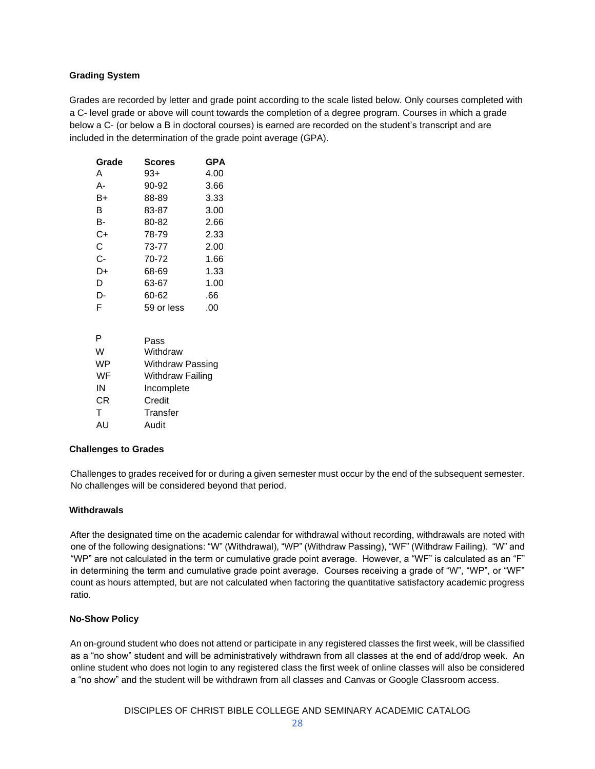# **Grading System**

Grades are recorded by letter and grade point according to the scale listed below. Only courses completed with a C- level grade or above will count towards the completion of a degree program. Courses in which a grade below a C- (or below a B in doctoral courses) is earned are recorded on the student's transcript and are included in the determination of the grade point average (GPA).

| Grade | <b>Scores</b> | GPA  |
|-------|---------------|------|
| А     | $93+$         | 4.00 |
| А-    | 90-92         | 3.66 |
| B+    | 88-89         | 3.33 |
| в     | 83-87         | 3.00 |
| в-    | 80-82         | 2.66 |
| C+    | 78-79         | 2.33 |
| C     | 73-77         | 2.00 |
| C-    | 70-72         | 1.66 |
| D+    | 68-69         | 1.33 |
| D     | 63-67         | 1.00 |
| D-    | 60-62         | .66  |
| F     | 59 or less    | .00  |

| P  | Pass                    |
|----|-------------------------|
| w  | Withdraw                |
| WP | <b>Withdraw Passing</b> |
| WF | <b>Withdraw Failing</b> |
| IN | Incomplete              |
| СR | Credit                  |
| т  | Transfer                |
| AU | Audit                   |
|    |                         |

#### **Challenges to Grades**

Challenges to grades received for or during a given semester must occur by the end of the subsequent semester. No challenges will be considered beyond that period.

#### **Withdrawals**

After the designated time on the academic calendar for withdrawal without recording, withdrawals are noted with one of the following designations: "W" (Withdrawal), "WP" (Withdraw Passing), "WF" (Withdraw Failing). "W" and "WP" are not calculated in the term or cumulative grade point average. However, a "WF" is calculated as an "F" in determining the term and cumulative grade point average. Courses receiving a grade of "W", "WP", or "WF" count as hours attempted, but are not calculated when factoring the quantitative satisfactory academic progress ratio.

# **No-Show Policy**

An on-ground student who does not attend or participate in any registered classes the first week, will be classified as a "no show" student and will be administratively withdrawn from all classes at the end of add/drop week. An online student who does not login to any registered class the first week of online classes will also be considered a "no show" and the student will be withdrawn from all classes and Canvas or Google Classroom access.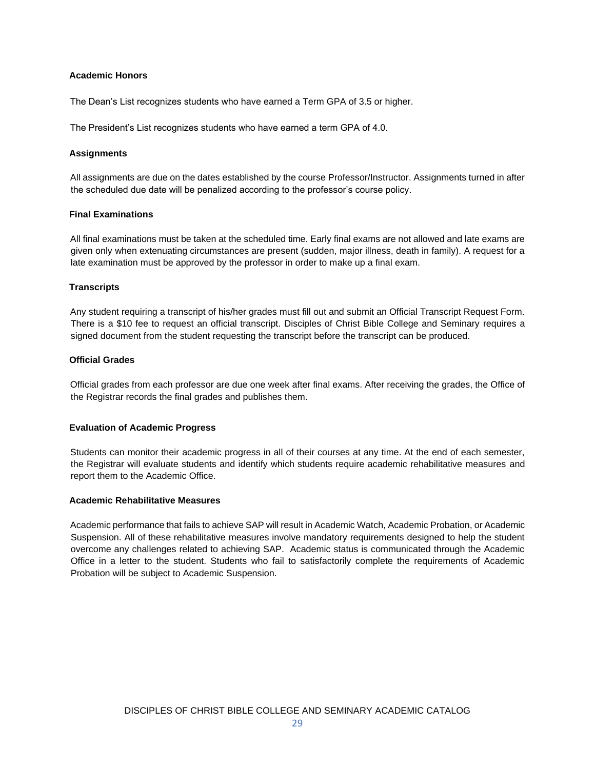#### **Academic Honors**

The Dean's List recognizes students who have earned a Term GPA of 3.5 or higher.

The President's List recognizes students who have earned a term GPA of 4.0.

#### **Assignments**

All assignments are due on the dates established by the course Professor/Instructor. Assignments turned in after the scheduled due date will be penalized according to the professor's course policy.

#### **Final Examinations**

All final examinations must be taken at the scheduled time. Early final exams are not allowed and late exams are given only when extenuating circumstances are present (sudden, major illness, death in family). A request for a late examination must be approved by the professor in order to make up a final exam.

#### **Transcripts**

Any student requiring a transcript of his/her grades must fill out and submit an Official Transcript Request Form. There is a \$10 fee to request an official transcript. Disciples of Christ Bible College and Seminary requires a signed document from the student requesting the transcript before the transcript can be produced.

#### **Official Grades**

Official grades from each professor are due one week after final exams. After receiving the grades, the Office of the Registrar records the final grades and publishes them.

#### **Evaluation of Academic Progress**

Students can monitor their academic progress in all of their courses at any time. At the end of each semester, the Registrar will evaluate students and identify which students require academic rehabilitative measures and report them to the Academic Office.

#### **Academic Rehabilitative Measures**

Academic performance that fails to achieve SAP will result in Academic Watch, Academic Probation, or Academic Suspension. All of these rehabilitative measures involve mandatory requirements designed to help the student overcome any challenges related to achieving SAP. Academic status is communicated through the Academic Office in a letter to the student. Students who fail to satisfactorily complete the requirements of Academic Probation will be subject to Academic Suspension.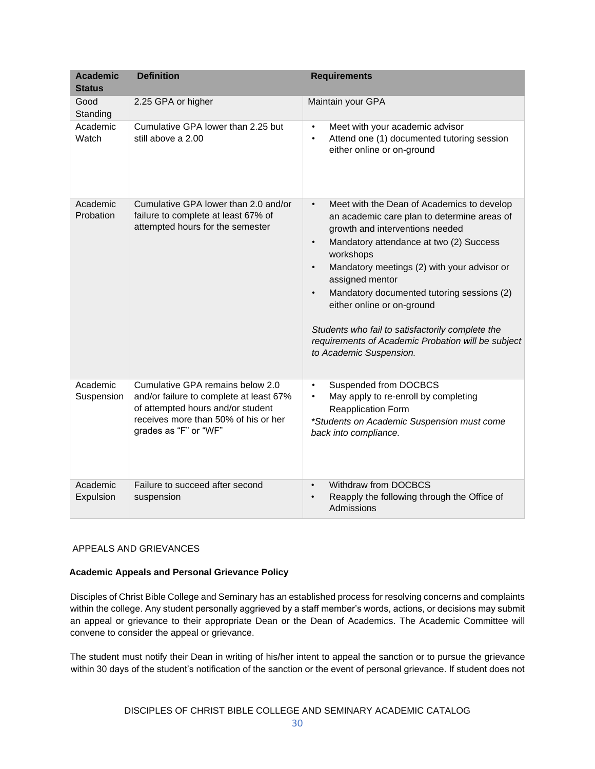| <b>Academic</b>                   | <b>Definition</b>                                                                                                                                                                 | <b>Requirements</b>                                                                                                                                                                                                                                                                                                                                                                                                                                                                                                         |
|-----------------------------------|-----------------------------------------------------------------------------------------------------------------------------------------------------------------------------------|-----------------------------------------------------------------------------------------------------------------------------------------------------------------------------------------------------------------------------------------------------------------------------------------------------------------------------------------------------------------------------------------------------------------------------------------------------------------------------------------------------------------------------|
| <b>Status</b><br>Good<br>Standing | 2.25 GPA or higher                                                                                                                                                                | Maintain your GPA                                                                                                                                                                                                                                                                                                                                                                                                                                                                                                           |
| Academic<br>Watch                 | Cumulative GPA lower than 2.25 but<br>still above a 2.00                                                                                                                          | Meet with your academic advisor<br>$\bullet$<br>Attend one (1) documented tutoring session<br>$\bullet$<br>either online or on-ground                                                                                                                                                                                                                                                                                                                                                                                       |
| Academic<br>Probation             | Cumulative GPA lower than 2.0 and/or<br>failure to complete at least 67% of<br>attempted hours for the semester                                                                   | Meet with the Dean of Academics to develop<br>$\bullet$<br>an academic care plan to determine areas of<br>growth and interventions needed<br>Mandatory attendance at two (2) Success<br>$\bullet$<br>workshops<br>Mandatory meetings (2) with your advisor or<br>$\bullet$<br>assigned mentor<br>Mandatory documented tutoring sessions (2)<br>$\bullet$<br>either online or on-ground<br>Students who fail to satisfactorily complete the<br>requirements of Academic Probation will be subject<br>to Academic Suspension. |
| Academic<br>Suspension            | Cumulative GPA remains below 2.0<br>and/or failure to complete at least 67%<br>of attempted hours and/or student<br>receives more than 50% of his or her<br>grades as "F" or "WF" | Suspended from DOCBCS<br>$\bullet$<br>May apply to re-enroll by completing<br>$\bullet$<br>Reapplication Form<br>*Students on Academic Suspension must come<br>back into compliance.                                                                                                                                                                                                                                                                                                                                        |
| Academic<br>Expulsion             | Failure to succeed after second<br>suspension                                                                                                                                     | Withdraw from DOCBCS<br>$\bullet$<br>Reapply the following through the Office of<br>$\bullet$<br>Admissions                                                                                                                                                                                                                                                                                                                                                                                                                 |

# APPEALS AND GRIEVANCES

# **Academic Appeals and Personal Grievance Policy**

Disciples of Christ Bible College and Seminary has an established process for resolving concerns and complaints within the college. Any student personally aggrieved by a staff member's words, actions, or decisions may submit an appeal or grievance to their appropriate Dean or the Dean of Academics. The Academic Committee will convene to consider the appeal or grievance.

The student must notify their Dean in writing of his/her intent to appeal the sanction or to pursue the grievance within 30 days of the student's notification of the sanction or the event of personal grievance. If student does not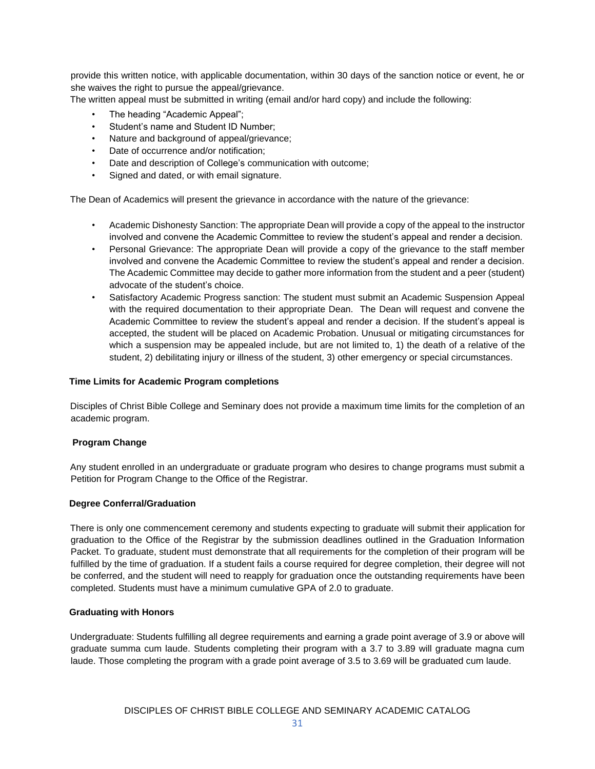provide this written notice, with applicable documentation, within 30 days of the sanction notice or event, he or she waives the right to pursue the appeal/grievance.

The written appeal must be submitted in writing (email and/or hard copy) and include the following:

- The heading "Academic Appeal";
- Student's name and Student ID Number:
- Nature and background of appeal/grievance;
- Date of occurrence and/or notification;
- Date and description of College's communication with outcome;
- Signed and dated, or with email signature.

The Dean of Academics will present the grievance in accordance with the nature of the grievance:

- Academic Dishonesty Sanction: The appropriate Dean will provide a copy of the appeal to the instructor involved and convene the Academic Committee to review the student's appeal and render a decision.
- Personal Grievance: The appropriate Dean will provide a copy of the grievance to the staff member involved and convene the Academic Committee to review the student's appeal and render a decision. The Academic Committee may decide to gather more information from the student and a peer (student) advocate of the student's choice.
- Satisfactory Academic Progress sanction: The student must submit an Academic Suspension Appeal with the required documentation to their appropriate Dean. The Dean will request and convene the Academic Committee to review the student's appeal and render a decision. If the student's appeal is accepted, the student will be placed on Academic Probation. Unusual or mitigating circumstances for which a suspension may be appealed include, but are not limited to, 1) the death of a relative of the student, 2) debilitating injury or illness of the student, 3) other emergency or special circumstances.

#### **Time Limits for Academic Program completions**

Disciples of Christ Bible College and Seminary does not provide a maximum time limits for the completion of an academic program.

# **Program Change**

Any student enrolled in an undergraduate or graduate program who desires to change programs must submit a Petition for Program Change to the Office of the Registrar.

#### **Degree Conferral/Graduation**

There is only one commencement ceremony and students expecting to graduate will submit their application for graduation to the Office of the Registrar by the submission deadlines outlined in the Graduation Information Packet. To graduate, student must demonstrate that all requirements for the completion of their program will be fulfilled by the time of graduation. If a student fails a course required for degree completion, their degree will not be conferred, and the student will need to reapply for graduation once the outstanding requirements have been completed. Students must have a minimum cumulative GPA of 2.0 to graduate.

#### **Graduating with Honors**

Undergraduate: Students fulfilling all degree requirements and earning a grade point average of 3.9 or above will graduate summa cum laude. Students completing their program with a 3.7 to 3.89 will graduate magna cum laude. Those completing the program with a grade point average of 3.5 to 3.69 will be graduated cum laude.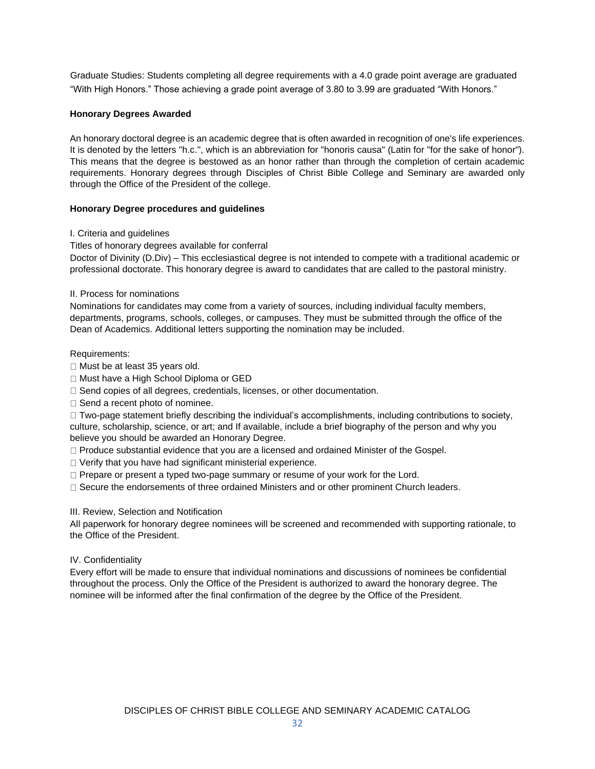Graduate Studies: Students completing all degree requirements with a 4.0 grade point average are graduated "With High Honors." Those achieving a grade point average of 3.80 to 3.99 are graduated "With Honors."

#### **Honorary Degrees Awarded**

An honorary doctoral degree is an academic degree that is often awarded in recognition of one's life experiences. It is denoted by the letters "h.c.", which is an abbreviation for "honoris causa" (Latin for "for the sake of honor"). This means that the degree is bestowed as an honor rather than through the completion of certain academic requirements. Honorary degrees through Disciples of Christ Bible College and Seminary are awarded only through the Office of the President of the college.

#### **Honorary Degree procedures and guidelines**

#### I. Criteria and guidelines

Titles of honorary degrees available for conferral

Doctor of Divinity (D.Div) – This ecclesiastical degree is not intended to compete with a traditional academic or professional doctorate. This honorary degree is award to candidates that are called to the pastoral ministry.

#### II. Process for nominations

Nominations for candidates may come from a variety of sources, including individual faculty members, departments, programs, schools, colleges, or campuses. They must be submitted through the office of the Dean of Academics. Additional letters supporting the nomination may be included.

#### Requirements:

- $\Box$  Must be at least 35 years old.
- □ Must have a High School Diploma or GED
- □ Send copies of all degrees, credentials, licenses, or other documentation.
- $\Box$  Send a recent photo of nominee.

 $\Box$  Two-page statement briefly describing the individual's accomplishments, including contributions to society, culture, scholarship, science, or art; and If available, include a brief biography of the person and why you believe you should be awarded an Honorary Degree.

Produce substantial evidence that you are a licensed and ordained Minister of the Gospel.

- Verify that you have had significant ministerial experience.
- □ Prepare or present a typed two-page summary or resume of your work for the Lord.
- □ Secure the endorsements of three ordained Ministers and or other prominent Church leaders.

# III. Review, Selection and Notification

All paperwork for honorary degree nominees will be screened and recommended with supporting rationale, to the Office of the President.

# IV. Confidentiality

Every effort will be made to ensure that individual nominations and discussions of nominees be confidential throughout the process. Only the Office of the President is authorized to award the honorary degree. The nominee will be informed after the final confirmation of the degree by the Office of the President.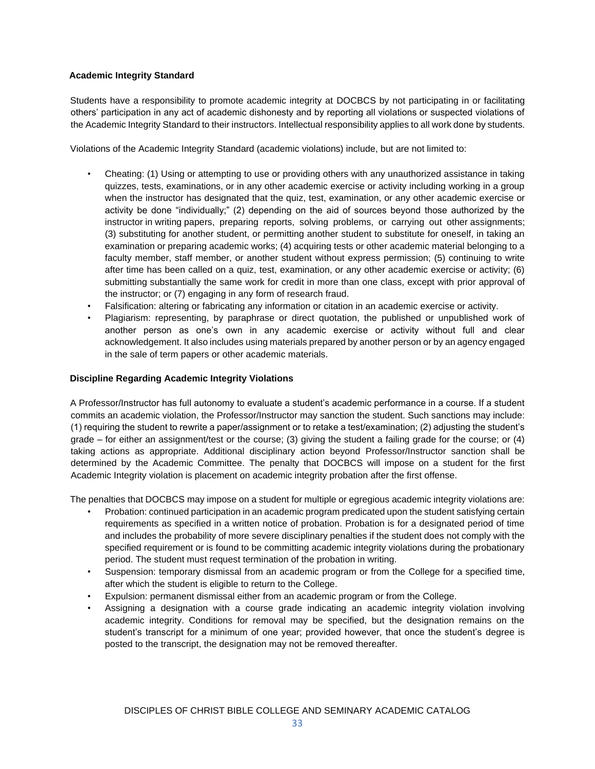# **Academic Integrity Standard**

Students have a responsibility to promote academic integrity at DOCBCS by not participating in or facilitating others' participation in any act of academic dishonesty and by reporting all violations or suspected violations of the Academic Integrity Standard to their instructors. Intellectual responsibility applies to all work done by students.

Violations of the Academic Integrity Standard (academic violations) include, but are not limited to:

- Cheating: (1) Using or attempting to use or providing others with any unauthorized assistance in taking quizzes, tests, examinations, or in any other academic exercise or activity including working in a group when the instructor has designated that the quiz, test, examination, or any other academic exercise or activity be done "individually;" (2) depending on the aid of sources beyond those authorized by the instructor in writing papers, preparing reports, solving problems, or carrying out other assignments; (3) substituting for another student, or permitting another student to substitute for oneself, in taking an examination or preparing academic works; (4) acquiring tests or other academic material belonging to a faculty member, staff member, or another student without express permission; (5) continuing to write after time has been called on a quiz, test, examination, or any other academic exercise or activity; (6) submitting substantially the same work for credit in more than one class, except with prior approval of the instructor; or (7) engaging in any form of research fraud.
- Falsification: altering or fabricating any information or citation in an academic exercise or activity.
- Plagiarism: representing, by paraphrase or direct quotation, the published or unpublished work of another person as one's own in any academic exercise or activity without full and clear acknowledgement. It also includes using materials prepared by another person or by an agency engaged in the sale of term papers or other academic materials.

# **Discipline Regarding Academic Integrity Violations**

A Professor/Instructor has full autonomy to evaluate a student's academic performance in a course. If a student commits an academic violation, the Professor/Instructor may sanction the student. Such sanctions may include: (1) requiring the student to rewrite a paper/assignment or to retake a test/examination; (2) adjusting the student's grade – for either an assignment/test or the course; (3) giving the student a failing grade for the course; or (4) taking actions as appropriate. Additional disciplinary action beyond Professor/Instructor sanction shall be determined by the Academic Committee. The penalty that DOCBCS will impose on a student for the first Academic Integrity violation is placement on academic integrity probation after the first offense.

The penalties that DOCBCS may impose on a student for multiple or egregious academic integrity violations are:

- Probation: continued participation in an academic program predicated upon the student satisfying certain requirements as specified in a written notice of probation. Probation is for a designated period of time and includes the probability of more severe disciplinary penalties if the student does not comply with the specified requirement or is found to be committing academic integrity violations during the probationary period. The student must request termination of the probation in writing.
- Suspension: temporary dismissal from an academic program or from the College for a specified time, after which the student is eligible to return to the College.
- Expulsion: permanent dismissal either from an academic program or from the College.
- Assigning a designation with a course grade indicating an academic integrity violation involving academic integrity. Conditions for removal may be specified, but the designation remains on the student's transcript for a minimum of one year; provided however, that once the student's degree is posted to the transcript, the designation may not be removed thereafter.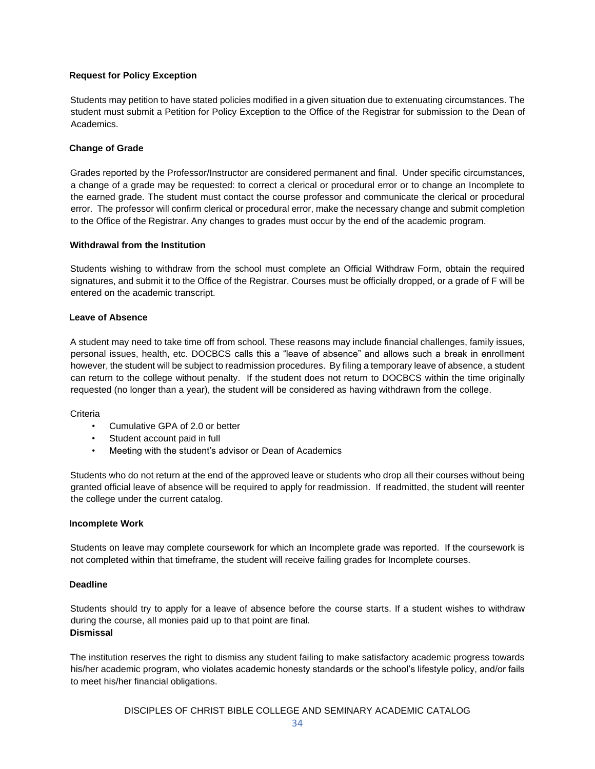# **Request for Policy Exception**

Students may petition to have stated policies modified in a given situation due to extenuating circumstances. The student must submit a Petition for Policy Exception to the Office of the Registrar for submission to the Dean of Academics.

#### **Change of Grade**

Grades reported by the Professor/Instructor are considered permanent and final. Under specific circumstances, a change of a grade may be requested: to correct a clerical or procedural error or to change an Incomplete to the earned grade. The student must contact the course professor and communicate the clerical or procedural error. The professor will confirm clerical or procedural error, make the necessary change and submit completion to the Office of the Registrar. Any changes to grades must occur by the end of the academic program.

#### **Withdrawal from the Institution**

Students wishing to withdraw from the school must complete an Official Withdraw Form, obtain the required signatures, and submit it to the Office of the Registrar. Courses must be officially dropped, or a grade of F will be entered on the academic transcript.

#### **Leave of Absence**

A student may need to take time off from school. These reasons may include financial challenges, family issues, personal issues, health, etc. DOCBCS calls this a "leave of absence" and allows such a break in enrollment however, the student will be subject to readmission procedures. By filing a temporary leave of absence, a student can return to the college without penalty. If the student does not return to DOCBCS within the time originally requested (no longer than a year), the student will be considered as having withdrawn from the college.

#### **Criteria**

- Cumulative GPA of 2.0 or better
- Student account paid in full
- Meeting with the student's advisor or Dean of Academics

Students who do not return at the end of the approved leave or students who drop all their courses without being granted official leave of absence will be required to apply for readmission. If readmitted, the student will reenter the college under the current catalog.

#### **Incomplete Work**

Students on leave may complete coursework for which an Incomplete grade was reported. If the coursework is not completed within that timeframe, the student will receive failing grades for Incomplete courses.

#### **Deadline**

Students should try to apply for a leave of absence before the course starts. If a student wishes to withdraw during the course, all monies paid up to that point are final*.*  **Dismissal**

The institution reserves the right to dismiss any student failing to make satisfactory academic progress towards his/her academic program, who violates academic honesty standards or the school's lifestyle policy, and/or fails to meet his/her financial obligations.

DISCIPLES OF CHRIST BIBLE COLLEGE AND SEMINARY ACADEMIC CATALOG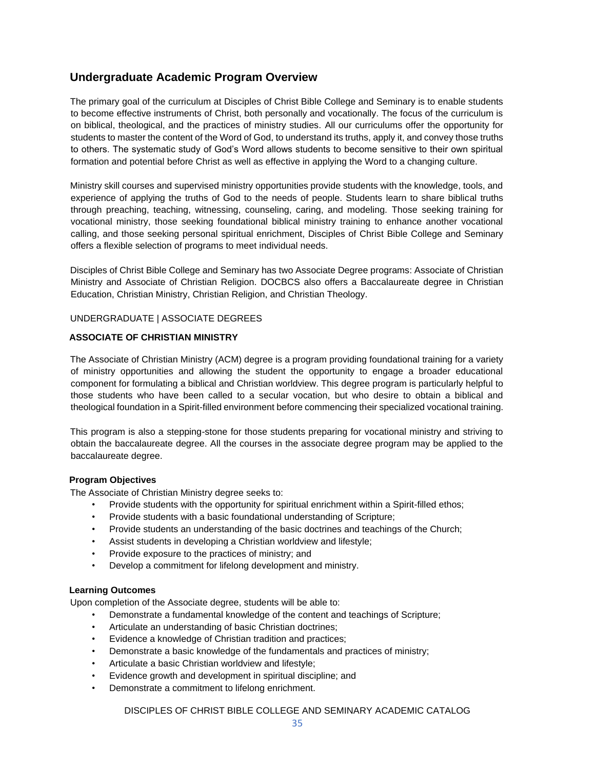# **Undergraduate Academic Program Overview**

The primary goal of the curriculum at Disciples of Christ Bible College and Seminary is to enable students to become effective instruments of Christ, both personally and vocationally. The focus of the curriculum is on biblical, theological, and the practices of ministry studies. All our curriculums offer the opportunity for students to master the content of the Word of God, to understand its truths, apply it, and convey those truths to others. The systematic study of God's Word allows students to become sensitive to their own spiritual formation and potential before Christ as well as effective in applying the Word to a changing culture.

Ministry skill courses and supervised ministry opportunities provide students with the knowledge, tools, and experience of applying the truths of God to the needs of people. Students learn to share biblical truths through preaching, teaching, witnessing, counseling, caring, and modeling. Those seeking training for vocational ministry, those seeking foundational biblical ministry training to enhance another vocational calling, and those seeking personal spiritual enrichment, Disciples of Christ Bible College and Seminary offers a flexible selection of programs to meet individual needs.

Disciples of Christ Bible College and Seminary has two Associate Degree programs: Associate of Christian Ministry and Associate of Christian Religion. DOCBCS also offers a Baccalaureate degree in Christian Education, Christian Ministry, Christian Religion, and Christian Theology.

# UNDERGRADUATE | ASSOCIATE DEGREES

# **ASSOCIATE OF CHRISTIAN MINISTRY**

The Associate of Christian Ministry (ACM) degree is a program providing foundational training for a variety of ministry opportunities and allowing the student the opportunity to engage a broader educational component for formulating a biblical and Christian worldview. This degree program is particularly helpful to those students who have been called to a secular vocation, but who desire to obtain a biblical and theological foundation in a Spirit-filled environment before commencing their specialized vocational training.

This program is also a stepping-stone for those students preparing for vocational ministry and striving to obtain the baccalaureate degree. All the courses in the associate degree program may be applied to the baccalaureate degree.

# **Program Objectives**

The Associate of Christian Ministry degree seeks to:

- Provide students with the opportunity for spiritual enrichment within a Spirit-filled ethos;
- Provide students with a basic foundational understanding of Scripture;
- Provide students an understanding of the basic doctrines and teachings of the Church;
- Assist students in developing a Christian worldview and lifestyle;
- Provide exposure to the practices of ministry; and
- Develop a commitment for lifelong development and ministry.

# **Learning Outcomes**

Upon completion of the Associate degree, students will be able to:

- Demonstrate a fundamental knowledge of the content and teachings of Scripture;
- Articulate an understanding of basic Christian doctrines;
- Evidence a knowledge of Christian tradition and practices;
- Demonstrate a basic knowledge of the fundamentals and practices of ministry;
- Articulate a basic Christian worldview and lifestyle;
- Evidence growth and development in spiritual discipline; and
- Demonstrate a commitment to lifelong enrichment.

DISCIPLES OF CHRIST BIBLE COLLEGE AND SEMINARY ACADEMIC CATALOG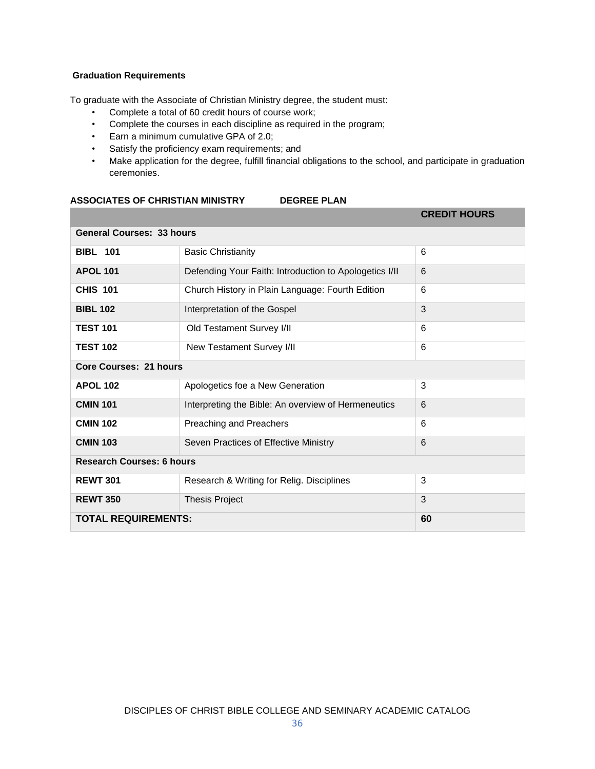# **Graduation Requirements**

To graduate with the Associate of Christian Ministry degree, the student must:

- Complete a total of 60 credit hours of course work;
- Complete the courses in each discipline as required in the program;
- Earn a minimum cumulative GPA of 2.0;
- Satisfy the proficiency exam requirements; and
- Make application for the degree, fulfill financial obligations to the school, and participate in graduation ceremonies.

#### **ASSOCIATES OF CHRISTIAN MINISTRY DEGREE PLAN**

|                                  |                                                        | <b>CREDIT HOURS</b> |
|----------------------------------|--------------------------------------------------------|---------------------|
| <b>General Courses: 33 hours</b> |                                                        |                     |
| <b>BIBL 101</b>                  | <b>Basic Christianity</b>                              | 6                   |
| <b>APOL 101</b>                  | Defending Your Faith: Introduction to Apologetics I/II | 6                   |
| <b>CHIS 101</b>                  | Church History in Plain Language: Fourth Edition       | 6                   |
| <b>BIBL 102</b>                  | Interpretation of the Gospel                           | 3                   |
| <b>TEST 101</b>                  | Old Testament Survey I/II                              | 6                   |
| <b>TEST 102</b>                  | New Testament Survey I/II                              | 6                   |
| <b>Core Courses: 21 hours</b>    |                                                        |                     |
| <b>APOL 102</b>                  | Apologetics foe a New Generation                       | 3                   |
| <b>CMIN 101</b>                  | Interpreting the Bible: An overview of Hermeneutics    | 6                   |
| <b>CMIN 102</b>                  | Preaching and Preachers                                | 6                   |
| <b>CMIN 103</b>                  | Seven Practices of Effective Ministry                  | 6                   |
| <b>Research Courses: 6 hours</b> |                                                        |                     |
| <b>REWT 301</b>                  | Research & Writing for Relig. Disciplines              | 3                   |
| <b>REWT 350</b>                  | <b>Thesis Project</b>                                  | 3                   |
| <b>TOTAL REQUIREMENTS:</b>       |                                                        | 60                  |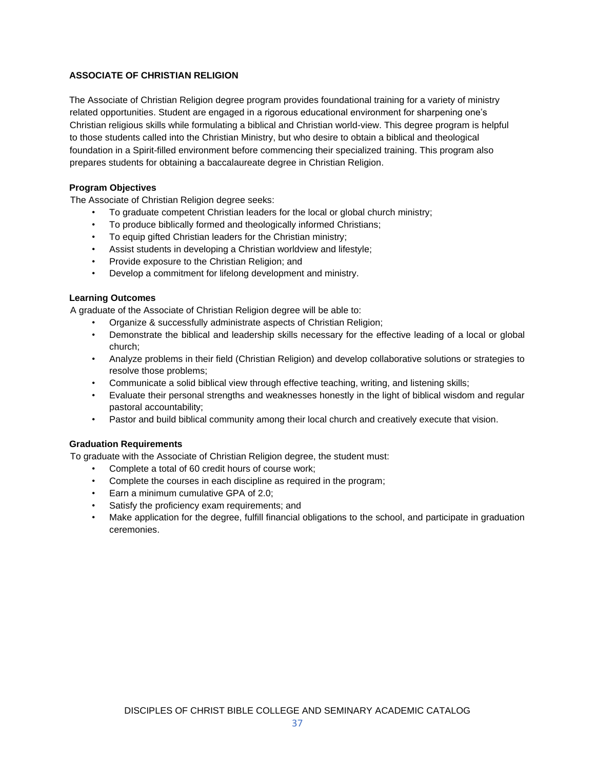# **ASSOCIATE OF CHRISTIAN RELIGION**

The Associate of Christian Religion degree program provides foundational training for a variety of ministry related opportunities. Student are engaged in a rigorous educational environment for sharpening one's Christian religious skills while formulating a biblical and Christian world-view. This degree program is helpful to those students called into the Christian Ministry, but who desire to obtain a biblical and theological foundation in a Spirit-filled environment before commencing their specialized training. This program also prepares students for obtaining a baccalaureate degree in Christian Religion.

# **Program Objectives**

The Associate of Christian Religion degree seeks:

- To graduate competent Christian leaders for the local or global church ministry;
- To produce biblically formed and theologically informed Christians;
- To equip gifted Christian leaders for the Christian ministry;
- Assist students in developing a Christian worldview and lifestyle;
- Provide exposure to the Christian Religion; and
- Develop a commitment for lifelong development and ministry.

# **Learning Outcomes**

A graduate of the Associate of Christian Religion degree will be able to:

- Organize & successfully administrate aspects of Christian Religion;
- Demonstrate the biblical and leadership skills necessary for the effective leading of a local or global church;
- Analyze problems in their field (Christian Religion) and develop collaborative solutions or strategies to resolve those problems;
- Communicate a solid biblical view through effective teaching, writing, and listening skills;
- Evaluate their personal strengths and weaknesses honestly in the light of biblical wisdom and regular pastoral accountability;
- Pastor and build biblical community among their local church and creatively execute that vision.

# **Graduation Requirements**

To graduate with the Associate of Christian Religion degree, the student must:

- Complete a total of 60 credit hours of course work;
- Complete the courses in each discipline as required in the program;
- Earn a minimum cumulative GPA of 2.0;
- Satisfy the proficiency exam requirements; and
- Make application for the degree, fulfill financial obligations to the school, and participate in graduation ceremonies.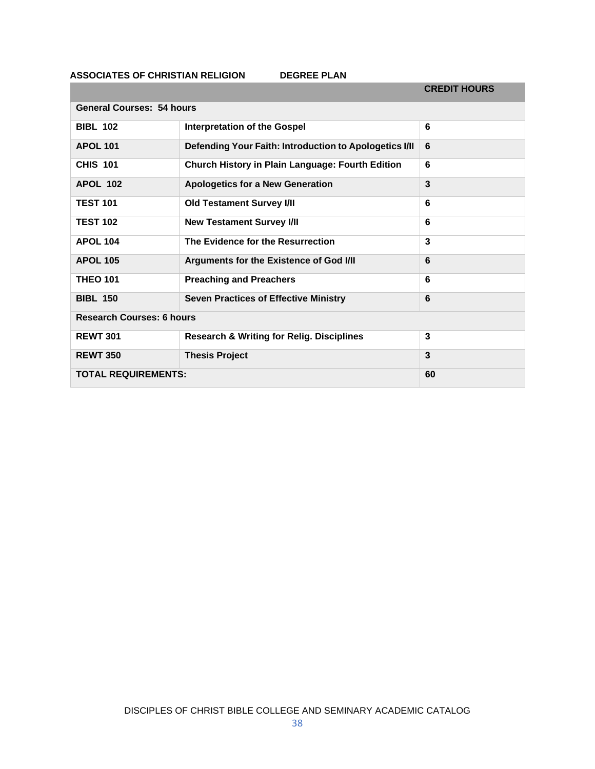**ASSOCIATES OF CHRISTIAN RELIGION DEGREE PLAN** 

|                                  |                                                         | <b>CREDIT HOURS</b> |
|----------------------------------|---------------------------------------------------------|---------------------|
| <b>General Courses: 54 hours</b> |                                                         |                     |
| <b>BIBL 102</b>                  | <b>Interpretation of the Gospel</b>                     | 6                   |
| <b>APOL 101</b>                  | Defending Your Faith: Introduction to Apologetics I/II  | 6                   |
| <b>CHIS 101</b>                  | <b>Church History in Plain Language: Fourth Edition</b> | 6                   |
| <b>APOL 102</b>                  | <b>Apologetics for a New Generation</b>                 | 3                   |
| <b>TEST 101</b>                  | <b>Old Testament Survey I/II</b>                        | 6                   |
| <b>TEST 102</b>                  | <b>New Testament Survey I/II</b>                        | 6                   |
| <b>APOL 104</b>                  | The Evidence for the Resurrection                       | 3                   |
| <b>APOL 105</b>                  | Arguments for the Existence of God I/II                 | 6                   |
| <b>THEO 101</b>                  | <b>Preaching and Preachers</b>                          | 6                   |
| <b>BIBL 150</b>                  | <b>Seven Practices of Effective Ministry</b>            | 6                   |
| <b>Research Courses: 6 hours</b> |                                                         |                     |
| <b>REWT 301</b>                  | <b>Research &amp; Writing for Relig. Disciplines</b>    | 3                   |
| <b>REWT 350</b>                  | <b>Thesis Project</b>                                   | 3                   |
| <b>TOTAL REQUIREMENTS:</b>       |                                                         | 60                  |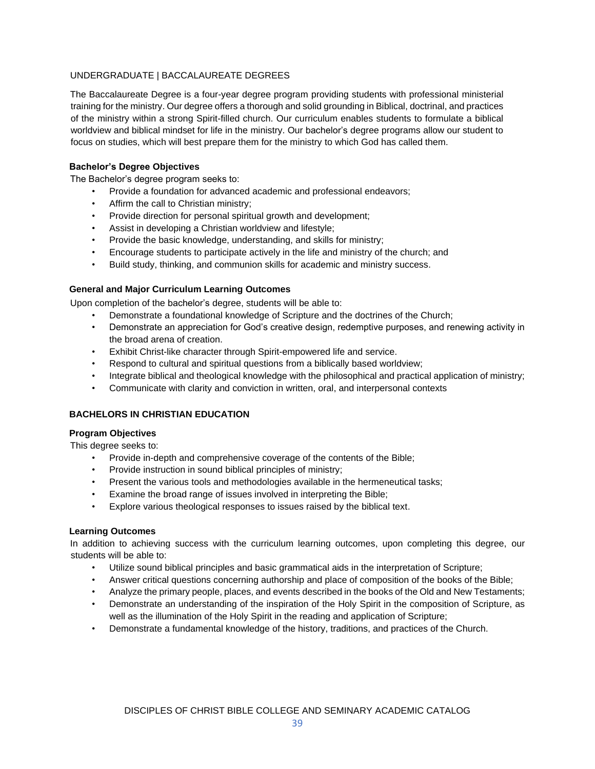# UNDERGRADUATE | BACCALAUREATE DEGREES

The Baccalaureate Degree is a four-year degree program providing students with professional ministerial training for the ministry. Our degree offers a thorough and solid grounding in Biblical, doctrinal, and practices of the ministry within a strong Spirit-filled church. Our curriculum enables students to formulate a biblical worldview and biblical mindset for life in the ministry. Our bachelor's degree programs allow our student to focus on studies, which will best prepare them for the ministry to which God has called them.

# **Bachelor's Degree Objectives**

The Bachelor's degree program seeks to:

- Provide a foundation for advanced academic and professional endeavors;
- Affirm the call to Christian ministry;
- Provide direction for personal spiritual growth and development;
- Assist in developing a Christian worldview and lifestyle;
- Provide the basic knowledge, understanding, and skills for ministry;
- Encourage students to participate actively in the life and ministry of the church; and
- Build study, thinking, and communion skills for academic and ministry success.

#### **General and Major Curriculum Learning Outcomes**

Upon completion of the bachelor's degree, students will be able to:

- Demonstrate a foundational knowledge of Scripture and the doctrines of the Church;
- Demonstrate an appreciation for God's creative design, redemptive purposes, and renewing activity in the broad arena of creation.
- Exhibit Christ-like character through Spirit-empowered life and service.
- Respond to cultural and spiritual questions from a biblically based worldview;
- Integrate biblical and theological knowledge with the philosophical and practical application of ministry;
- Communicate with clarity and conviction in written, oral, and interpersonal contexts

#### **BACHELORS IN CHRISTIAN EDUCATION**

#### **Program Objectives**

This degree seeks to:

- Provide in-depth and comprehensive coverage of the contents of the Bible;
- Provide instruction in sound biblical principles of ministry;
- Present the various tools and methodologies available in the hermeneutical tasks;
- Examine the broad range of issues involved in interpreting the Bible;
- Explore various theological responses to issues raised by the biblical text.

#### **Learning Outcomes**

In addition to achieving success with the curriculum learning outcomes, upon completing this degree, our students will be able to:

- Utilize sound biblical principles and basic grammatical aids in the interpretation of Scripture;
- Answer critical questions concerning authorship and place of composition of the books of the Bible;
- Analyze the primary people, places, and events described in the books of the Old and New Testaments;
- Demonstrate an understanding of the inspiration of the Holy Spirit in the composition of Scripture, as well as the illumination of the Holy Spirit in the reading and application of Scripture;
- Demonstrate a fundamental knowledge of the history, traditions, and practices of the Church.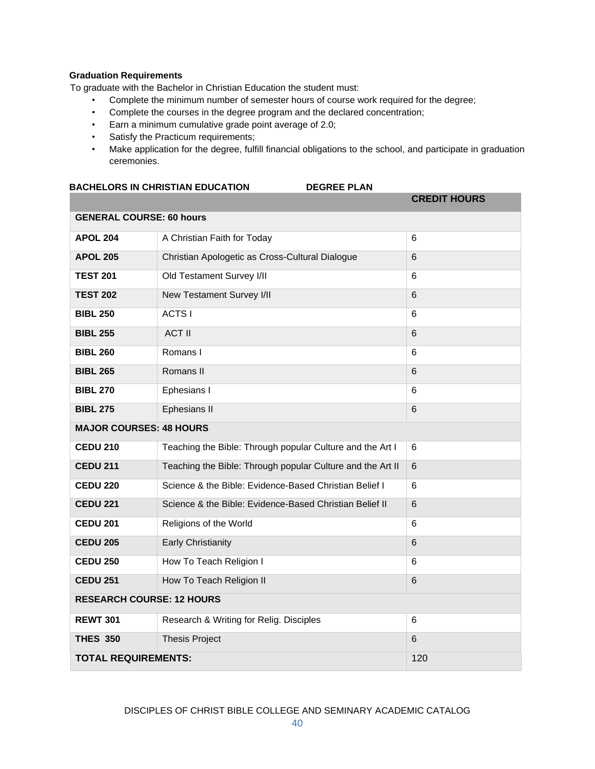# **Graduation Requirements**

To graduate with the Bachelor in Christian Education the student must:

- Complete the minimum number of semester hours of course work required for the degree;
- Complete the courses in the degree program and the declared concentration;
- Earn a minimum cumulative grade point average of 2.0;
- Satisfy the Practicum requirements;
- Make application for the degree, fulfill financial obligations to the school, and participate in graduation ceremonies.

| <b>BACHELORS IN CHRISTIAN EDUCATION</b> | <b>DEGREE PLAN</b> |                     |
|-----------------------------------------|--------------------|---------------------|
|                                         |                    | <b>CREDIT HOURS</b> |
| <b>GENERAL COURSE: 60 hours</b>         |                    |                     |

| <b>GENERAL COURSE: 60 hours</b>  |                                                            |                |  |
|----------------------------------|------------------------------------------------------------|----------------|--|
| <b>APOL 204</b>                  | A Christian Faith for Today                                | 6              |  |
| <b>APOL 205</b>                  | Christian Apologetic as Cross-Cultural Dialogue            | 6              |  |
| <b>TEST 201</b>                  | Old Testament Survey I/II                                  | 6              |  |
| <b>TEST 202</b>                  | New Testament Survey I/II                                  | 6              |  |
| <b>BIBL 250</b>                  | ACTS I                                                     | 6              |  |
| <b>BIBL 255</b>                  | <b>ACT II</b>                                              | 6              |  |
| <b>BIBL 260</b>                  | Romans I                                                   | 6              |  |
| <b>BIBL 265</b>                  | Romans II                                                  | 6              |  |
| <b>BIBL 270</b>                  | Ephesians I                                                | 6              |  |
| <b>BIBL 275</b>                  | Ephesians II                                               | 6              |  |
| <b>MAJOR COURSES: 48 HOURS</b>   |                                                            |                |  |
| <b>CEDU 210</b>                  | Teaching the Bible: Through popular Culture and the Art I  | 6              |  |
| <b>CEDU 211</b>                  | Teaching the Bible: Through popular Culture and the Art II | 6              |  |
| <b>CEDU 220</b>                  | Science & the Bible: Evidence-Based Christian Belief I     | 6              |  |
| <b>CEDU 221</b>                  | Science & the Bible: Evidence-Based Christian Belief II    | $6\phantom{1}$ |  |
| <b>CEDU 201</b>                  | Religions of the World                                     | 6              |  |
| <b>CEDU 205</b>                  | <b>Early Christianity</b>                                  | 6              |  |
| <b>CEDU 250</b>                  | How To Teach Religion I                                    | 6              |  |
| <b>CEDU 251</b>                  | How To Teach Religion II                                   | 6              |  |
| <b>RESEARCH COURSE: 12 HOURS</b> |                                                            |                |  |
| <b>REWT 301</b>                  | Research & Writing for Relig. Disciples                    | 6              |  |
| <b>THES 350</b>                  | <b>Thesis Project</b>                                      | $6\phantom{1}$ |  |
| <b>TOTAL REQUIREMENTS:</b>       |                                                            | 120            |  |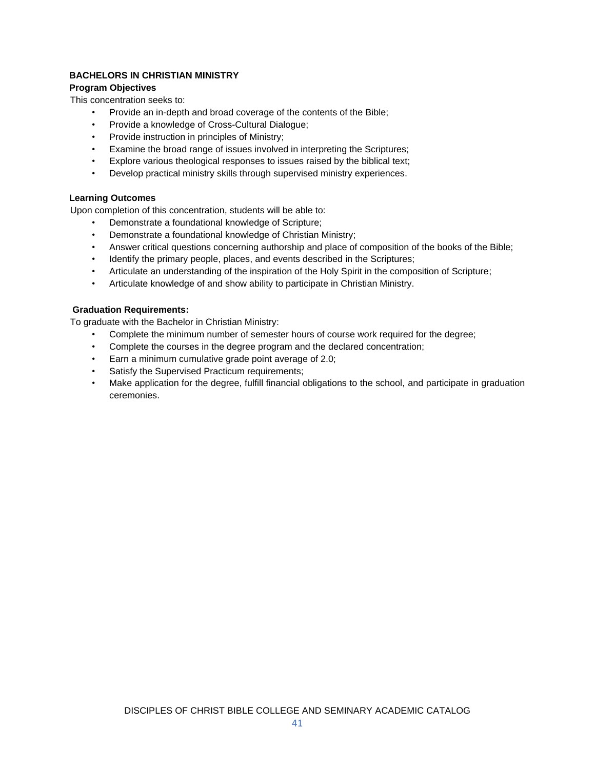# **BACHELORS IN CHRISTIAN MINISTRY**

# **Program Objectives**

This concentration seeks to:

- Provide an in-depth and broad coverage of the contents of the Bible;
- Provide a knowledge of Cross-Cultural Dialogue;
- Provide instruction in principles of Ministry;
- Examine the broad range of issues involved in interpreting the Scriptures;
- Explore various theological responses to issues raised by the biblical text;
- Develop practical ministry skills through supervised ministry experiences.

# **Learning Outcomes**

Upon completion of this concentration, students will be able to:

- Demonstrate a foundational knowledge of Scripture;
- Demonstrate a foundational knowledge of Christian Ministry;
- Answer critical questions concerning authorship and place of composition of the books of the Bible;
- Identify the primary people, places, and events described in the Scriptures;
- Articulate an understanding of the inspiration of the Holy Spirit in the composition of Scripture;
- Articulate knowledge of and show ability to participate in Christian Ministry.

# **Graduation Requirements:**

To graduate with the Bachelor in Christian Ministry:

- Complete the minimum number of semester hours of course work required for the degree;
- Complete the courses in the degree program and the declared concentration;
- Earn a minimum cumulative grade point average of 2.0;
- Satisfy the Supervised Practicum requirements;
- Make application for the degree, fulfill financial obligations to the school, and participate in graduation ceremonies.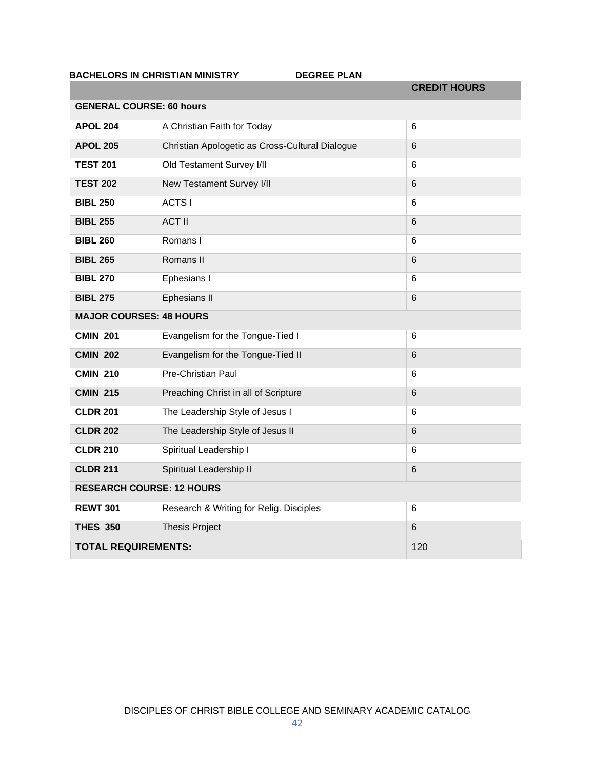# **BACHELORS IN CHRISTIAN MINISTRY DEGREE PLAN**

|                                  |                                                 | <b>CREDIT HOURS</b> |
|----------------------------------|-------------------------------------------------|---------------------|
| <b>GENERAL COURSE: 60 hours</b>  |                                                 |                     |
| <b>APOL 204</b>                  | A Christian Faith for Today                     | $6\phantom{1}6$     |
| <b>APOL 205</b>                  | Christian Apologetic as Cross-Cultural Dialogue | $6\phantom{1}6$     |
| <b>TEST 201</b>                  | Old Testament Survey I/II                       | 6                   |
| <b>TEST 202</b>                  | New Testament Survey I/II                       | $6\phantom{1}6$     |
| <b>BIBL 250</b>                  | <b>ACTS I</b>                                   | 6                   |
| <b>BIBL 255</b>                  | <b>ACT II</b>                                   | $6\phantom{1}6$     |
| <b>BIBL 260</b>                  | Romans I                                        | 6                   |
| <b>BIBL 265</b>                  | Romans II                                       | 6                   |
| <b>BIBL 270</b>                  | Ephesians I                                     | 6                   |
| <b>BIBL 275</b>                  | Ephesians II                                    | $6\phantom{1}6$     |
| <b>MAJOR COURSES: 48 HOURS</b>   |                                                 |                     |
| <b>CMIN 201</b>                  | Evangelism for the Tongue-Tied I                | 6                   |
| <b>CMIN 202</b>                  | Evangelism for the Tongue-Tied II               | $6\phantom{1}6$     |
| <b>CMIN 210</b>                  | Pre-Christian Paul                              | $6\phantom{1}6$     |
| <b>CMIN 215</b>                  | Preaching Christ in all of Scripture            | $6\phantom{1}6$     |
| <b>CLDR 201</b>                  | The Leadership Style of Jesus I                 | 6                   |
| <b>CLDR 202</b>                  | The Leadership Style of Jesus II                | $6\phantom{1}6$     |
| <b>CLDR 210</b>                  | Spiritual Leadership I                          | 6                   |
| <b>CLDR 211</b>                  | Spiritual Leadership II                         | $6\phantom{1}6$     |
| <b>RESEARCH COURSE: 12 HOURS</b> |                                                 |                     |
| <b>REWT 301</b>                  | Research & Writing for Relig. Disciples         | 6                   |
| <b>THES 350</b>                  | <b>Thesis Project</b>                           | $6\phantom{1}6$     |
| <b>TOTAL REQUIREMENTS:</b>       |                                                 | 120                 |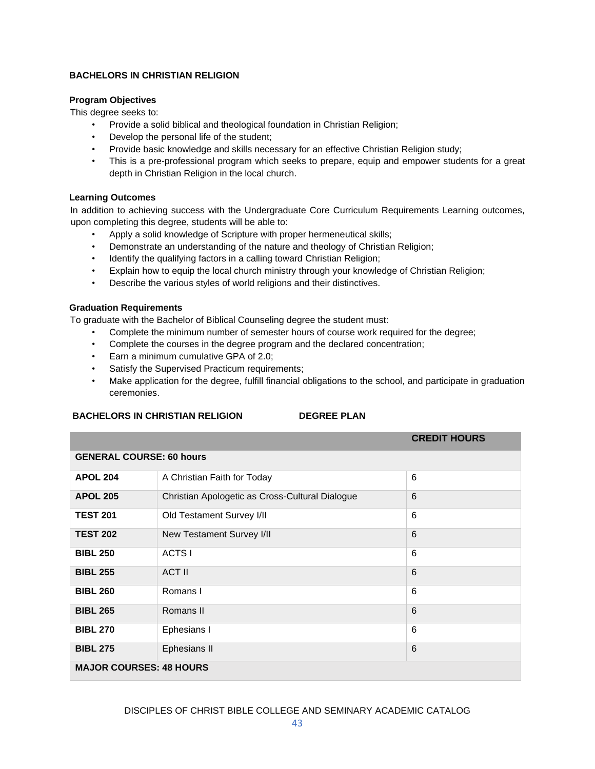# **BACHELORS IN CHRISTIAN RELIGION**

# **Program Objectives**

This degree seeks to:

- Provide a solid biblical and theological foundation in Christian Religion;
- Develop the personal life of the student;
- Provide basic knowledge and skills necessary for an effective Christian Religion study;
- This is a pre-professional program which seeks to prepare, equip and empower students for a great depth in Christian Religion in the local church.

# **Learning Outcomes**

In addition to achieving success with the Undergraduate Core Curriculum Requirements Learning outcomes, upon completing this degree, students will be able to:

- Apply a solid knowledge of Scripture with proper hermeneutical skills;
- Demonstrate an understanding of the nature and theology of Christian Religion;
- Identify the qualifying factors in a calling toward Christian Religion;
- Explain how to equip the local church ministry through your knowledge of Christian Religion;
- Describe the various styles of world religions and their distinctives.

# **Graduation Requirements**

To graduate with the Bachelor of Biblical Counseling degree the student must:

- Complete the minimum number of semester hours of course work required for the degree;
- Complete the courses in the degree program and the declared concentration;
- Earn a minimum cumulative GPA of 2.0;
- Satisfy the Supervised Practicum requirements;
- Make application for the degree, fulfill financial obligations to the school, and participate in graduation ceremonies.

# **BACHELORS IN CHRISTIAN RELIGION DEGREE PLAN**

|                                 |                                                 | <b>CREDIT HOURS</b> |
|---------------------------------|-------------------------------------------------|---------------------|
| <b>GENERAL COURSE: 60 hours</b> |                                                 |                     |
| <b>APOL 204</b>                 | A Christian Faith for Today                     | 6                   |
| <b>APOL 205</b>                 | Christian Apologetic as Cross-Cultural Dialogue | 6                   |
| <b>TEST 201</b>                 | Old Testament Survey I/II                       | 6                   |
| <b>TEST 202</b>                 | New Testament Survey I/II                       | 6                   |
| <b>BIBL 250</b>                 | ACTS I                                          | 6                   |
| <b>BIBL 255</b>                 | <b>ACT II</b>                                   | 6                   |
| <b>BIBL 260</b>                 | Romans I                                        | 6                   |
| <b>BIBL 265</b>                 | Romans II                                       | 6                   |
| <b>BIBL 270</b>                 | Ephesians I                                     | 6                   |
| <b>BIBL 275</b>                 | Ephesians II                                    | 6                   |
| <b>MAJOR COURSES: 48 HOURS</b>  |                                                 |                     |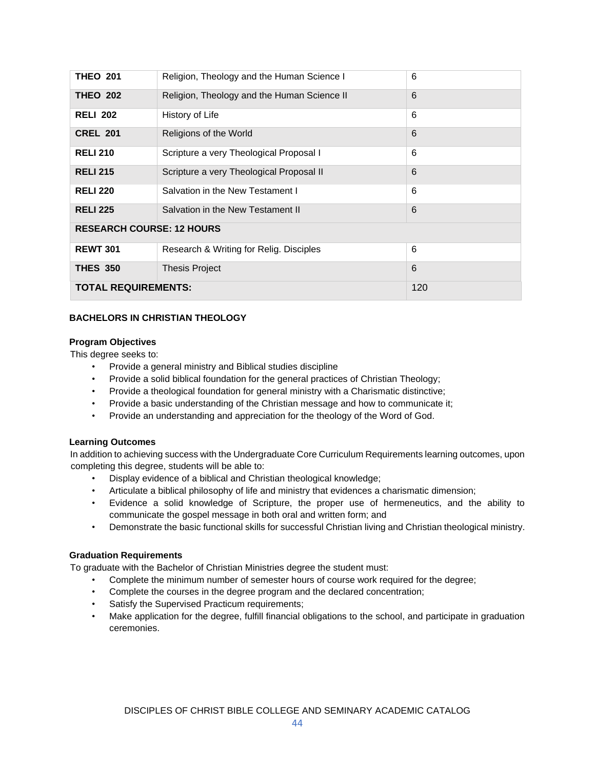| <b>THEO 201</b>                  | Religion, Theology and the Human Science I  | 6   |  |
|----------------------------------|---------------------------------------------|-----|--|
| <b>THEO 202</b>                  | Religion, Theology and the Human Science II | 6   |  |
| <b>RELI 202</b>                  | History of Life                             | 6   |  |
| <b>CREL 201</b>                  | Religions of the World                      | 6   |  |
| <b>RELI 210</b>                  | Scripture a very Theological Proposal I     | 6   |  |
| <b>RELI 215</b>                  | Scripture a very Theological Proposal II    | 6   |  |
| <b>RELI 220</b>                  | Salvation in the New Testament I            | 6   |  |
| <b>RELI 225</b>                  | Salvation in the New Testament II           | 6   |  |
| <b>RESEARCH COURSE: 12 HOURS</b> |                                             |     |  |
| <b>REWT 301</b>                  | Research & Writing for Relig. Disciples     | 6   |  |
| <b>THES 350</b>                  | <b>Thesis Project</b>                       | 6   |  |
| <b>TOTAL REQUIREMENTS:</b>       |                                             | 120 |  |

# **BACHELORS IN CHRISTIAN THEOLOGY**

# **Program Objectives**

This degree seeks to:

- Provide a general ministry and Biblical studies discipline
- Provide a solid biblical foundation for the general practices of Christian Theology;
- Provide a theological foundation for general ministry with a Charismatic distinctive;
- Provide a basic understanding of the Christian message and how to communicate it;
- Provide an understanding and appreciation for the theology of the Word of God.

# **Learning Outcomes**

In addition to achieving success with the Undergraduate Core Curriculum Requirements learning outcomes, upon completing this degree, students will be able to:

- Display evidence of a biblical and Christian theological knowledge;
- Articulate a biblical philosophy of life and ministry that evidences a charismatic dimension;
- Evidence a solid knowledge of Scripture, the proper use of hermeneutics, and the ability to communicate the gospel message in both oral and written form; and
- Demonstrate the basic functional skills for successful Christian living and Christian theological ministry.

# **Graduation Requirements**

To graduate with the Bachelor of Christian Ministries degree the student must:

- Complete the minimum number of semester hours of course work required for the degree;
- Complete the courses in the degree program and the declared concentration;
- Satisfy the Supervised Practicum requirements;
- Make application for the degree, fulfill financial obligations to the school, and participate in graduation ceremonies.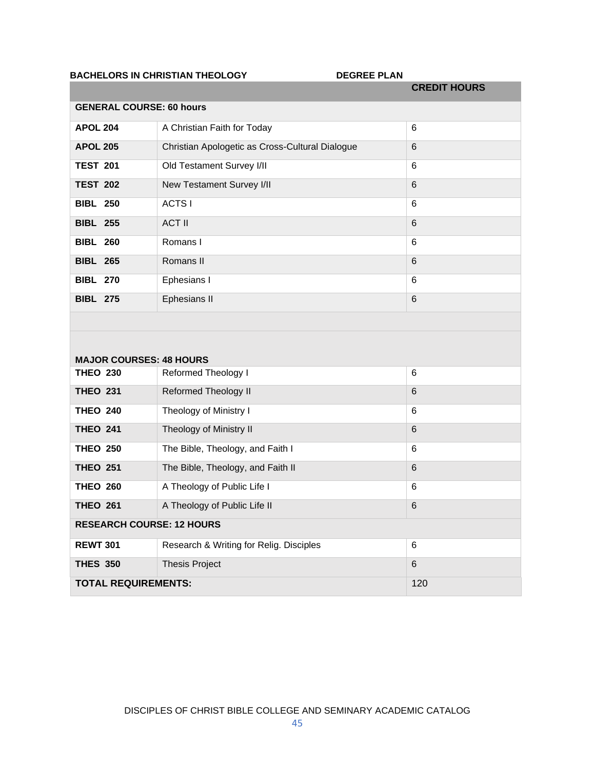# BACHELORS IN CHRISTIAN THEOLOGY DEGREE PLAN

|                                 |                                                 | <b>CREDIT HOURS</b> |
|---------------------------------|-------------------------------------------------|---------------------|
| <b>GENERAL COURSE: 60 hours</b> |                                                 |                     |
| <b>APOL 204</b>                 | A Christian Faith for Today                     | $6\phantom{1}$      |
| <b>APOL 205</b>                 | Christian Apologetic as Cross-Cultural Dialogue | 6                   |
| <b>TEST 201</b>                 | Old Testament Survey I/II                       | 6                   |
| <b>TEST 202</b>                 | New Testament Survey I/II                       | 6                   |
| <b>BIBL 250</b>                 | <b>ACTSI</b>                                    | 6                   |
| <b>BIBL 255</b>                 | <b>ACT II</b>                                   | 6                   |
| <b>BIBL 260</b>                 | Romans I                                        | 6                   |
| <b>BIBL 265</b>                 | Romans II                                       | $6\phantom{1}6$     |
| <b>BIBL 270</b>                 | Ephesians I                                     | $6\phantom{1}$      |
| <b>BIBL 275</b>                 | Ephesians II                                    | $6\phantom{1}$      |
|                                 |                                                 |                     |
|                                 |                                                 |                     |
| <b>MAJOR COURSES: 48 HOURS</b>  |                                                 |                     |
| <b>THEO 230</b>                 | Reformed Theology I                             | 6                   |
| <b>THEO 231</b>                 | Reformed Theology II                            | $6\phantom{1}6$     |
| <b>THEO 240</b>                 | Theology of Ministry I                          | $6\phantom{1}6$     |
| <b>THEO 241</b>                 | Theology of Ministry II                         | $6\phantom{1}6$     |
| <b>THEO 250</b>                 | The Bible, Theology, and Faith I                | $6\phantom{1}$      |
| <b>THEO 251</b>                 | The Bible, Theology, and Faith II               | $6\phantom{1}6$     |
| <b>THEO 260</b>                 | A Theology of Public Life I                     | 6                   |
| <b>THEO 261</b>                 | A Theology of Public Life II                    | $6\phantom{1}6$     |

|                                  | $1.11001091011$ abile $2.1011$          | $\tilde{\phantom{a}}$ |
|----------------------------------|-----------------------------------------|-----------------------|
| <b>THEO 261</b>                  | A Theology of Public Life II            | 6                     |
| <b>RESEARCH COURSE: 12 HOURS</b> |                                         |                       |
| <b>REWT 301</b>                  | Research & Writing for Relig. Disciples | 6                     |
| <b>THES 350</b>                  | <b>Thesis Project</b>                   | 6                     |
| <b>TOTAL REQUIREMENTS:</b>       |                                         | 120                   |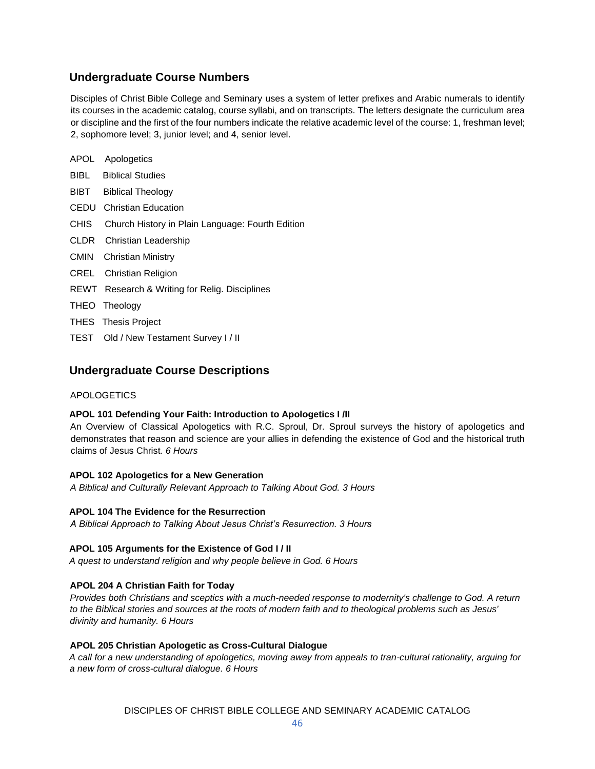# **Undergraduate Course Numbers**

Disciples of Christ Bible College and Seminary uses a system of letter prefixes and Arabic numerals to identify its courses in the academic catalog, course syllabi, and on transcripts. The letters designate the curriculum area or discipline and the first of the four numbers indicate the relative academic level of the course: 1, freshman level; 2, sophomore level; 3, junior level; and 4, senior level.

|      | APOL Apologetics                                 |
|------|--------------------------------------------------|
|      | <b>BIBL</b> Biblical Studies                     |
|      | <b>BIBT</b> Biblical Theology                    |
|      | <b>CEDU</b> Christian Education                  |
| CHIS | Church History in Plain Language: Fourth Edition |
|      | CLDR Christian Leadership                        |
|      | <b>CMIN</b> Christian Ministry                   |
|      | <b>CREL</b> Christian Religion                   |
|      | REWT Research & Writing for Relig. Disciplines   |
|      | THEO Theology                                    |
|      | <b>THES</b> Thesis Project                       |
|      | TEST Old / New Testament Survey I / II           |

# **Undergraduate Course Descriptions**

# APOLOGETICS

# **APOL 101 Defending Your Faith: Introduction to Apologetics I /II**

An Overview of Classical Apologetics with R.C. Sproul, Dr. Sproul surveys the history of apologetics and demonstrates that reason and science are your allies in defending the existence of God and the historical truth claims of Jesus Christ. *6 Hours*

# **APOL 102 Apologetics for a New Generation**

*A Biblical and Culturally Relevant Approach to Talking About God. 3 Hours*

# **APOL 104 The Evidence for the Resurrection**

*A Biblical Approach to Talking About Jesus Christ's Resurrection. 3 Hours*

# **APOL 105 Arguments for the Existence of God I / II**

*A quest to understand religion and why people believe in God. 6 Hours*

# **APOL 204 A Christian Faith for Today**

*Provides both Christians and sceptics with a much-needed response to modernity's challenge to God. A return to the Biblical stories and sources at the roots of modern faith and to theological problems such as Jesus' divinity and humanity. 6 Hours*

# **APOL 205 Christian Apologetic as Cross-Cultural Dialogue**

*A call for a new understanding of apologetics, moving away from appeals to tran-cultural rationality, arguing for a new form of cross-cultural dialogue. 6 Hours*

DISCIPLES OF CHRIST BIBLE COLLEGE AND SEMINARY ACADEMIC CATALOG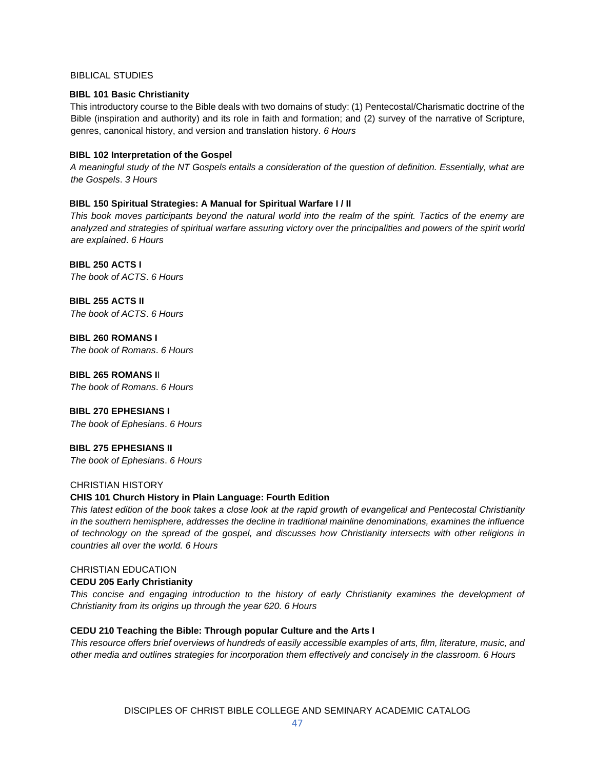#### BIBLICAL STUDIES

### **BIBL 101 Basic Christianity**

This introductory course to the Bible deals with two domains of study: (1) Pentecostal/Charismatic doctrine of the Bible (inspiration and authority) and its role in faith and formation; and (2) survey of the narrative of Scripture, genres, canonical history, and version and translation history. *6 Hours*

# **BIBL 102 Interpretation of the Gospel**

*A meaningful study of the NT Gospels entails a consideration of the question of definition. Essentially, what are the Gospels*. *3 Hours*

# **BIBL 150 Spiritual Strategies: A Manual for Spiritual Warfare I / II**

*This book moves participants beyond the natural world into the realm of the spirit. Tactics of the enemy are analyzed and strategies of spiritual warfare assuring victory over the principalities and powers of the spirit world are explained*. *6 Hours*

**BIBL 250 ACTS I** *The book of ACTS*. *6 Hours*

**BIBL 255 ACTS II** *The book of ACTS*. *6 Hours*

**BIBL 260 ROMANS I** *The book of Romans*. *6 Hours*

**BIBL 265 ROMANS I**I *The book of Romans*. *6 Hours*

# **BIBL 270 EPHESIANS I**

*The book of Ephesians*. *6 Hours*

# **BIBL 275 EPHESIANS II**

*The book of Ephesians*. *6 Hours*

# CHRISTIAN HISTORY

# **CHIS 101 Church History in Plain Language: Fourth Edition**

*This latest edition of the book takes a close look at the rapid growth of evangelical and Pentecostal Christianity in the southern hemisphere, addresses the decline in traditional mainline denominations, examines the influence of technology on the spread of the gospel, and discusses how Christianity intersects with other religions in countries all over the world. 6 Hours*

# CHRISTIAN EDUCATION

# **CEDU 205 Early Christianity**

*This concise and engaging introduction to the history of early Christianity examines the development of Christianity from its origins up through the year 620. 6 Hours*

# **CEDU 210 Teaching the Bible: Through popular Culture and the Arts I**

*This resource offers brief overviews of hundreds of easily accessible examples of arts, film, literature, music, and other media and outlines strategies for incorporation them effectively and concisely in the classroom. 6 Hours*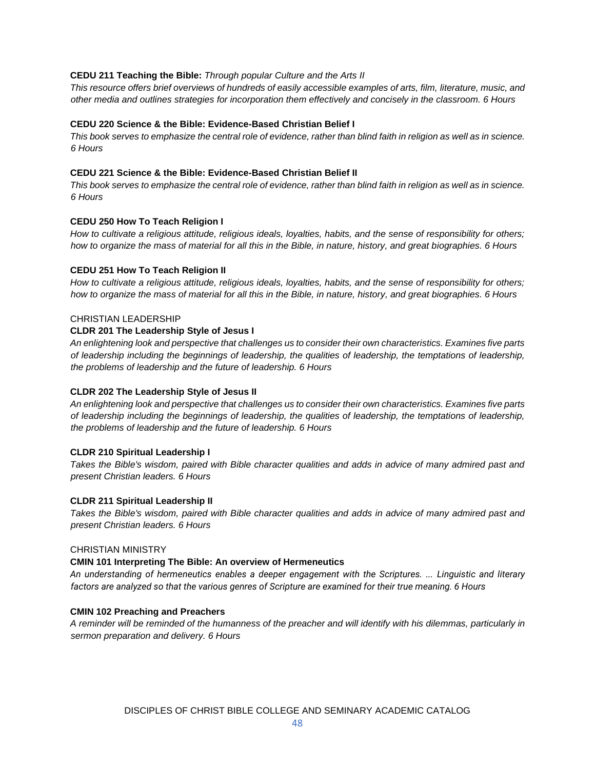#### **CEDU 211 Teaching the Bible:** *Through popular Culture and the Arts II*

*This resource offers brief overviews of hundreds of easily accessible examples of arts, film, literature, music, and other media and outlines strategies for incorporation them effectively and concisely in the classroom. 6 Hours*

#### **CEDU 220 Science & the Bible: Evidence-Based Christian Belief I**

*This book serves to emphasize the central role of evidence, rather than blind faith in religion as well as in science. 6 Hours*

#### **CEDU 221 Science & the Bible: Evidence-Based Christian Belief II**

*This book serves to emphasize the central role of evidence, rather than blind faith in religion as well as in science. 6 Hours*

#### **CEDU 250 How To Teach Religion I**

*How to cultivate a religious attitude, religious ideals, loyalties, habits, and the sense of responsibility for others; how to organize the mass of material for all this in the Bible, in nature, history, and great biographies. 6 Hours*

#### **CEDU 251 How To Teach Religion II**

*How to cultivate a religious attitude, religious ideals, loyalties, habits, and the sense of responsibility for others; how to organize the mass of material for all this in the Bible, in nature, history, and great biographies. 6 Hours*

# CHRISTIAN LEADERSHIP

# **CLDR 201 The Leadership Style of Jesus I**

*An enlightening look and perspective that challenges us to consider their own characteristics. Examines five parts of leadership including the beginnings of leadership, the qualities of leadership, the temptations of leadership, the problems of leadership and the future of leadership. 6 Hours*

# **CLDR 202 The Leadership Style of Jesus II**

*An enlightening look and perspective that challenges us to consider their own characteristics. Examines five parts of leadership including the beginnings of leadership, the qualities of leadership, the temptations of leadership, the problems of leadership and the future of leadership. 6 Hours*

#### **CLDR 210 Spiritual Leadership I**

*Takes the Bible's wisdom, paired with Bible character qualities and adds in advice of many admired past and present Christian leaders. 6 Hours*

#### **CLDR 211 Spiritual Leadership II**

*Takes the Bible's wisdom, paired with Bible character qualities and adds in advice of many admired past and present Christian leaders. 6 Hours*

### CHRISTIAN MINISTRY

#### **CMIN 101 Interpreting The Bible: An overview of Hermeneutics**

*An understanding of hermeneutics enables a deeper engagement with the Scriptures. ... Linguistic and literary factors are analyzed so that the various genres of Scripture are examined for their true meaning. 6 Hours*

#### **CMIN 102 Preaching and Preachers**

*A reminder will be reminded of the humanness of the preacher and will identify with his dilemmas, particularly in sermon preparation and delivery. 6 Hours*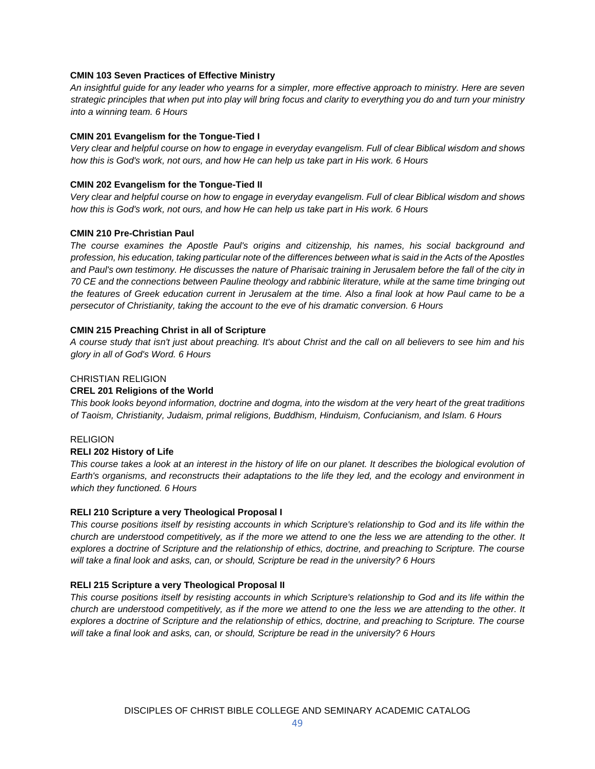### **CMIN 103 Seven Practices of Effective Ministry**

*An insightful guide for any leader who yearns for a simpler, more effective approach to ministry. Here are seven strategic principles that when put into play will bring focus and clarity to everything you do and turn your ministry into a winning team. 6 Hours*

#### **CMIN 201 Evangelism for the Tongue-Tied I**

*Very clear and helpful course on how to engage in everyday evangelism. Full of clear Biblical wisdom and shows how this is God's work, not ours, and how He can help us take part in His work. 6 Hours*

# **CMIN 202 Evangelism for the Tongue-Tied II**

*Very clear and helpful course on how to engage in everyday evangelism. Full of clear Biblical wisdom and shows how this is God's work, not ours, and how He can help us take part in His work. 6 Hours*

#### **CMIN 210 Pre-Christian Paul**

*The course examines the Apostle Paul's origins and citizenship, his names, his social background and profession, his education, taking particular note of the differences between what is said in the Acts of the Apostles and Paul's own testimony. He discusses the nature of Pharisaic training in Jerusalem before the fall of the city in 70 CE and the connections between Pauline theology and rabbinic literature, while at the same time bringing out the features of Greek education current in Jerusalem at the time. Also a final look at how Paul came to be a persecutor of Christianity, taking the account to the eve of his dramatic conversion. 6 Hours*

#### **CMIN 215 Preaching Christ in all of Scripture**

*A course study that isn't just about preaching. It's about Christ and the call on all believers to see him and his glory in all of God's Word. 6 Hours*

#### CHRISTIAN RELIGION

# **CREL 201 Religions of the World**

*This book looks beyond information, doctrine and dogma, into the wisdom at the very heart of the great traditions of Taoism, Christianity, Judaism, primal religions, Buddhism, Hinduism, Confucianism, and Islam. 6 Hours*

#### **RELIGION**

#### **RELI 202 History of Life**

This course takes a look at an interest in the history of life on our planet. It describes the biological evolution of *Earth's organisms, and reconstructs their adaptations to the life they led, and the ecology and environment in which they functioned. 6 Hours*

#### **RELI 210 Scripture a very Theological Proposal I**

*This course positions itself by resisting accounts in which Scripture's relationship to God and its life within the church are understood competitively, as if the more we attend to one the less we are attending to the other. It explores a doctrine of Scripture and the relationship of ethics, doctrine, and preaching to Scripture. The course will take a final look and asks, can, or should, Scripture be read in the university? 6 Hours*

# **RELI 215 Scripture a very Theological Proposal II**

*This course positions itself by resisting accounts in which Scripture's relationship to God and its life within the church are understood competitively, as if the more we attend to one the less we are attending to the other. It explores a doctrine of Scripture and the relationship of ethics, doctrine, and preaching to Scripture. The course will take a final look and asks, can, or should, Scripture be read in the university? 6 Hours*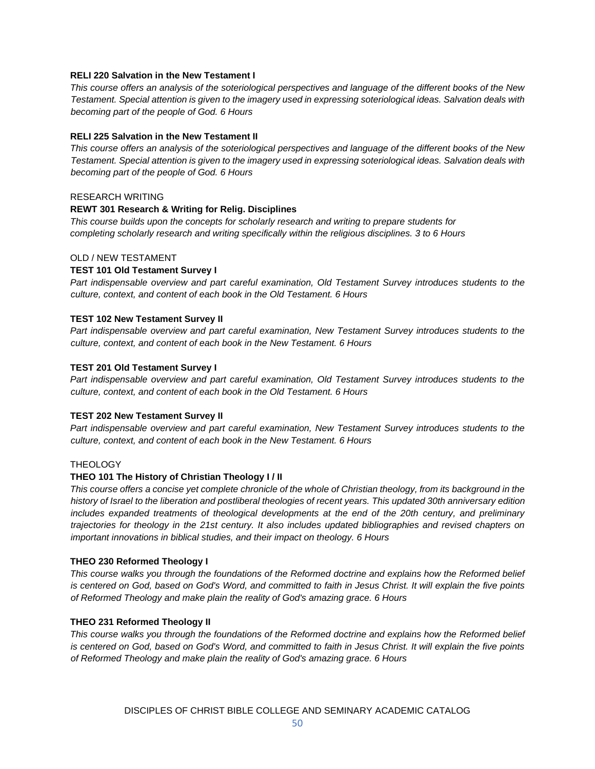#### **RELI 220 Salvation in the New Testament I**

*This course offers an analysis of the soteriological perspectives and language of the different books of the New Testament. Special attention is given to the imagery used in expressing soteriological ideas. Salvation deals with becoming part of the people of God. 6 Hours*

# **RELI 225 Salvation in the New Testament II**

*This course offers an analysis of the soteriological perspectives and language of the different books of the New Testament. Special attention is given to the imagery used in expressing soteriological ideas. Salvation deals with becoming part of the people of God. 6 Hours*

#### RESEARCH WRITING

#### **REWT 301 Research & Writing for Relig. Disciplines**

*This course builds upon the concepts for scholarly research and writing to prepare students for completing scholarly research and writing specifically within the religious disciplines. 3 to 6 Hours*

# OLD / NEW TESTAMENT

#### **TEST 101 Old Testament Survey I**

*Part indispensable overview and part careful examination, Old Testament Survey introduces students to the culture, context, and content of each book in the Old Testament. 6 Hours*

#### **TEST 102 New Testament Survey II**

*Part indispensable overview and part careful examination, New Testament Survey introduces students to the culture, context, and content of each book in the New Testament. 6 Hours*

#### **TEST 201 Old Testament Survey I**

*Part indispensable overview and part careful examination, Old Testament Survey introduces students to the culture, context, and content of each book in the Old Testament. 6 Hours*

#### **TEST 202 New Testament Survey II**

*Part indispensable overview and part careful examination, New Testament Survey introduces students to the culture, context, and content of each book in the New Testament. 6 Hours*

# **THEOLOGY**

# **THEO 101 The History of Christian Theology I / II**

*This course offers a concise yet complete chronicle of the whole of Christian theology, from its background in the history of Israel to the liberation and postliberal theologies of recent years. This updated 30th anniversary edition includes expanded treatments of theological developments at the end of the 20th century, and preliminary trajectories for theology in the 21st century. It also includes updated bibliographies and revised chapters on important innovations in biblical studies, and their impact on theology. 6 Hours*

#### **THEO 230 Reformed Theology I**

*This course walks you through the foundations of the Reformed doctrine and explains how the Reformed belief is centered on God, based on God's Word, and committed to faith in Jesus Christ. It will explain the five points of Reformed Theology and make plain the reality of God's amazing grace. 6 Hours*

# **THEO 231 Reformed Theology II**

*This course walks you through the foundations of the Reformed doctrine and explains how the Reformed belief is centered on God, based on God's Word, and committed to faith in Jesus Christ. It will explain the five points of Reformed Theology and make plain the reality of God's amazing grace. 6 Hours*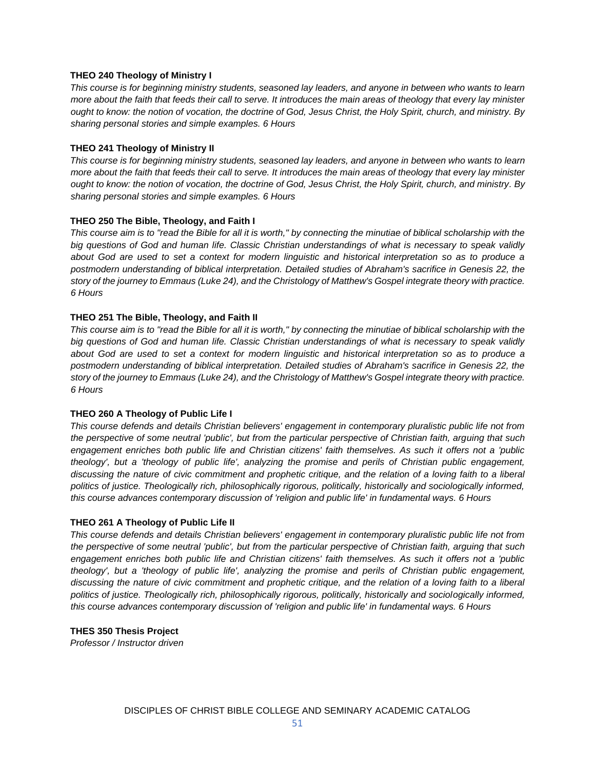### **THEO 240 Theology of Ministry I**

*This course is for beginning ministry students, seasoned lay leaders, and anyone in between who wants to learn more about the faith that feeds their call to serve. It introduces the main areas of theology that every lay minister ought to know: the notion of vocation, the doctrine of God, Jesus Christ, the Holy Spirit, church, and ministry. By sharing personal stories and simple examples. 6 Hours*

# **THEO 241 Theology of Ministry II**

*This course is for beginning ministry students, seasoned lay leaders, and anyone in between who wants to learn more about the faith that feeds their call to serve. It introduces the main areas of theology that every lay minister ought to know: the notion of vocation, the doctrine of God, Jesus Christ, the Holy Spirit, church, and ministry. By sharing personal stories and simple examples. 6 Hours*

#### **THEO 250 The Bible, Theology, and Faith I**

*This course aim is to "read the Bible for all it is worth," by connecting the minutiae of biblical scholarship with the big questions of God and human life. Classic Christian understandings of what is necessary to speak validly about God are used to set a context for modern linguistic and historical interpretation so as to produce a postmodern understanding of biblical interpretation. Detailed studies of Abraham's sacrifice in Genesis 22, the story of the journey to Emmaus (Luke 24), and the Christology of Matthew's Gospel integrate theory with practice. 6 Hours*

# **THEO 251 The Bible, Theology, and Faith II**

*This course aim is to "read the Bible for all it is worth," by connecting the minutiae of biblical scholarship with the big questions of God and human life. Classic Christian understandings of what is necessary to speak validly about God are used to set a context for modern linguistic and historical interpretation so as to produce a postmodern understanding of biblical interpretation. Detailed studies of Abraham's sacrifice in Genesis 22, the story of the journey to Emmaus (Luke 24), and the Christology of Matthew's Gospel integrate theory with practice. 6 Hours*

# **THEO 260 A Theology of Public Life I**

*This course defends and details Christian believers' engagement in contemporary pluralistic public life not from the perspective of some neutral 'public', but from the particular perspective of Christian faith, arguing that such engagement enriches both public life and Christian citizens' faith themselves. As such it offers not a 'public theology', but a 'theology of public life', analyzing the promise and perils of Christian public engagement, discussing the nature of civic commitment and prophetic critique, and the relation of a loving faith to a liberal politics of justice. Theologically rich, philosophically rigorous, politically, historically and sociologically informed, this course advances contemporary discussion of 'religion and public life' in fundamental ways. 6 Hours*

#### **THEO 261 A Theology of Public Life II**

*This course defends and details Christian believers' engagement in contemporary pluralistic public life not from the perspective of some neutral 'public', but from the particular perspective of Christian faith, arguing that such engagement enriches both public life and Christian citizens' faith themselves. As such it offers not a 'public theology', but a 'theology of public life', analyzing the promise and perils of Christian public engagement, discussing the nature of civic commitment and prophetic critique, and the relation of a loving faith to a liberal politics of justice. Theologically rich, philosophically rigorous, politically, historically and sociologically informed, this course advances contemporary discussion of 'religion and public life' in fundamental ways. 6 Hours*

#### **THES 350 Thesis Project**

*Professor / Instructor driven*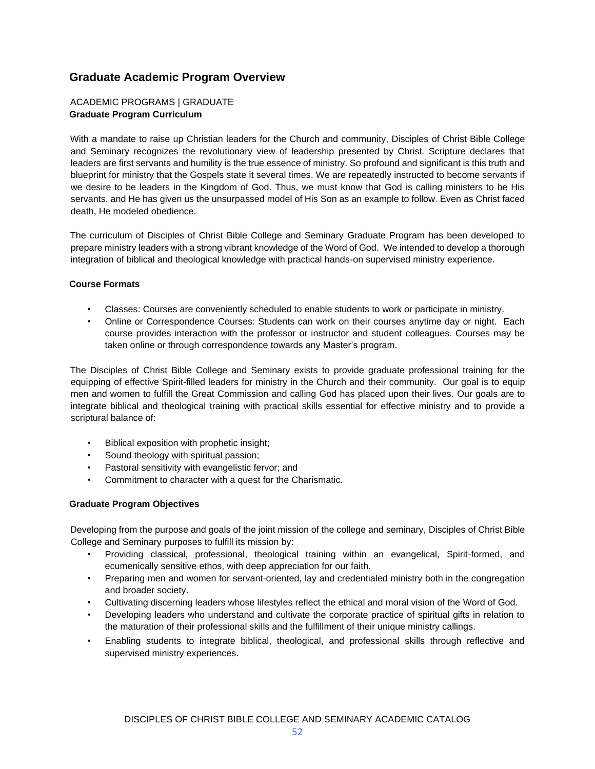# **Graduate Academic Program Overview**

# ACADEMIC PROGRAMS | GRADUATE **Graduate Program Curriculum**

With a mandate to raise up Christian leaders for the Church and community, Disciples of Christ Bible College and Seminary recognizes the revolutionary view of leadership presented by Christ. Scripture declares that leaders are first servants and humility is the true essence of ministry. So profound and significant is this truth and blueprint for ministry that the Gospels state it several times. We are repeatedly instructed to become servants if we desire to be leaders in the Kingdom of God. Thus, we must know that God is calling ministers to be His servants, and He has given us the unsurpassed model of His Son as an example to follow. Even as Christ faced death, He modeled obedience.

The curriculum of Disciples of Christ Bible College and Seminary Graduate Program has been developed to prepare ministry leaders with a strong vibrant knowledge of the Word of God. We intended to develop a thorough integration of biblical and theological knowledge with practical hands-on supervised ministry experience.

# **Course Formats**

- Classes: Courses are conveniently scheduled to enable students to work or participate in ministry.
- Online or Correspondence Courses: Students can work on their courses anytime day or night. Each course provides interaction with the professor or instructor and student colleagues. Courses may be taken online or through correspondence towards any Master's program.

The Disciples of Christ Bible College and Seminary exists to provide graduate professional training for the equipping of effective Spirit-filled leaders for ministry in the Church and their community. Our goal is to equip men and women to fulfill the Great Commission and calling God has placed upon their lives. Our goals are to integrate biblical and theological training with practical skills essential for effective ministry and to provide a scriptural balance of:

- Biblical exposition with prophetic insight;
- Sound theology with spiritual passion;
- Pastoral sensitivity with evangelistic fervor; and
- Commitment to character with a quest for the Charismatic.

# **Graduate Program Objectives**

Developing from the purpose and goals of the joint mission of the college and seminary, Disciples of Christ Bible College and Seminary purposes to fulfill its mission by:

- Providing classical, professional, theological training within an evangelical, Spirit-formed, and ecumenically sensitive ethos, with deep appreciation for our faith.
- Preparing men and women for servant-oriented, lay and credentialed ministry both in the congregation and broader society.
- Cultivating discerning leaders whose lifestyles reflect the ethical and moral vision of the Word of God.
- Developing leaders who understand and cultivate the corporate practice of spiritual gifts in relation to the maturation of their professional skills and the fulfillment of their unique ministry callings.
- Enabling students to integrate biblical, theological, and professional skills through reflective and supervised ministry experiences.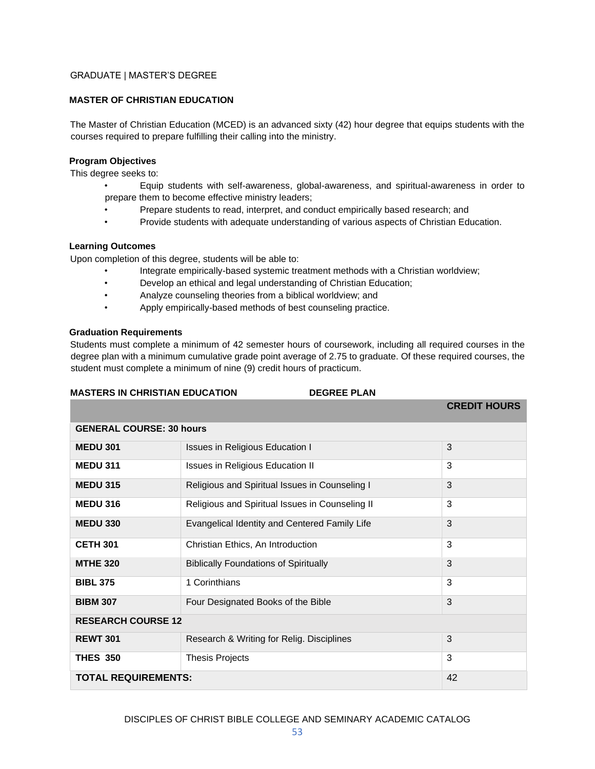# GRADUATE | MASTER'S DEGREE

# **MASTER OF CHRISTIAN EDUCATION**

The Master of Christian Education (MCED) is an advanced sixty (42) hour degree that equips students with the courses required to prepare fulfilling their calling into the ministry.

#### **Program Objectives**

This degree seeks to:

- Equip students with self-awareness, global-awareness, and spiritual-awareness in order to prepare them to become effective ministry leaders;
- Prepare students to read, interpret, and conduct empirically based research; and
- Provide students with adequate understanding of various aspects of Christian Education.

# **Learning Outcomes**

Upon completion of this degree, students will be able to:

- Integrate empirically-based systemic treatment methods with a Christian worldview;
- Develop an ethical and legal understanding of Christian Education;
- Analyze counseling theories from a biblical worldview; and
- Apply empirically-based methods of best counseling practice.

#### **Graduation Requirements**

Students must complete a minimum of 42 semester hours of coursework, including all required courses in the degree plan with a minimum cumulative grade point average of 2.75 to graduate. Of these required courses, the student must complete a minimum of nine (9) credit hours of practicum.

# **MASTERS IN CHRISTIAN EDUCATION DEGREE PLAN**

|                                 |                                                 | <b>CREDIT HOURS</b> |
|---------------------------------|-------------------------------------------------|---------------------|
| <b>GENERAL COURSE: 30 hours</b> |                                                 |                     |
| <b>MEDU 301</b>                 | <b>Issues in Religious Education I</b>          | 3                   |
| <b>MEDU 311</b>                 | <b>Issues in Religious Education II</b>         | 3                   |
| <b>MEDU 315</b>                 | Religious and Spiritual Issues in Counseling I  | 3                   |
| <b>MEDU 316</b>                 | Religious and Spiritual Issues in Counseling II | 3                   |
| <b>MEDU 330</b>                 | Evangelical Identity and Centered Family Life   | 3                   |
| <b>CETH 301</b>                 | Christian Ethics, An Introduction               | 3                   |
| <b>MTHE 320</b>                 | <b>Biblically Foundations of Spiritually</b>    | 3                   |
| <b>BIBL 375</b>                 | 1 Corinthians                                   | 3                   |
| <b>BIBM 307</b>                 | Four Designated Books of the Bible              | 3                   |
| <b>RESEARCH COURSE 12</b>       |                                                 |                     |
| <b>REWT 301</b>                 | Research & Writing for Relig. Disciplines       | 3                   |
| <b>THES 350</b>                 | <b>Thesis Projects</b>                          | 3                   |
| <b>TOTAL REQUIREMENTS:</b>      |                                                 | 42                  |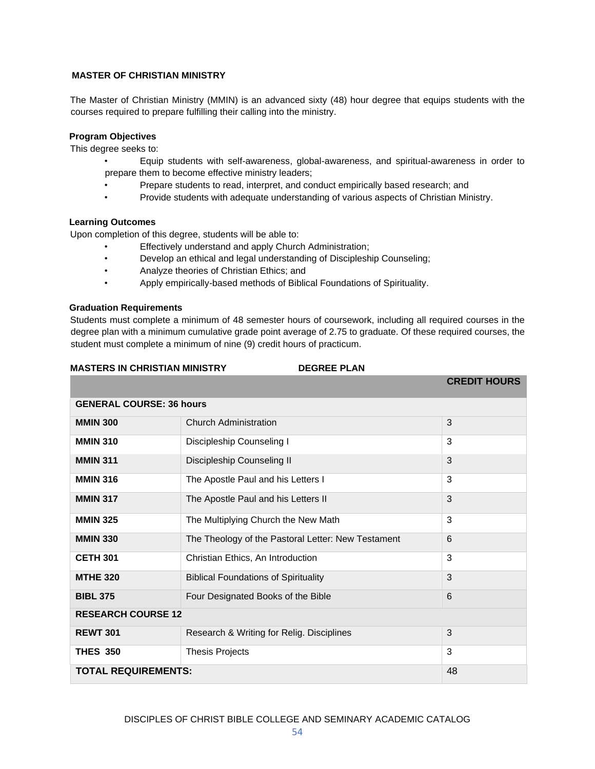# **MASTER OF CHRISTIAN MINISTRY**

The Master of Christian Ministry (MMIN) is an advanced sixty (48) hour degree that equips students with the courses required to prepare fulfilling their calling into the ministry.

# **Program Objectives**

This degree seeks to:

- Equip students with self-awareness, global-awareness, and spiritual-awareness in order to prepare them to become effective ministry leaders;
- Prepare students to read, interpret, and conduct empirically based research; and
- Provide students with adequate understanding of various aspects of Christian Ministry.

#### **Learning Outcomes**

Upon completion of this degree, students will be able to:

- Effectively understand and apply Church Administration;
- Develop an ethical and legal understanding of Discipleship Counseling;
- Analyze theories of Christian Ethics; and
- Apply empirically-based methods of Biblical Foundations of Spirituality.

#### **Graduation Requirements**

Students must complete a minimum of 48 semester hours of coursework, including all required courses in the degree plan with a minimum cumulative grade point average of 2.75 to graduate. Of these required courses, the student must complete a minimum of nine (9) credit hours of practicum.

# **MASTERS IN CHRISTIAN MINISTRY DEGREE PLAN**

|                            |                                                    | <b>CREDIT HOURS</b> |  |
|----------------------------|----------------------------------------------------|---------------------|--|
|                            | <b>GENERAL COURSE: 36 hours</b>                    |                     |  |
| <b>MMIN 300</b>            | <b>Church Administration</b>                       | 3                   |  |
| <b>MMIN 310</b>            | Discipleship Counseling I                          | 3                   |  |
| <b>MMIN 311</b>            | Discipleship Counseling II                         | 3                   |  |
| <b>MMIN 316</b>            | The Apostle Paul and his Letters I                 | 3                   |  |
| <b>MMIN 317</b>            | The Apostle Paul and his Letters II                | 3                   |  |
| <b>MMIN 325</b>            | The Multiplying Church the New Math                | 3                   |  |
| <b>MMIN 330</b>            | The Theology of the Pastoral Letter: New Testament | 6                   |  |
| <b>CETH 301</b>            | Christian Ethics, An Introduction                  | 3                   |  |
| <b>MTHE 320</b>            | <b>Biblical Foundations of Spirituality</b>        | 3                   |  |
| <b>BIBL 375</b>            | Four Designated Books of the Bible                 | 6                   |  |
| <b>RESEARCH COURSE 12</b>  |                                                    |                     |  |
| <b>REWT 301</b>            | Research & Writing for Relig. Disciplines          | 3                   |  |
| <b>THES 350</b>            | <b>Thesis Projects</b>                             | 3                   |  |
| <b>TOTAL REQUIREMENTS:</b> |                                                    | 48                  |  |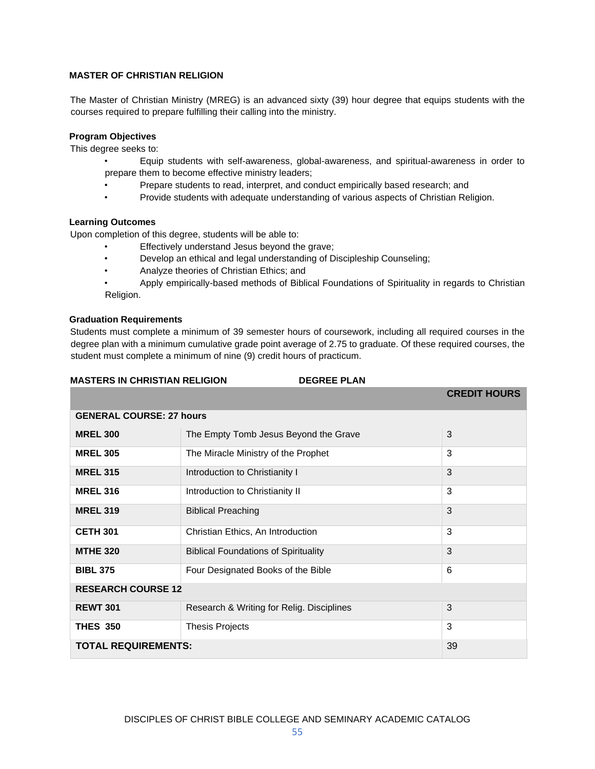# **MASTER OF CHRISTIAN RELIGION**

The Master of Christian Ministry (MREG) is an advanced sixty (39) hour degree that equips students with the courses required to prepare fulfilling their calling into the ministry.

# **Program Objectives**

This degree seeks to:

- Equip students with self-awareness, global-awareness, and spiritual-awareness in order to prepare them to become effective ministry leaders;
- Prepare students to read, interpret, and conduct empirically based research; and
- Provide students with adequate understanding of various aspects of Christian Religion.

#### **Learning Outcomes**

Upon completion of this degree, students will be able to:

- Effectively understand Jesus beyond the grave;
- Develop an ethical and legal understanding of Discipleship Counseling;
- Analyze theories of Christian Ethics; and
- Apply empirically-based methods of Biblical Foundations of Spirituality in regards to Christian Religion.

# **Graduation Requirements**

Students must complete a minimum of 39 semester hours of coursework, including all required courses in the degree plan with a minimum cumulative grade point average of 2.75 to graduate. Of these required courses, the student must complete a minimum of nine (9) credit hours of practicum.

| <b>MASTERS IN CHRISTIAN RELIGION</b> |                                             | <b>DEGREE PLAN</b> |                     |
|--------------------------------------|---------------------------------------------|--------------------|---------------------|
|                                      |                                             |                    | <b>CREDIT HOURS</b> |
| <b>GENERAL COURSE: 27 hours</b>      |                                             |                    |                     |
| <b>MREL 300</b>                      | The Empty Tomb Jesus Beyond the Grave       |                    | 3                   |
| <b>MREL 305</b>                      | The Miracle Ministry of the Prophet         |                    | 3                   |
| <b>MREL 315</b>                      | Introduction to Christianity I              |                    | 3                   |
| <b>MREL 316</b>                      | Introduction to Christianity II             |                    | 3                   |
| <b>MREL 319</b>                      | <b>Biblical Preaching</b>                   |                    | 3                   |
| <b>CETH 301</b>                      | Christian Ethics, An Introduction           |                    | 3                   |
| <b>MTHE 320</b>                      | <b>Biblical Foundations of Spirituality</b> |                    | 3                   |
| <b>BIBL 375</b>                      | Four Designated Books of the Bible          |                    | 6                   |
| <b>RESEARCH COURSE 12</b>            |                                             |                    |                     |
| <b>REWT 301</b>                      | Research & Writing for Relig. Disciplines   |                    | 3                   |
| <b>THES 350</b>                      | <b>Thesis Projects</b>                      |                    | 3                   |
| <b>TOTAL REQUIREMENTS:</b>           |                                             | 39                 |                     |
|                                      |                                             |                    |                     |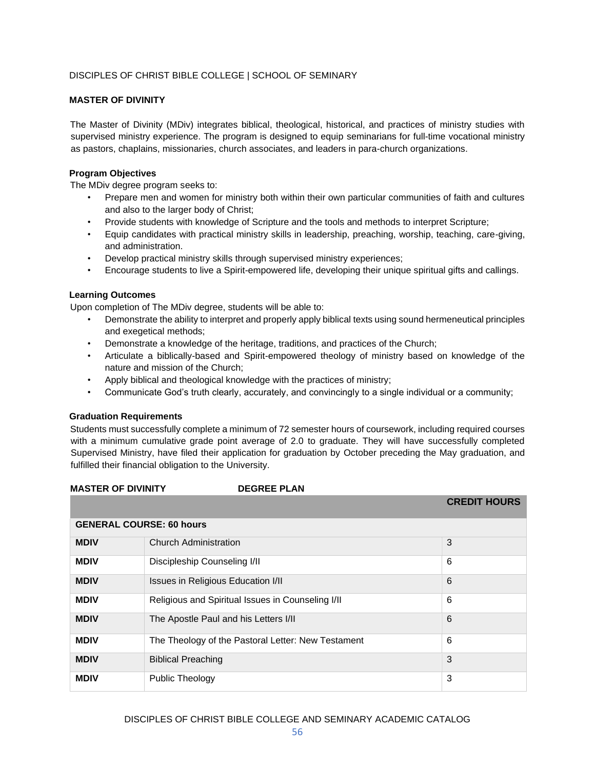# DISCIPLES OF CHRIST BIBLE COLLEGE | SCHOOL OF SEMINARY

# **MASTER OF DIVINITY**

The Master of Divinity (MDiv) integrates biblical, theological, historical, and practices of ministry studies with supervised ministry experience. The program is designed to equip seminarians for full-time vocational ministry as pastors, chaplains, missionaries, church associates, and leaders in para-church organizations.

# **Program Objectives**

The MDiv degree program seeks to:

- Prepare men and women for ministry both within their own particular communities of faith and cultures and also to the larger body of Christ;
- Provide students with knowledge of Scripture and the tools and methods to interpret Scripture;
- Equip candidates with practical ministry skills in leadership, preaching, worship, teaching, care-giving, and administration.
- Develop practical ministry skills through supervised ministry experiences;
- Encourage students to live a Spirit-empowered life, developing their unique spiritual gifts and callings.

#### **Learning Outcomes**

Upon completion of The MDiv degree, students will be able to:

- Demonstrate the ability to interpret and properly apply biblical texts using sound hermeneutical principles and exegetical methods;
- Demonstrate a knowledge of the heritage, traditions, and practices of the Church;
- Articulate a biblically-based and Spirit-empowered theology of ministry based on knowledge of the nature and mission of the Church;
- Apply biblical and theological knowledge with the practices of ministry;
- Communicate God's truth clearly, accurately, and convincingly to a single individual or a community;

#### **Graduation Requirements**

Students must successfully complete a minimum of 72 semester hours of coursework, including required courses with a minimum cumulative grade point average of 2.0 to graduate. They will have successfully completed Supervised Ministry, have filed their application for graduation by October preceding the May graduation, and fulfilled their financial obligation to the University.

# **MASTER OF DIVINITY DEGREE PLAN CREDIT HOURS GENERAL COURSE: 60 hours MDIV** Church Administration 3 **MDIV** Discipleship Counseling I/II **6** 6 **MDIV** Issues in Religious Education I/II **Internal Contract Contract Contract Contract Contract Contract Contract Contract Contract Contract Contract Contract Contract Contract Contract Contract Contract Contract Contract MDIV** Religious and Spiritual Issues in Counseling I/II **6** 6 **MDIV** The Apostle Paul and his Letters I/II **6** 6 **MDIV** The Theology of the Pastoral Letter: New Testament 6 **MDIV** Biblical Preaching 3 **MDIV** Public Theology 3

# DISCIPLES OF CHRIST BIBLE COLLEGE AND SEMINARY ACADEMIC CATALOG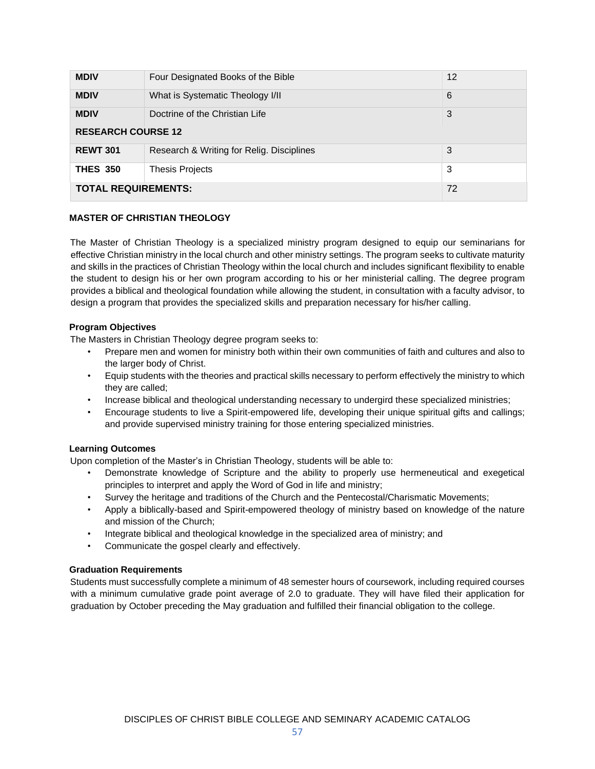| <b>MDIV</b>                | Four Designated Books of the Bible        | 12 |
|----------------------------|-------------------------------------------|----|
| <b>MDIV</b>                | What is Systematic Theology I/II          | 6  |
| <b>MDIV</b>                | Doctrine of the Christian Life            | 3  |
| <b>RESEARCH COURSE 12</b>  |                                           |    |
| <b>REWT 301</b>            | Research & Writing for Relig. Disciplines | 3  |
| <b>THES 350</b>            | <b>Thesis Projects</b>                    | 3  |
| <b>TOTAL REQUIREMENTS:</b> |                                           | 72 |

# **MASTER OF CHRISTIAN THEOLOGY**

The Master of Christian Theology is a specialized ministry program designed to equip our seminarians for effective Christian ministry in the local church and other ministry settings. The program seeks to cultivate maturity and skills in the practices of Christian Theology within the local church and includes significant flexibility to enable the student to design his or her own program according to his or her ministerial calling. The degree program provides a biblical and theological foundation while allowing the student, in consultation with a faculty advisor, to design a program that provides the specialized skills and preparation necessary for his/her calling.

# **Program Objectives**

The Masters in Christian Theology degree program seeks to:

- Prepare men and women for ministry both within their own communities of faith and cultures and also to the larger body of Christ.
- Equip students with the theories and practical skills necessary to perform effectively the ministry to which they are called;
- Increase biblical and theological understanding necessary to undergird these specialized ministries;
- Encourage students to live a Spirit-empowered life, developing their unique spiritual gifts and callings; and provide supervised ministry training for those entering specialized ministries.

# **Learning Outcomes**

Upon completion of the Master's in Christian Theology, students will be able to:

- Demonstrate knowledge of Scripture and the ability to properly use hermeneutical and exegetical principles to interpret and apply the Word of God in life and ministry;
- Survey the heritage and traditions of the Church and the Pentecostal/Charismatic Movements;
- Apply a biblically-based and Spirit-empowered theology of ministry based on knowledge of the nature and mission of the Church;
- Integrate biblical and theological knowledge in the specialized area of ministry; and
- Communicate the gospel clearly and effectively.

# **Graduation Requirements**

Students must successfully complete a minimum of 48 semester hours of coursework, including required courses with a minimum cumulative grade point average of 2.0 to graduate. They will have filed their application for graduation by October preceding the May graduation and fulfilled their financial obligation to the college.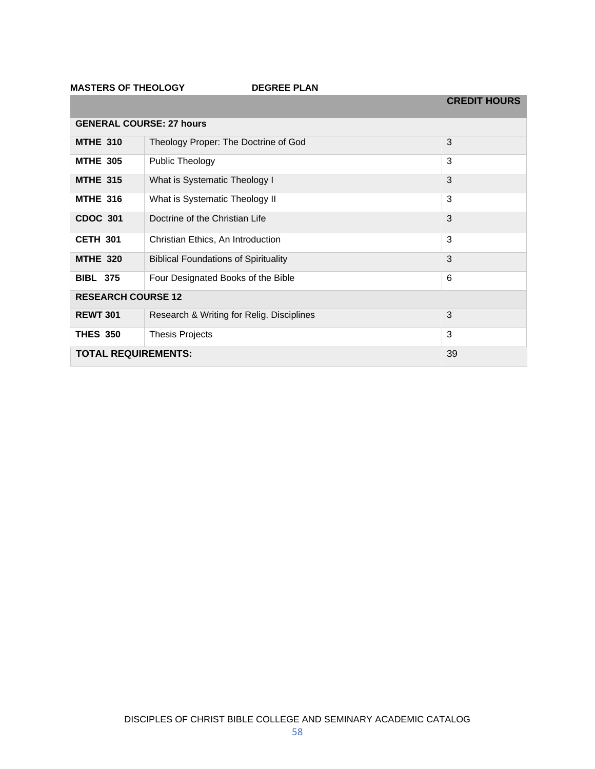**MASTERS OF THEOLOGY DEGREE PLAN** 

|                                 |                                             | <b>CREDIT HOURS</b> |
|---------------------------------|---------------------------------------------|---------------------|
| <b>GENERAL COURSE: 27 hours</b> |                                             |                     |
| <b>MTHE 310</b>                 | Theology Proper: The Doctrine of God        | 3                   |
| <b>MTHE 305</b>                 | <b>Public Theology</b>                      | 3                   |
| <b>MTHE 315</b>                 | What is Systematic Theology I               | 3                   |
| <b>MTHE 316</b>                 | What is Systematic Theology II              | 3                   |
| <b>CDOC 301</b>                 | Doctrine of the Christian Life              | 3                   |
| <b>CETH 301</b>                 | Christian Ethics, An Introduction           | 3                   |
| <b>MTHE 320</b>                 | <b>Biblical Foundations of Spirituality</b> | 3                   |
| <b>BIBL 375</b>                 | Four Designated Books of the Bible          | 6                   |
| <b>RESEARCH COURSE 12</b>       |                                             |                     |
| <b>REWT 301</b>                 | Research & Writing for Relig. Disciplines   | 3                   |
| <b>THES 350</b>                 | <b>Thesis Projects</b>                      | 3                   |
| <b>TOTAL REQUIREMENTS:</b>      |                                             | 39                  |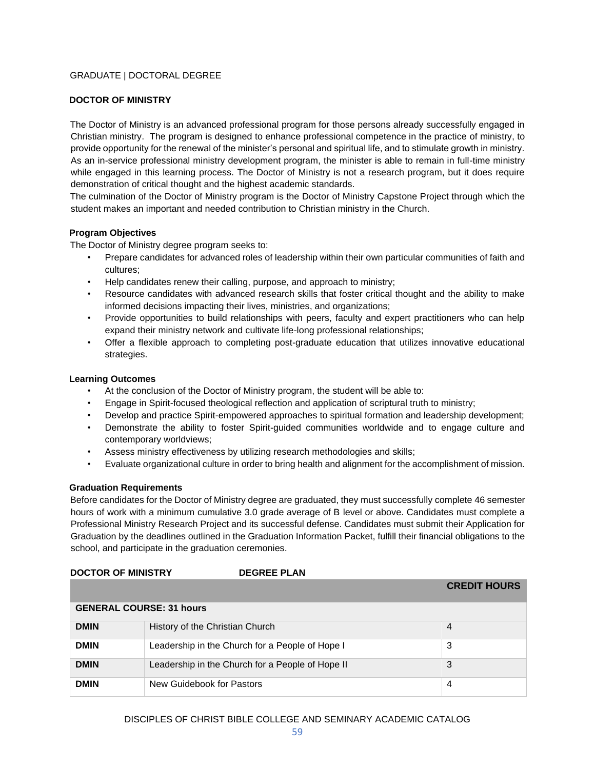# GRADUATE | DOCTORAL DEGREE

# **DOCTOR OF MINISTRY**

The Doctor of Ministry is an advanced professional program for those persons already successfully engaged in Christian ministry. The program is designed to enhance professional competence in the practice of ministry, to provide opportunity for the renewal of the minister's personal and spiritual life, and to stimulate growth in ministry. As an in-service professional ministry development program, the minister is able to remain in full-time ministry while engaged in this learning process. The Doctor of Ministry is not a research program, but it does require demonstration of critical thought and the highest academic standards.

The culmination of the Doctor of Ministry program is the Doctor of Ministry Capstone Project through which the student makes an important and needed contribution to Christian ministry in the Church.

#### **Program Objectives**

The Doctor of Ministry degree program seeks to:

- Prepare candidates for advanced roles of leadership within their own particular communities of faith and cultures;
- Help candidates renew their calling, purpose, and approach to ministry;
- Resource candidates with advanced research skills that foster critical thought and the ability to make informed decisions impacting their lives, ministries, and organizations;
- Provide opportunities to build relationships with peers, faculty and expert practitioners who can help expand their ministry network and cultivate life-long professional relationships;
- Offer a flexible approach to completing post-graduate education that utilizes innovative educational strategies.

#### **Learning Outcomes**

- At the conclusion of the Doctor of Ministry program, the student will be able to:
- Engage in Spirit-focused theological reflection and application of scriptural truth to ministry;
- Develop and practice Spirit-empowered approaches to spiritual formation and leadership development;
- Demonstrate the ability to foster Spirit-guided communities worldwide and to engage culture and contemporary worldviews;
- Assess ministry effectiveness by utilizing research methodologies and skills;
- Evaluate organizational culture in order to bring health and alignment for the accomplishment of mission.

#### **Graduation Requirements**

Before candidates for the Doctor of Ministry degree are graduated, they must successfully complete 46 semester hours of work with a minimum cumulative 3.0 grade average of B level or above. Candidates must complete a Professional Ministry Research Project and its successful defense. Candidates must submit their Application for Graduation by the deadlines outlined in the Graduation Information Packet, fulfill their financial obligations to the school, and participate in the graduation ceremonies.

| <b>DOCTOR OF MINISTRY</b>       | <b>DEGREE PLAN</b>                               |                     |  |
|---------------------------------|--------------------------------------------------|---------------------|--|
|                                 |                                                  | <b>CREDIT HOURS</b> |  |
| <b>GENERAL COURSE: 31 hours</b> |                                                  |                     |  |
| <b>DMIN</b>                     | History of the Christian Church                  | $\overline{4}$      |  |
| <b>DMIN</b>                     | Leadership in the Church for a People of Hope I  | 3                   |  |
| <b>DMIN</b>                     | Leadership in the Church for a People of Hope II | 3                   |  |
| <b>DMIN</b>                     | New Guidebook for Pastors                        | 4                   |  |

# DISCIPLES OF CHRIST BIBLE COLLEGE AND SEMINARY ACADEMIC CATALOG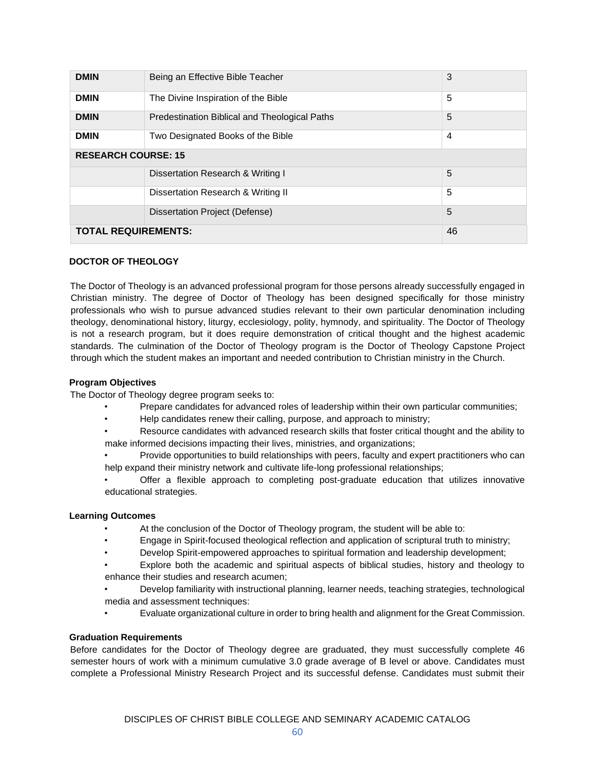| <b>DMIN</b>                | Being an Effective Bible Teacher              | 3  |
|----------------------------|-----------------------------------------------|----|
| <b>DMIN</b>                | The Divine Inspiration of the Bible           | 5  |
| <b>DMIN</b>                | Predestination Biblical and Theological Paths | 5  |
| <b>DMIN</b>                | Two Designated Books of the Bible             | 4  |
| <b>RESEARCH COURSE: 15</b> |                                               |    |
|                            | Dissertation Research & Writing I             | 5  |
|                            | Dissertation Research & Writing II            | 5  |
|                            | Dissertation Project (Defense)                | 5  |
| <b>TOTAL REQUIREMENTS:</b> |                                               | 46 |

# **DOCTOR OF THEOLOGY**

The Doctor of Theology is an advanced professional program for those persons already successfully engaged in Christian ministry. The degree of Doctor of Theology has been designed specifically for those ministry professionals who wish to pursue advanced studies relevant to their own particular denomination including theology, denominational history, liturgy, ecclesiology, polity, hymnody, and spirituality. The Doctor of Theology is not a research program, but it does require demonstration of critical thought and the highest academic standards. The culmination of the Doctor of Theology program is the Doctor of Theology Capstone Project through which the student makes an important and needed contribution to Christian ministry in the Church.

#### **Program Objectives**

The Doctor of Theology degree program seeks to:

- Prepare candidates for advanced roles of leadership within their own particular communities;
- Help candidates renew their calling, purpose, and approach to ministry;
- Resource candidates with advanced research skills that foster critical thought and the ability to make informed decisions impacting their lives, ministries, and organizations;
- Provide opportunities to build relationships with peers, faculty and expert practitioners who can help expand their ministry network and cultivate life-long professional relationships;
- Offer a flexible approach to completing post-graduate education that utilizes innovative educational strategies.

# **Learning Outcomes**

- At the conclusion of the Doctor of Theology program, the student will be able to:
- Engage in Spirit-focused theological reflection and application of scriptural truth to ministry;
- Develop Spirit-empowered approaches to spiritual formation and leadership development;
- Explore both the academic and spiritual aspects of biblical studies, history and theology to enhance their studies and research acumen;
- Develop familiarity with instructional planning, learner needs, teaching strategies, technological media and assessment techniques:
- Evaluate organizational culture in order to bring health and alignment for the Great Commission.

# **Graduation Requirements**

Before candidates for the Doctor of Theology degree are graduated, they must successfully complete 46 semester hours of work with a minimum cumulative 3.0 grade average of B level or above. Candidates must complete a Professional Ministry Research Project and its successful defense. Candidates must submit their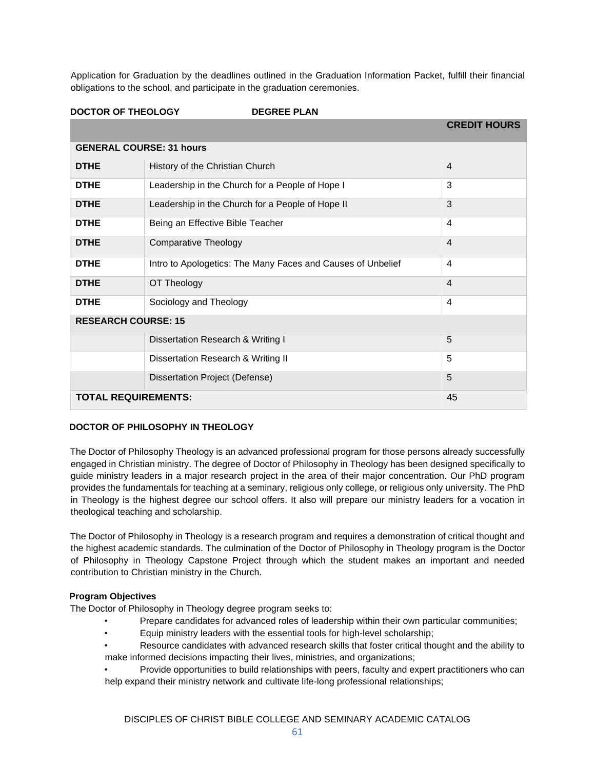Application for Graduation by the deadlines outlined in the Graduation Information Packet, fulfill their financial obligations to the school, and participate in the graduation ceremonies.

| <b>DOCTOR OF THEOLOGY</b>       | <b>DEGREE PLAN</b>                                          |                     |
|---------------------------------|-------------------------------------------------------------|---------------------|
|                                 |                                                             | <b>CREDIT HOURS</b> |
| <b>GENERAL COURSE: 31 hours</b> |                                                             |                     |
| <b>DTHE</b>                     | History of the Christian Church                             | $\overline{4}$      |
| <b>DTHE</b>                     | Leadership in the Church for a People of Hope I             | 3                   |
| <b>DTHE</b>                     | Leadership in the Church for a People of Hope II            | 3                   |
| <b>DTHE</b>                     | Being an Effective Bible Teacher                            | 4                   |
| <b>DTHE</b>                     | <b>Comparative Theology</b>                                 | $\overline{4}$      |
| <b>DTHE</b>                     | Intro to Apologetics: The Many Faces and Causes of Unbelief | 4                   |
| <b>DTHE</b>                     | OT Theology                                                 | $\overline{4}$      |
| <b>DTHE</b>                     | Sociology and Theology                                      | 4                   |
| <b>RESEARCH COURSE: 15</b>      |                                                             |                     |
|                                 | Dissertation Research & Writing I                           | 5                   |
|                                 | Dissertation Research & Writing II                          | 5                   |
|                                 | Dissertation Project (Defense)                              | 5                   |
| <b>TOTAL REQUIREMENTS:</b>      |                                                             | 45                  |

# **DOCTOR OF PHILOSOPHY IN THEOLOGY**

The Doctor of Philosophy Theology is an advanced professional program for those persons already successfully engaged in Christian ministry. The degree of Doctor of Philosophy in Theology has been designed specifically to guide ministry leaders in a major research project in the area of their major concentration. Our PhD program provides the fundamentals for teaching at a seminary, religious only college, or religious only university. The PhD in Theology is the highest degree our school offers. It also will prepare our ministry leaders for a vocation in theological teaching and scholarship.

The Doctor of Philosophy in Theology is a research program and requires a demonstration of critical thought and the highest academic standards. The culmination of the Doctor of Philosophy in Theology program is the Doctor of Philosophy in Theology Capstone Project through which the student makes an important and needed contribution to Christian ministry in the Church.

# **Program Objectives**

The Doctor of Philosophy in Theology degree program seeks to:

- Prepare candidates for advanced roles of leadership within their own particular communities;
- Equip ministry leaders with the essential tools for high-level scholarship;
- Resource candidates with advanced research skills that foster critical thought and the ability to make informed decisions impacting their lives, ministries, and organizations;
- Provide opportunities to build relationships with peers, faculty and expert practitioners who can help expand their ministry network and cultivate life-long professional relationships;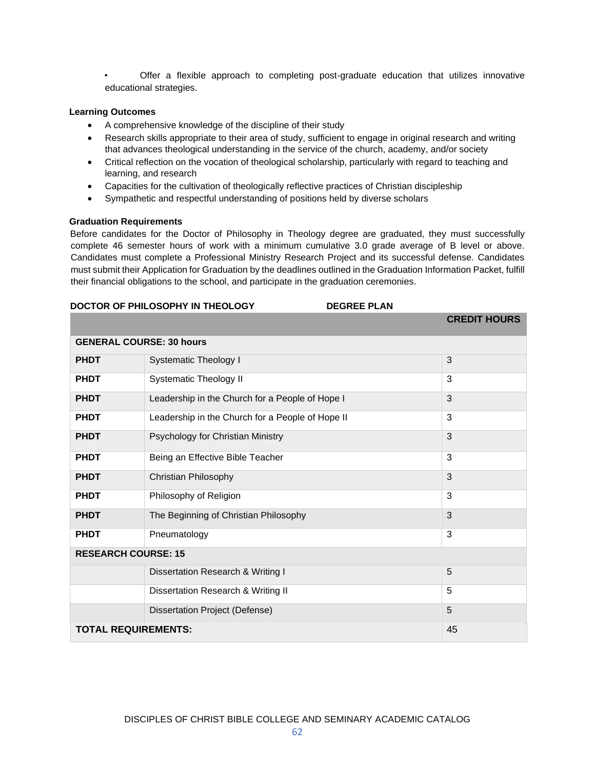• Offer a flexible approach to completing post-graduate education that utilizes innovative educational strategies.

# **Learning Outcomes**

- A comprehensive knowledge of the discipline of their study
- Research skills appropriate to their area of study, sufficient to engage in original research and writing that advances theological understanding in the service of the church, academy, and/or society
- Critical reflection on the vocation of theological scholarship, particularly with regard to teaching and learning, and research
- Capacities for the cultivation of theologically reflective practices of Christian discipleship
- Sympathetic and respectful understanding of positions held by diverse scholars

#### **Graduation Requirements**

Before candidates for the Doctor of Philosophy in Theology degree are graduated, they must successfully complete 46 semester hours of work with a minimum cumulative 3.0 grade average of B level or above. Candidates must complete a Professional Ministry Research Project and its successful defense. Candidates must submit their Application for Graduation by the deadlines outlined in the Graduation Information Packet, fulfill their financial obligations to the school, and participate in the graduation ceremonies.

#### **DOCTOR OF PHILOSOPHY IN THEOLOGY DEGREE PLAN**

|                                 |                                                  | <b>CREDIT HOURS</b> |  |
|---------------------------------|--------------------------------------------------|---------------------|--|
| <b>GENERAL COURSE: 30 hours</b> |                                                  |                     |  |
| <b>PHDT</b>                     | <b>Systematic Theology I</b>                     | 3                   |  |
| <b>PHDT</b>                     | <b>Systematic Theology II</b>                    | 3                   |  |
| <b>PHDT</b>                     | Leadership in the Church for a People of Hope I  | 3                   |  |
| <b>PHDT</b>                     | Leadership in the Church for a People of Hope II | 3                   |  |
| <b>PHDT</b>                     | Psychology for Christian Ministry                | 3                   |  |
| <b>PHDT</b>                     | Being an Effective Bible Teacher                 | 3                   |  |
| <b>PHDT</b>                     | Christian Philosophy                             | 3                   |  |
| <b>PHDT</b>                     | Philosophy of Religion                           | 3                   |  |
| <b>PHDT</b>                     | The Beginning of Christian Philosophy            | 3                   |  |
| <b>PHDT</b>                     | Pneumatology                                     | 3                   |  |
| <b>RESEARCH COURSE: 15</b>      |                                                  |                     |  |
|                                 | Dissertation Research & Writing I                | 5                   |  |
|                                 | Dissertation Research & Writing II               | 5                   |  |
|                                 | Dissertation Project (Defense)                   | 5                   |  |
| <b>TOTAL REQUIREMENTS:</b>      |                                                  | 45                  |  |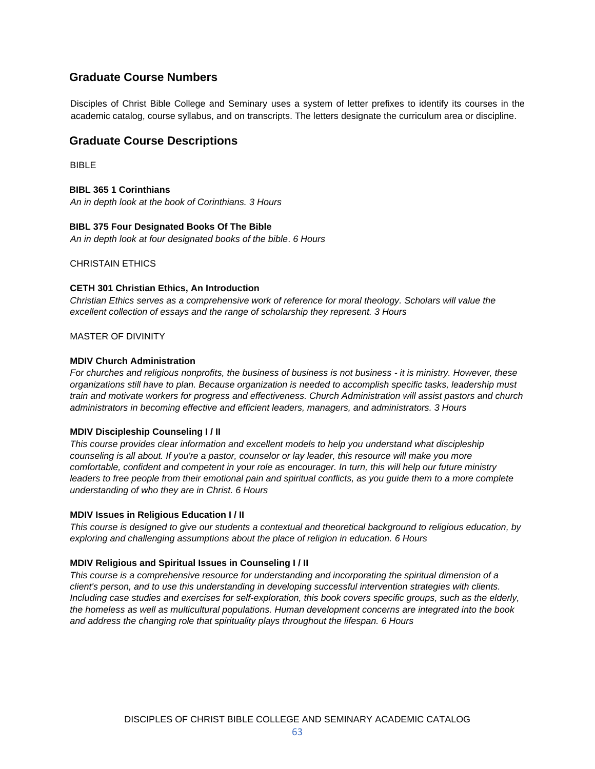# **Graduate Course Numbers**

Disciples of Christ Bible College and Seminary uses a system of letter prefixes to identify its courses in the academic catalog, course syllabus, and on transcripts. The letters designate the curriculum area or discipline.

# **Graduate Course Descriptions**

BIBLE

**BIBL 365 1 Corinthians** *An in depth look at the book of Corinthians. 3 Hours*

#### **BIBL 375 Four Designated Books Of The Bible**

*An in depth look at four designated books of the bible*. *6 Hours*

CHRISTAIN ETHICS

#### **CETH 301 Christian Ethics, An Introduction**

*Christian Ethics serves as a comprehensive work of reference for moral theology. Scholars will value the excellent collection of essays and the range of scholarship they represent. 3 Hours*

MASTER OF DIVINITY

#### **MDIV Church Administration**

*For churches and religious nonprofits, the business of business is not business - it is ministry. However, these organizations still have to plan. Because organization is needed to accomplish specific tasks, leadership must train and motivate workers for progress and effectiveness. Church Administration will assist pastors and church administrators in becoming effective and efficient leaders, managers, and administrators. 3 Hours*

#### **MDIV Discipleship Counseling I / II**

*This course provides clear information and excellent models to help you understand what discipleship counseling is all about. If you're a pastor, counselor or lay leader, this resource will make you more comfortable, confident and competent in your role as encourager. In turn, this will help our future ministry leaders to free people from their emotional pain and spiritual conflicts, as you guide them to a more complete understanding of who they are in Christ. 6 Hours*

#### **MDIV Issues in Religious Education I / II**

*This course is designed to give our students a contextual and theoretical background to religious education, by exploring and challenging assumptions about the place of religion in education. 6 Hours*

#### **MDIV Religious and Spiritual Issues in Counseling I / II**

*This course is a comprehensive resource for understanding and incorporating the spiritual dimension of a client's person, and to use this understanding in developing successful intervention strategies with clients. Including case studies and exercises for self-exploration, this book covers specific groups, such as the elderly, the homeless as well as multicultural populations. Human development concerns are integrated into the book and address the changing role that spirituality plays throughout the lifespan. 6 Hours*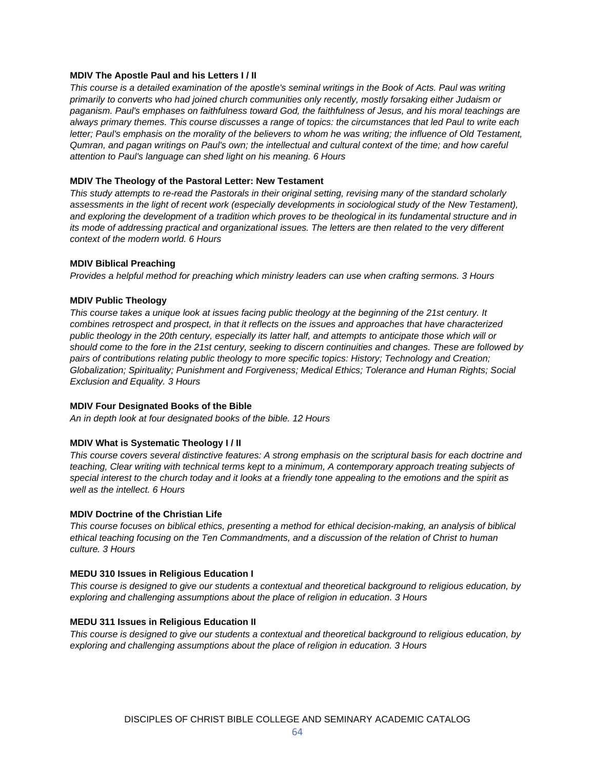#### **MDIV The Apostle Paul and his Letters I / II**

*This course is a detailed examination of the apostle's seminal writings in the Book of Acts. Paul was writing primarily to converts who had joined church communities only recently, mostly forsaking either Judaism or paganism. Paul's emphases on faithfulness toward God, the faithfulness of Jesus, and his moral teachings are always primary themes. This course discusses a range of topics: the circumstances that led Paul to write each letter; Paul's emphasis on the morality of the believers to whom he was writing; the influence of Old Testament, Qumran, and pagan writings on Paul's own; the intellectual and cultural context of the time; and how careful attention to Paul's language can shed light on his meaning. 6 Hours*

#### **MDIV The Theology of the Pastoral Letter: New Testament**

*This study attempts to re-read the Pastorals in their original setting, revising many of the standard scholarly*  assessments in the light of recent work (especially developments in sociological study of the New Testament), *and exploring the development of a tradition which proves to be theological in its fundamental structure and in its mode of addressing practical and organizational issues. The letters are then related to the very different context of the modern world. 6 Hours*

#### **MDIV Biblical Preaching**

*Provides a helpful method for preaching which ministry leaders can use when crafting sermons. 3 Hours*

#### **MDIV Public Theology**

*This course takes a unique look at issues facing public theology at the beginning of the 21st century. It combines retrospect and prospect, in that it reflects on the issues and approaches that have characterized public theology in the 20th century, especially its latter half, and attempts to anticipate those which will or should come to the fore in the 21st century, seeking to discern continuities and changes. These are followed by pairs of contributions relating public theology to more specific topics: History; Technology and Creation; Globalization; Spirituality; Punishment and Forgiveness; Medical Ethics; Tolerance and Human Rights; Social Exclusion and Equality. 3 Hours*

#### **MDIV Four Designated Books of the Bible**

*An in depth look at four designated books of the bible. 12 Hours*

# **MDIV What is Systematic Theology I / II**

*This course covers several distinctive features: A strong emphasis on the scriptural basis for each doctrine and teaching, Clear writing with technical terms kept to a minimum, A contemporary approach treating subjects of special interest to the church today and it looks at a friendly tone appealing to the emotions and the spirit as well as the intellect. 6 Hours*

#### **MDIV Doctrine of the Christian Life**

*This course focuses on biblical ethics, presenting a method for ethical decision-making, an analysis of biblical ethical teaching focusing on the Ten Commandments, and a discussion of the relation of Christ to human culture. 3 Hours*

#### **MEDU 310 Issues in Religious Education I**

*This course is designed to give our students a contextual and theoretical background to religious education, by exploring and challenging assumptions about the place of religion in education. 3 Hours*

#### **MEDU 311 Issues in Religious Education II**

*This course is designed to give our students a contextual and theoretical background to religious education, by exploring and challenging assumptions about the place of religion in education. 3 Hours*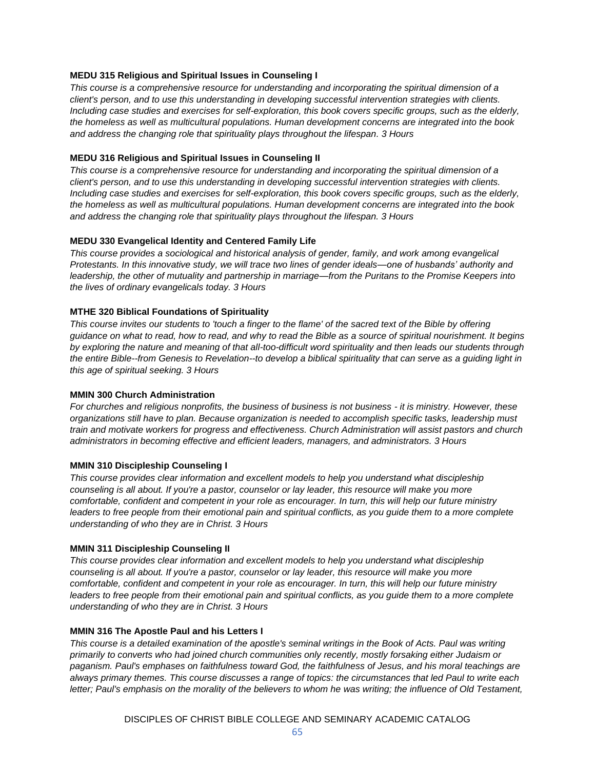# **MEDU 315 Religious and Spiritual Issues in Counseling I**

*This course is a comprehensive resource for understanding and incorporating the spiritual dimension of a client's person, and to use this understanding in developing successful intervention strategies with clients. Including case studies and exercises for self-exploration, this book covers specific groups, such as the elderly, the homeless as well as multicultural populations. Human development concerns are integrated into the book and address the changing role that spirituality plays throughout the lifespan. 3 Hours*

#### **MEDU 316 Religious and Spiritual Issues in Counseling II**

*This course is a comprehensive resource for understanding and incorporating the spiritual dimension of a client's person, and to use this understanding in developing successful intervention strategies with clients. Including case studies and exercises for self-exploration, this book covers specific groups, such as the elderly, the homeless as well as multicultural populations. Human development concerns are integrated into the book and address the changing role that spirituality plays throughout the lifespan. 3 Hours*

#### **MEDU 330 Evangelical Identity and Centered Family Life**

*This course provides a sociological and historical analysis of gender, family, and work among evangelical Protestants. In this innovative study, we will trace two lines of gender ideals—one of husbands' authority and leadership, the other of mutuality and partnership in marriage—from the Puritans to the Promise Keepers into the lives of ordinary evangelicals today. 3 Hours*

#### **MTHE 320 Biblical Foundations of Spirituality**

*This course invites our students to 'touch a finger to the flame' of the sacred text of the Bible by offering guidance on what to read, how to read, and why to read the Bible as a source of spiritual nourishment. It begins by exploring the nature and meaning of that all-too-difficult word spirituality and then leads our students through the entire Bible--from Genesis to Revelation--to develop a biblical spirituality that can serve as a guiding light in this age of spiritual seeking. 3 Hours*

#### **MMIN 300 Church Administration**

*For churches and religious nonprofits, the business of business is not business - it is ministry. However, these organizations still have to plan. Because organization is needed to accomplish specific tasks, leadership must train and motivate workers for progress and effectiveness. Church Administration will assist pastors and church administrators in becoming effective and efficient leaders, managers, and administrators. 3 Hours*

#### **MMIN 310 Discipleship Counseling I**

*This course provides clear information and excellent models to help you understand what discipleship counseling is all about. If you're a pastor, counselor or lay leader, this resource will make you more comfortable, confident and competent in your role as encourager. In turn, this will help our future ministry*  leaders to free people from their emotional pain and spiritual conflicts, as you guide them to a more complete *understanding of who they are in Christ. 3 Hours*

#### **MMIN 311 Discipleship Counseling II**

*This course provides clear information and excellent models to help you understand what discipleship counseling is all about. If you're a pastor, counselor or lay leader, this resource will make you more comfortable, confident and competent in your role as encourager. In turn, this will help our future ministry*  leaders to free people from their emotional pain and spiritual conflicts, as you guide them to a more complete *understanding of who they are in Christ. 3 Hours* 

#### **MMIN 316 The Apostle Paul and his Letters I**

*This course is a detailed examination of the apostle's seminal writings in the Book of Acts. Paul was writing primarily to converts who had joined church communities only recently, mostly forsaking either Judaism or paganism. Paul's emphases on faithfulness toward God, the faithfulness of Jesus, and his moral teachings are always primary themes. This course discusses a range of topics: the circumstances that led Paul to write each letter; Paul's emphasis on the morality of the believers to whom he was writing; the influence of Old Testament,*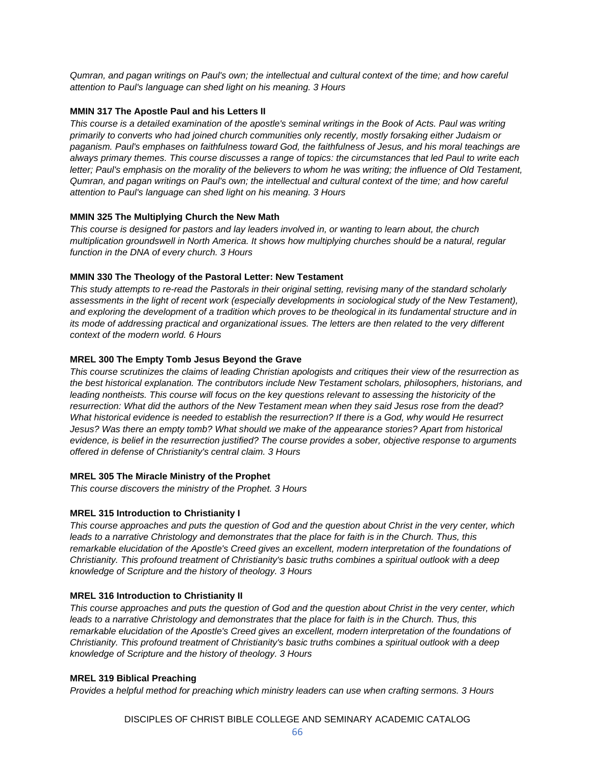*Qumran, and pagan writings on Paul's own; the intellectual and cultural context of the time; and how careful attention to Paul's language can shed light on his meaning. 3 Hours*

# **MMIN 317 The Apostle Paul and his Letters II**

*This course is a detailed examination of the apostle's seminal writings in the Book of Acts. Paul was writing primarily to converts who had joined church communities only recently, mostly forsaking either Judaism or paganism. Paul's emphases on faithfulness toward God, the faithfulness of Jesus, and his moral teachings are always primary themes. This course discusses a range of topics: the circumstances that led Paul to write each letter; Paul's emphasis on the morality of the believers to whom he was writing; the influence of Old Testament, Qumran, and pagan writings on Paul's own; the intellectual and cultural context of the time; and how careful attention to Paul's language can shed light on his meaning. 3 Hours*

# **MMIN 325 The Multiplying Church the New Math**

*This course is designed for pastors and lay leaders involved in, or wanting to learn about, the church multiplication groundswell in North America. It shows how multiplying churches should be a natural, regular function in the DNA of every church. 3 Hours*

# **MMIN 330 The Theology of the Pastoral Letter: New Testament**

*This study attempts to re-read the Pastorals in their original setting, revising many of the standard scholarly assessments in the light of recent work (especially developments in sociological study of the New Testament), and exploring the development of a tradition which proves to be theological in its fundamental structure and in its mode of addressing practical and organizational issues. The letters are then related to the very different context of the modern world. 6 Hours*

# **MREL 300 The Empty Tomb Jesus Beyond the Grave**

*This course scrutinizes the claims of leading Christian apologists and critiques their view of the resurrection as the best historical explanation. The contributors include New Testament scholars, philosophers, historians, and*  leading nontheists. This course will focus on the key questions relevant to assessing the historicity of the *resurrection: What did the authors of the New Testament mean when they said Jesus rose from the dead? What historical evidence is needed to establish the resurrection? If there is a God, why would He resurrect Jesus? Was there an empty tomb? What should we make of the appearance stories? Apart from historical evidence, is belief in the resurrection justified? The course provides a sober, objective response to arguments offered in defense of Christianity's central claim. 3 Hours*

# **MREL 305 The Miracle Ministry of the Prophet**

*This course discovers the ministry of the Prophet. 3 Hours* 

# **MREL 315 Introduction to Christianity I**

*This course approaches and puts the question of God and the question about Christ in the very center, which leads to a narrative Christology and demonstrates that the place for faith is in the Church. Thus, this*  remarkable elucidation of the Apostle's Creed gives an excellent, modern interpretation of the foundations of *Christianity. This profound treatment of Christianity's basic truths combines a spiritual outlook with a deep knowledge of Scripture and the history of theology. 3 Hours*

# **MREL 316 Introduction to Christianity II**

*This course approaches and puts the question of God and the question about Christ in the very center, which*  leads to a narrative Christology and demonstrates that the place for faith is in the Church. Thus, this remarkable elucidation of the Apostle's Creed gives an excellent, modern interpretation of the foundations of *Christianity. This profound treatment of Christianity's basic truths combines a spiritual outlook with a deep knowledge of Scripture and the history of theology. 3 Hours*

# **MREL 319 Biblical Preaching**

*Provides a helpful method for preaching which ministry leaders can use when crafting sermons. 3 Hours*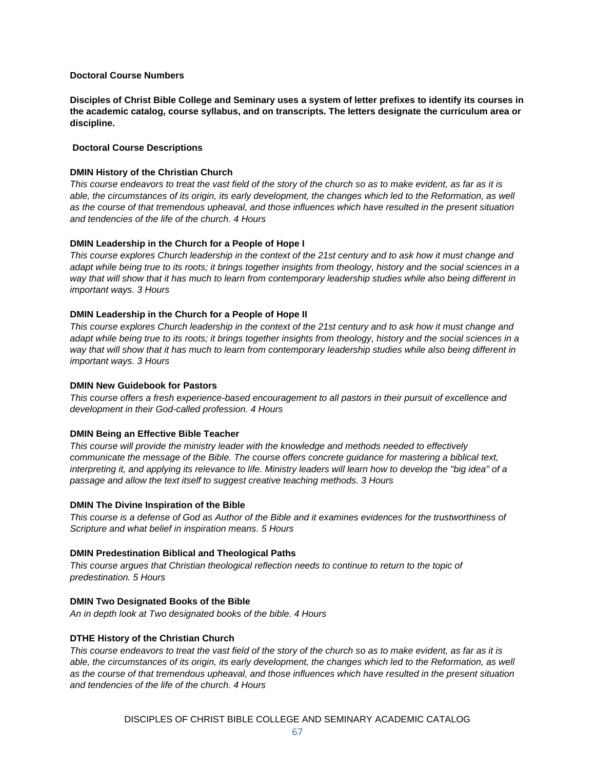#### **Doctoral Course Numbers**

**Disciples of Christ Bible College and Seminary uses a system of letter prefixes to identify its courses in the academic catalog, course syllabus, and on transcripts. The letters designate the curriculum area or discipline.**

# **Doctoral Course Descriptions**

# **DMIN History of the Christian Church**

*This course endeavors to treat the vast field of the story of the church so as to make evident, as far as it is*  able, the circumstances of its origin, its early development, the changes which led to the Reformation, as well *as the course of that tremendous upheaval, and those influences which have resulted in the present situation and tendencies of the life of the church. 4 Hours*

#### **DMIN Leadership in the Church for a People of Hope I**

*This course explores Church leadership in the context of the 21st century and to ask how it must change and adapt while being true to its roots; it brings together insights from theology, history and the social sciences in a way that will show that it has much to learn from contemporary leadership studies while also being different in important ways. 3 Hours*

#### **DMIN Leadership in the Church for a People of Hope II**

*This course explores Church leadership in the context of the 21st century and to ask how it must change and adapt while being true to its roots; it brings together insights from theology, history and the social sciences in a way that will show that it has much to learn from contemporary leadership studies while also being different in important ways. 3 Hours*

#### **DMIN New Guidebook for Pastors**

*This course offers a fresh experience-based encouragement to all pastors in their pursuit of excellence and development in their God-called profession. 4 Hours*

#### **DMIN Being an Effective Bible Teacher**

*This course will provide the ministry leader with the knowledge and methods needed to effectively communicate the message of the Bible. The course offers concrete guidance for mastering a biblical text, interpreting it, and applying its relevance to life. Ministry leaders will learn how to develop the "big idea" of a passage and allow the text itself to suggest creative teaching methods. 3 Hours*

#### **DMIN The Divine Inspiration of the Bible**

*This course is a defense of God as Author of the Bible and it examines evidences for the trustworthiness of Scripture and what belief in inspiration means. 5 Hours*

# **DMIN Predestination Biblical and Theological Paths**

*This course argues that Christian theological reflection needs to continue to return to the topic of predestination. 5 Hours*

# **DMIN Two Designated Books of the Bible**

*An in depth look at Two designated books of the bible. 4 Hours*

# **DTHE History of the Christian Church**

*This course endeavors to treat the vast field of the story of the church so as to make evident, as far as it is*  able, the circumstances of its origin, its early development, the changes which led to the Reformation, as well *as the course of that tremendous upheaval, and those influences which have resulted in the present situation and tendencies of the life of the church. 4 Hours*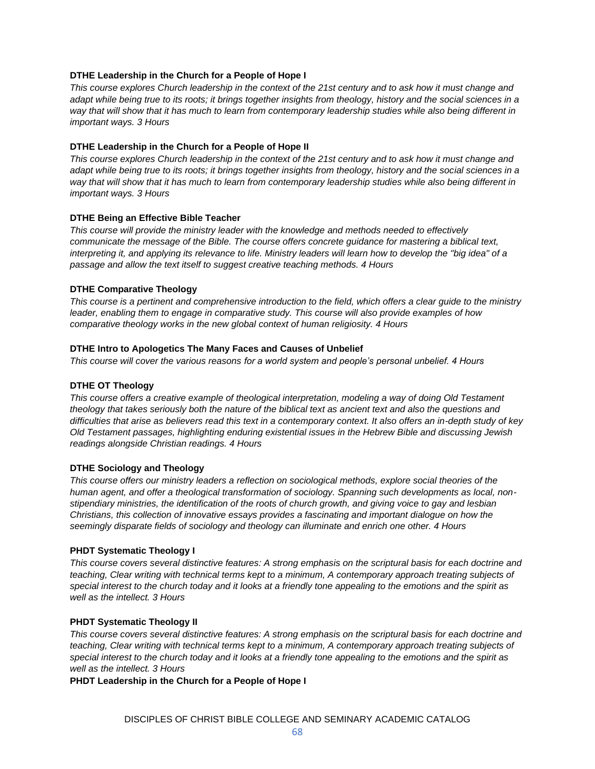### **DTHE Leadership in the Church for a People of Hope I**

*This course explores Church leadership in the context of the 21st century and to ask how it must change and adapt while being true to its roots; it brings together insights from theology, history and the social sciences in a way that will show that it has much to learn from contemporary leadership studies while also being different in important ways. 3 Hours*

#### **DTHE Leadership in the Church for a People of Hope II**

*This course explores Church leadership in the context of the 21st century and to ask how it must change and adapt while being true to its roots; it brings together insights from theology, history and the social sciences in a way that will show that it has much to learn from contemporary leadership studies while also being different in important ways. 3 Hours*

#### **DTHE Being an Effective Bible Teacher**

*This course will provide the ministry leader with the knowledge and methods needed to effectively communicate the message of the Bible. The course offers concrete guidance for mastering a biblical text, interpreting it, and applying its relevance to life. Ministry leaders will learn how to develop the "big idea" of a passage and allow the text itself to suggest creative teaching methods. 4 Hours*

#### **DTHE Comparative Theology**

*This course is a pertinent and comprehensive introduction to the field, which offers a clear guide to the ministry leader, enabling them to engage in comparative study. This course will also provide examples of how comparative theology works in the new global context of human religiosity. 4 Hours*

#### **DTHE Intro to Apologetics The Many Faces and Causes of Unbelief**

*This course will cover the various reasons for a world system and people's personal unbelief. 4 Hours*

#### **DTHE OT Theology**

*This course offers a creative example of theological interpretation, modeling a way of doing Old Testament theology that takes seriously both the nature of the biblical text as ancient text and also the questions and difficulties that arise as believers read this text in a contemporary context. It also offers an in-depth study of key Old Testament passages, highlighting enduring existential issues in the Hebrew Bible and discussing Jewish readings alongside Christian readings. 4 Hours*

#### **DTHE Sociology and Theology**

*This course offers our ministry leaders a reflection on sociological methods, explore social theories of the human agent, and offer a theological transformation of sociology. Spanning such developments as local, nonstipendiary ministries, the identification of the roots of church growth, and giving voice to gay and lesbian Christians, this collection of innovative essays provides a fascinating and important dialogue on how the seemingly disparate fields of sociology and theology can illuminate and enrich one other. 4 Hours*

#### **PHDT Systematic Theology I**

*This course covers several distinctive features: A strong emphasis on the scriptural basis for each doctrine and teaching, Clear writing with technical terms kept to a minimum, A contemporary approach treating subjects of special interest to the church today and it looks at a friendly tone appealing to the emotions and the spirit as well as the intellect. 3 Hours*

#### **PHDT Systematic Theology II**

*This course covers several distinctive features: A strong emphasis on the scriptural basis for each doctrine and teaching, Clear writing with technical terms kept to a minimum, A contemporary approach treating subjects of special interest to the church today and it looks at a friendly tone appealing to the emotions and the spirit as well as the intellect. 3 Hours*

**PHDT Leadership in the Church for a People of Hope I**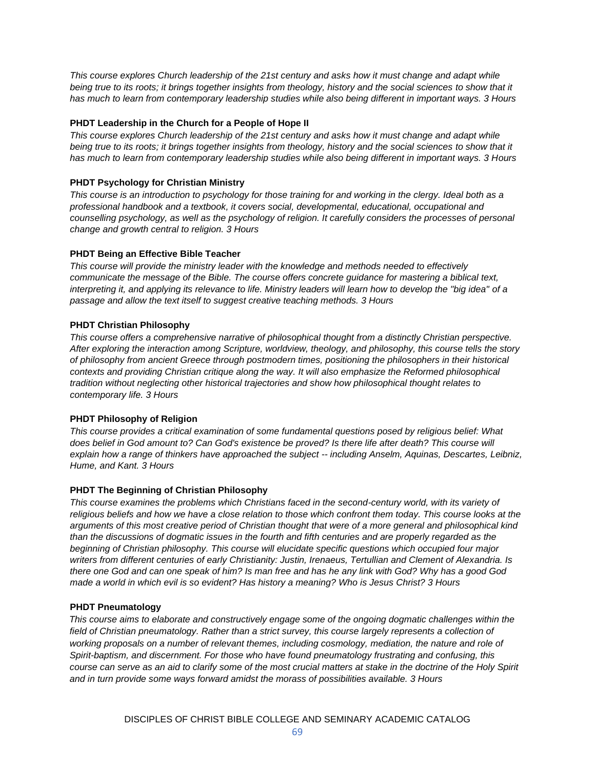*This course explores Church leadership of the 21st century and asks how it must change and adapt while being true to its roots; it brings together insights from theology, history and the social sciences to show that it has much to learn from contemporary leadership studies while also being different in important ways. 3 Hours*

# **PHDT Leadership in the Church for a People of Hope II**

*This course explores Church leadership of the 21st century and asks how it must change and adapt while being true to its roots; it brings together insights from theology, history and the social sciences to show that it has much to learn from contemporary leadership studies while also being different in important ways. 3 Hours*

# **PHDT Psychology for Christian Ministry**

*This course is an introduction to psychology for those training for and working in the clergy. Ideal both as a professional handbook and a textbook, it covers social, developmental, educational, occupational and counselling psychology, as well as the psychology of religion. It carefully considers the processes of personal change and growth central to religion. 3 Hours*

# **PHDT Being an Effective Bible Teacher**

*This course will provide the ministry leader with the knowledge and methods needed to effectively communicate the message of the Bible. The course offers concrete guidance for mastering a biblical text, interpreting it, and applying its relevance to life. Ministry leaders will learn how to develop the "big idea" of a passage and allow the text itself to suggest creative teaching methods. 3 Hours*

# **PHDT Christian Philosophy**

*This course offers a comprehensive narrative of philosophical thought from a distinctly Christian perspective. After exploring the interaction among Scripture, worldview, theology, and philosophy, this course tells the story of philosophy from ancient Greece through postmodern times, positioning the philosophers in their historical contexts and providing Christian critique along the way. It will also emphasize the Reformed philosophical tradition without neglecting other historical trajectories and show how philosophical thought relates to contemporary life. 3 Hours*

# **PHDT Philosophy of Religion**

*This course provides a critical examination of some fundamental questions posed by religious belief: What does belief in God amount to? Can God's existence be proved? Is there life after death? This course will explain how a range of thinkers have approached the subject -- including Anselm, Aquinas, Descartes, Leibniz, Hume, and Kant. 3 Hours*

# **PHDT The Beginning of Christian Philosophy**

*This course examines the problems which Christians faced in the second-century world, with its variety of religious beliefs and how we have a close relation to those which confront them today. This course looks at the arguments of this most creative period of Christian thought that were of a more general and philosophical kind than the discussions of dogmatic issues in the fourth and fifth centuries and are properly regarded as the beginning of Christian philosophy. This course will elucidate specific questions which occupied four major writers from different centuries of early Christianity: Justin, Irenaeus, Tertullian and Clement of Alexandria. Is there one God and can one speak of him? Is man free and has he any link with God? Why has a good God made a world in which evil is so evident? Has history a meaning? Who is Jesus Christ? 3 Hours*

# **PHDT Pneumatology**

*This course aims to elaborate and constructively engage some of the ongoing dogmatic challenges within the field of Christian pneumatology. Rather than a strict survey, this course largely represents a collection of working proposals on a number of relevant themes, including cosmology, mediation, the nature and role of Spirit-baptism, and discernment. For those who have found pneumatology frustrating and confusing, this course can serve as an aid to clarify some of the most crucial matters at stake in the doctrine of the Holy Spirit and in turn provide some ways forward amidst the morass of possibilities available. 3 Hours*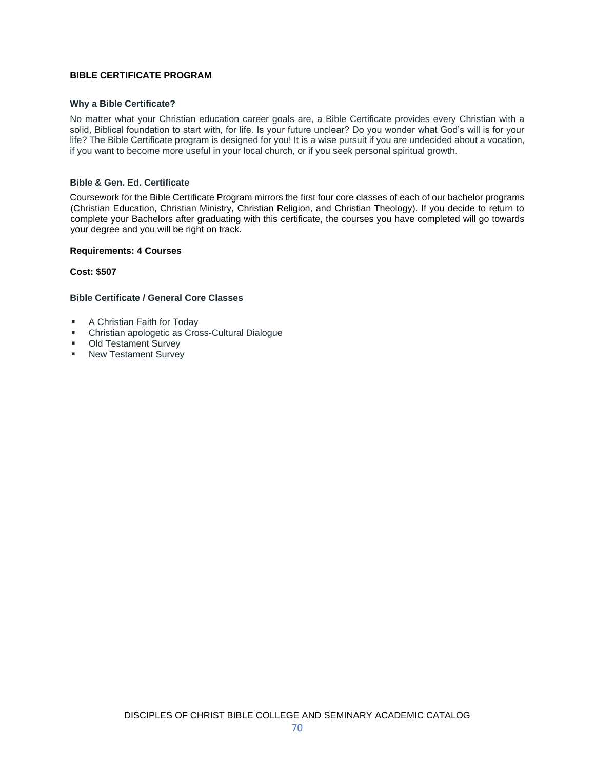# **BIBLE CERTIFICATE PROGRAM**

#### **Why a Bible Certificate?**

No matter what your Christian education career goals are, a Bible Certificate provides every Christian with a solid, Biblical foundation to start with, for life. Is your future unclear? Do you wonder what God's will is for your life? The Bible Certificate program is designed for you! It is a wise pursuit if you are undecided about a vocation, if you want to become more useful in your local church, or if you seek personal spiritual growth.

#### **Bible & Gen. Ed. Certificate**

Coursework for the Bible Certificate Program mirrors the first four core classes of each of our bachelor programs (Christian Education, Christian Ministry, Christian Religion, and Christian Theology). If you decide to return to complete your Bachelors after graduating with this certificate, the courses you have completed will go towards your degree and you will be right on track.

#### **Requirements: 4 Courses**

**Cost: \$507**

#### **Bible Certificate / General Core Classes**

- A Christian Faith for Today
- Christian apologetic as Cross-Cultural Dialogue
- Old Testament Survey
- New Testament Survey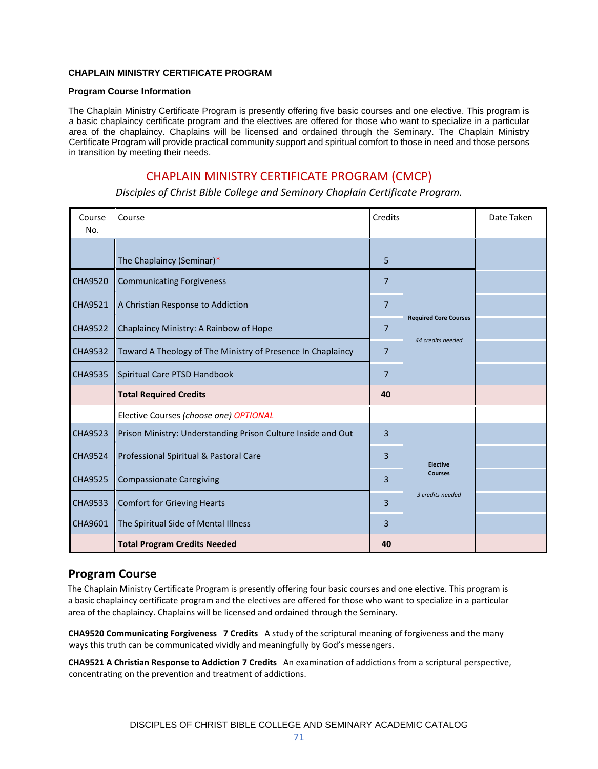### **CHAPLAIN MINISTRY CERTIFICATE PROGRAM**

#### **Program Course Information**

The Chaplain Ministry Certificate Program is presently offering five basic courses and one elective. This program is a basic chaplaincy certificate program and the electives are offered for those who want to specialize in a particular area of the chaplaincy. Chaplains will be licensed and ordained through the Seminary. The Chaplain Ministry Certificate Program will provide practical community support and spiritual comfort to those in need and those persons in transition by meeting their needs.

# CHAPLAIN MINISTRY CERTIFICATE PROGRAM (CMCP)

*Disciples of Christ Bible College and Seminary Chaplain Certificate Program.*

| Course<br>No.  | Course                                                       | Credits        |                                                       | Date Taken |
|----------------|--------------------------------------------------------------|----------------|-------------------------------------------------------|------------|
|                | The Chaplaincy (Seminar)*                                    | 5              |                                                       |            |
| <b>CHA9520</b> | <b>Communicating Forgiveness</b>                             | $\overline{7}$ | <b>Required Core Courses</b><br>44 credits needed     |            |
| <b>CHA9521</b> | A Christian Response to Addiction                            | $\overline{7}$ |                                                       |            |
| <b>CHA9522</b> | Chaplaincy Ministry: A Rainbow of Hope                       | $\overline{7}$ |                                                       |            |
| <b>CHA9532</b> | Toward A Theology of The Ministry of Presence In Chaplaincy  | $\overline{7}$ |                                                       |            |
| <b>CHA9535</b> | Spiritual Care PTSD Handbook                                 | $\overline{7}$ |                                                       |            |
|                | <b>Total Required Credits</b>                                | 40             |                                                       |            |
|                | Elective Courses (choose one) OPTIONAL                       |                |                                                       |            |
| <b>CHA9523</b> | Prison Ministry: Understanding Prison Culture Inside and Out | 3              | <b>Elective</b><br><b>Courses</b><br>3 credits needed |            |
| <b>CHA9524</b> | Professional Spiritual & Pastoral Care                       | 3              |                                                       |            |
| <b>CHA9525</b> | <b>Compassionate Caregiving</b>                              | 3              |                                                       |            |
| <b>CHA9533</b> | <b>Comfort for Grieving Hearts</b>                           | 3              |                                                       |            |
| CHA9601        | The Spiritual Side of Mental Illness                         | 3              |                                                       |            |
|                | <b>Total Program Credits Needed</b>                          | 40             |                                                       |            |

## **Program Course**

The Chaplain Ministry Certificate Program is presently offering four basic courses and one elective. This program is a basic chaplaincy certificate program and the electives are offered for those who want to specialize in a particular area of the chaplaincy. Chaplains will be licensed and ordained through the Seminary.

**CHA9520 Communicating Forgiveness 7 Credits** A study of the scriptural meaning of forgiveness and the many ways this truth can be communicated vividly and meaningfully by God's messengers.

**CHA9521 A Christian Response to Addiction 7 Credits** An examination of addictions from a scriptural perspective, concentrating on the prevention and treatment of addictions.